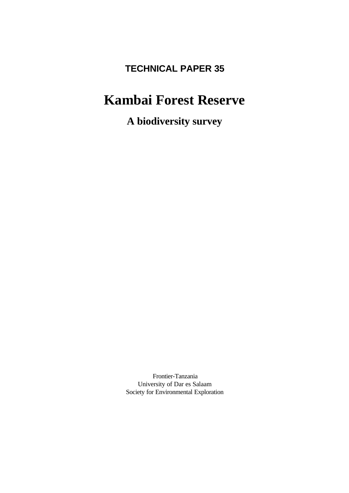# **TECHNICAL PAPER 35**

# **Kambai Forest Reserve**

**A biodiversity survey**

Frontier-Tanzania University of Dar es Salaam Society for Environmental Exploration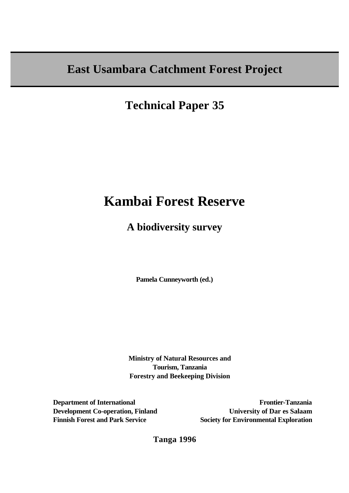# **East Usambara Catchment Forest Project**

**Technical Paper 35**

# **Kambai Forest Reserve**

# **A biodiversity survey**

**Pamela Cunneyworth (ed.)**

**Ministry of Natural Resources and Tourism, Tanzania Forestry and Beekeeping Division**

**Department of International Development Co-operation, Finland Finnish Forest and Park Service**

**Frontier-Tanzania University of Dar es Salaam Society for Environmental Exploration**

**Tanga 1996**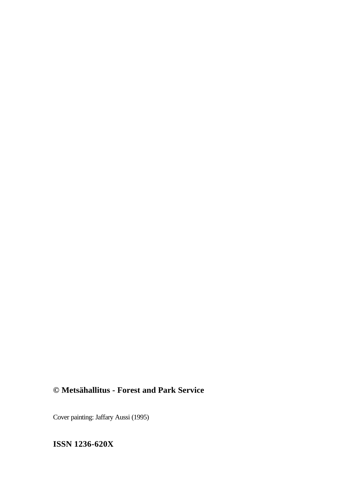# **© Metsähallitus - Forest and Park Service**

Cover painting: Jaffary Aussi (1995)

**ISSN 1236-620X**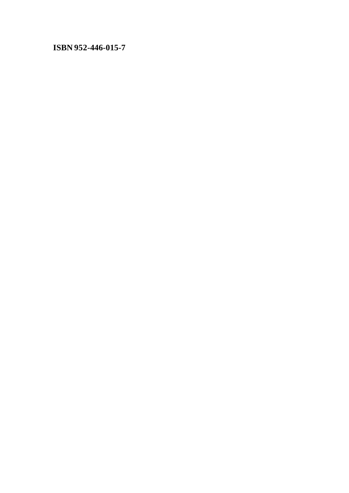## **ISBN 952-446-015-7**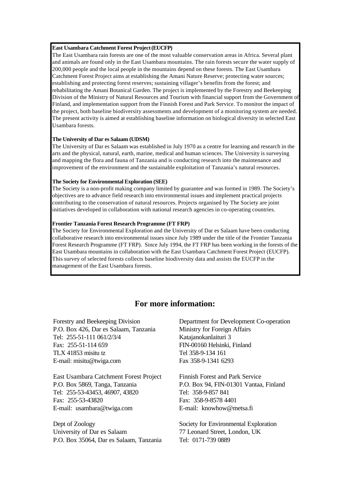#### **East Usambara Catchment Forest Project(EUCFP)**

The East Usambara rain forests are one of the most valuable conservation areas in Africa. Several plant and animals are found only in the East Usambara mountains. The rain forests secure the water supply of 200,000 people and the local people in the mountains depend on these forests. The East Usambara Catchment Forest Project aims at establishing the Amani Nature Reserve; protecting water sources; establishing and protecting forest reserves; sustaining villager's benefits from the forest; and rehabilitating the Amani Botanical Garden. The project is implemented by the Forestry and Beekeeping Division of the Ministry of Natural Resources and Tourism with financial support from the Government of Finland, and implementation support from the Finnish Forest and Park Service. To monitor the impact of the project, both baseline biodiversity assessments and development of a monitoring system are needed. The present activity is aimed at establishing baseline information on biological diversity in selected East Usambara forests.

#### **The University of Dar es Salaam (UDSM)**

The University of Dar es Salaam was established in July 1970 as a centre for learning and research in the arts and the physical, natural, earth, marine, medical and human sciences. The University is surveying and mapping the flora and fauna of Tanzania and is conducting research into the maintenance and improvement of the environment and the sustainable exploitation of Tanzania's natural resources.

#### **The Society for Environmental Exploration (SEE)**

The Society is a non-profit making company limited by guarantee and was formed in 1989. The Society's objectives are to advance field research into environmental issues and implement practical projects contributing to the conservation of natural resources. Projects organised by The Society are joint initiatives developed in collaboration with national research agencies in co-operating countries.

#### **Frontier Tanzania Forest Research Programme (FT FRP)**

The Society for Environmental Exploration and the University of Dar es Salaam have been conducting collaborative research into environmental issues since July 1989 under the title of the Frontier Tanzania Forest Research Programme (FT FRP). Since July 1994, the FT FRP has been working in the forests of the East Usambara mountains in collaboration with the East Usambara Catchment Forest Project (EUCFP). This survey of selected forests collects baseline biodiversity data and assists the EUCFP in the management of the East Usambara forests.

#### **For more information:**

Forestry and Beekeeping Division P.O. Box 426, Dar es Salaam, Tanzania Tel: 255-51-111 061/2/3/4 Fax: 255-51-114 659 TLX 41853 misitu tz E-mail: misitu@twiga.com

East Usambara Catchment Forest Project P.O. Box 5869, Tanga, Tanzania Tel: 255-53-43453, 46907, 43820 Fax: 255-53-43820 E-mail: usambara@twiga.com

Dept of Zoology University of Dar es Salaam P.O. Box 35064, Dar es Salaam, Tanzania

Department for Development Co-operation Ministry for Foreign Affairs Katajanokanlaituri 3 FIN-00160 Helsinki, Finland Tel 358-9-134 161 Fax 358-9-1341 6293

Finnish Forest and Park Service P.O. Box 94, FIN-01301 Vantaa, Finland Tel: 358-9-857 841 Fax: 358-9-8578 4401 E-mail: knowhow@metsa.fi

Society for Environmental Exploration 77 Leonard Street, London, UK Tel: 0171-739 0889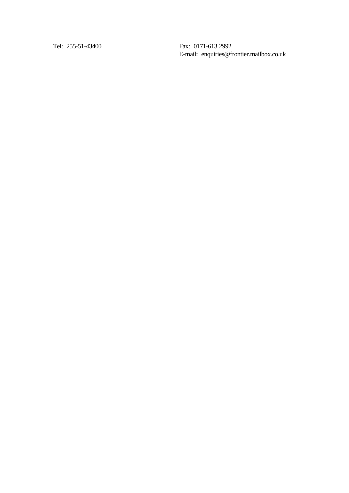Tel: 255-51-43400 Fax: 0171-613 2992

E-mail: enquiries@frontier.mailbox.co.uk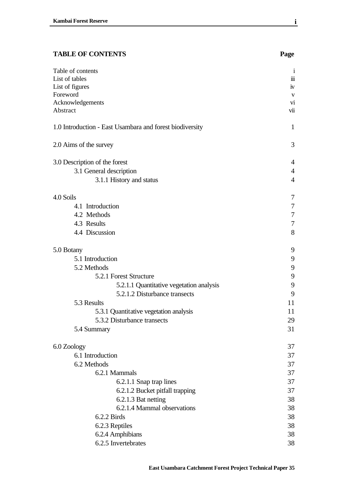## **TABLE OF CONTENTS Page**

| Table of contents                                        | $\mathbf{i}$       |
|----------------------------------------------------------|--------------------|
| List of tables                                           | $\dddot{\text{m}}$ |
| List of figures<br>Foreword                              | iv                 |
|                                                          | $\mathbf{V}$       |
| Acknowledgements<br>Abstract                             | vi<br>vii          |
|                                                          |                    |
| 1.0 Introduction - East Usambara and forest biodiversity | $\mathbf{1}$       |
| 2.0 Aims of the survey                                   | 3                  |
| 3.0 Description of the forest                            | 4                  |
| 3.1 General description                                  | $\overline{4}$     |
| 3.1.1 History and status                                 | $\overline{4}$     |
|                                                          |                    |
| 4.0 Soils                                                | 7                  |
| 4.1 Introduction                                         | 7                  |
| 4.2 Methods                                              | 7                  |
| 4.3 Results                                              | 7                  |
| 4.4 Discussion                                           | 8                  |
| 5.0 Botany                                               | 9                  |
| 5.1 Introduction                                         | 9                  |
| 5.2 Methods                                              | 9                  |
| 5.2.1 Forest Structure                                   | 9                  |
| 5.2.1.1 Quantitative vegetation analysis                 | 9                  |
| 5.2.1.2 Disturbance transects                            | 9                  |
| 5.3 Results                                              | 11                 |
| 5.3.1 Quantitative vegetation analysis                   | 11                 |
| 5.3.2 Disturbance transects                              | 29                 |
| 5.4 Summary                                              | 31                 |
|                                                          | 37                 |
| 6.0 Zoology                                              |                    |
| 6.1 Introduction                                         | 37                 |
| 6.2 Methods                                              | 37                 |
| 6.2.1 Mammals                                            | 37                 |
| 6.2.1.1 Snap trap lines                                  | 37                 |
| 6.2.1.2 Bucket pitfall trapping                          | 37                 |
| 6.2.1.3 Bat netting                                      | 38                 |
| 6.2.1.4 Mammal observations                              | 38                 |
| 6.2.2 Birds                                              | 38                 |
| 6.2.3 Reptiles                                           | 38                 |
| 6.2.4 Amphibians                                         | 38                 |
| 6.2.5 Invertebrates                                      | 38                 |

**i**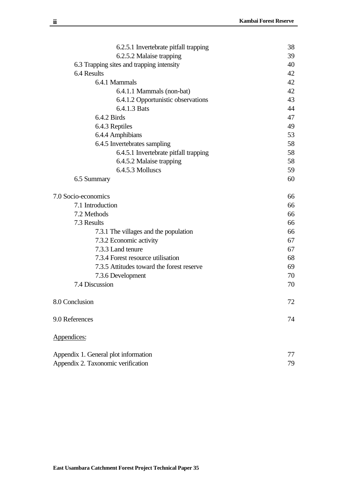| 6.2.5.1 Invertebrate pitfall trapping     | 38 |
|-------------------------------------------|----|
| 6.2.5.2 Malaise trapping                  | 39 |
| 6.3 Trapping sites and trapping intensity | 40 |
| 6.4 Results                               | 42 |
| 6.4.1 Mammals                             | 42 |
| 6.4.1.1 Mammals (non-bat)                 | 42 |
| 6.4.1.2 Opportunistic observations        | 43 |
| 6.4.1.3 Bats                              | 44 |
| 6.4.2 Birds                               | 47 |
| 6.4.3 Reptiles                            | 49 |
| 6.4.4 Amphibians                          | 53 |
| 6.4.5 Invertebrates sampling              | 58 |
| 6.4.5.1 Invertebrate pitfall trapping     | 58 |
| 6.4.5.2 Malaise trapping                  | 58 |
| 6.4.5.3 Molluscs                          | 59 |
| 6.5 Summary                               | 60 |
| 7.0 Socio-economics                       | 66 |
| 7.1 Introduction                          | 66 |
| 7.2 Methods                               | 66 |
| 7.3 Results                               | 66 |
| 7.3.1 The villages and the population     | 66 |
| 7.3.2 Economic activity                   | 67 |
| 7.3.3 Land tenure                         | 67 |
| 7.3.4 Forest resource utilisation         | 68 |
| 7.3.5 Attitudes toward the forest reserve | 69 |
| 7.3.6 Development                         | 70 |
| 7.4 Discussion                            | 70 |
| 8.0 Conclusion                            | 72 |
| 9.0 References                            | 74 |
| Appendices:                               |    |
| Appendix 1. General plot information      | 77 |
| Appendix 2. Taxonomic verification        | 79 |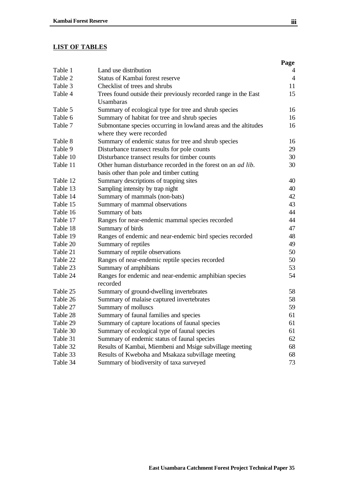## **LIST OF TABLES**

|          |                                                                                             | Page           |
|----------|---------------------------------------------------------------------------------------------|----------------|
| Table 1  | Land use distribution                                                                       | 4              |
| Table 2  | Status of Kambai forest reserve                                                             | $\overline{4}$ |
| Table 3  | Checklist of trees and shrubs                                                               | 11             |
| Table 4  | Trees found outside their previously recorded range in the East                             | 15             |
|          | Usambaras                                                                                   |                |
| Table 5  | Summary of ecological type for tree and shrub species                                       | 16             |
| Table 6  | Summary of habitat for tree and shrub species                                               | 16             |
| Table 7  | Submontane species occurring in lowland areas and the altitudes<br>where they were recorded | 16             |
| Table 8  | Summary of endemic status for tree and shrub species                                        | 16             |
| Table 9  | Disturbance transect results for pole counts                                                | 29             |
| Table 10 | Disturbance transect results for timber counts                                              | 30             |
| Table 11 | Other human disturbance recorded in the forest on an <i>ad lib</i> .                        | 30             |
|          | basis other than pole and timber cutting                                                    |                |
| Table 12 | Summary descriptions of trapping sites                                                      | 40             |
| Table 13 | Sampling intensity by trap night                                                            | 40             |
| Table 14 | Summary of mammals (non-bats)                                                               | 42             |
| Table 15 | Summary of mammal observations                                                              | 43             |
| Table 16 | Summary of bats                                                                             | 44             |
| Table 17 | Ranges for near-endemic mammal species recorded                                             | 44             |
| Table 18 | Summary of birds                                                                            | 47             |
| Table 19 | Ranges of endemic and near-endemic bird species recorded                                    | 48             |
| Table 20 | Summary of reptiles                                                                         | 49             |
| Table 21 | Summary of reptile observations                                                             | 50             |
| Table 22 | Ranges of near-endemic reptile species recorded                                             | 50             |
| Table 23 | Summary of amphibians                                                                       | 53             |
| Table 24 | Ranges for endemic and near-endemic amphibian species                                       | 54             |
|          | recorded                                                                                    |                |
| Table 25 | Summary of ground-dwelling invertebrates                                                    | 58             |
| Table 26 | Summary of malaise captured invertebrates                                                   | 58             |
| Table 27 | Summary of molluscs                                                                         | 59             |
| Table 28 | Summary of faunal families and species                                                      | 61             |
| Table 29 | Summary of capture locations of faunal species                                              | 61             |
| Table 30 | Summary of ecological type of faunal species                                                | 61             |
| Table 31 | Summary of endemic status of faunal species                                                 | 62             |
| Table 32 | Results of Kambai, Miembeni and Msige subvillage meeting                                    | 68             |
| Table 33 | Results of Kweboha and Msakaza subvillage meeting                                           | 68             |
| Table 34 | Summary of biodiversity of taxa surveyed                                                    | 73             |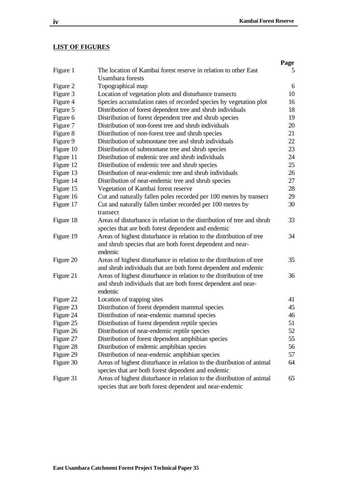#### **LIST OF FIGURES**

|           |                                                                        | Page |
|-----------|------------------------------------------------------------------------|------|
| Figure 1  | The location of Kambai forest reserve in relation to other East        | 5    |
|           | <b>Usambara</b> forests                                                |      |
| Figure 2  | Topographical map                                                      | 6    |
| Figure 3  | Location of vegetation plots and disturbance transects                 | 10   |
| Figure 4  | Species accumulation rates of recorded species by vegetation plot      | 16   |
| Figure 5  | Distribution of forest dependent tree and shrub individuals            | 18   |
| Figure 6  | Distribution of forest dependent tree and shrub species                | 19   |
| Figure 7  | Distribution of non-forest tree and shrub individuals                  | 20   |
| Figure 8  | Distribution of non-forest tree and shrub species                      | 21   |
| Figure 9  | Distribution of submontane tree and shrub individuals                  | 22   |
| Figure 10 | Distribution of submontane tree and shrub species                      | 23   |
| Figure 11 | Distribution of endemic tree and shrub individuals                     | 24   |
| Figure 12 | Distribution of endemic tree and shrub species                         | 25   |
| Figure 13 | Distribution of near-endemic tree and shrub individuals                | 26   |
| Figure 14 | Distribution of near-endemic tree and shrub species                    | 27   |
| Figure 15 | Vegetation of Kambai forest reserve                                    | 28   |
| Figure 16 | Cut and naturally fallen poles recorded per 100 metres by transect     | 29   |
| Figure 17 | Cut and naturally fallen timber recorded per 100 metres by             | 30   |
|           | transect                                                               |      |
| Figure 18 | Areas of disturbance in relation to the distribution of tree and shrub | 33   |
|           | species that are both forest dependent and endemic                     |      |
| Figure 19 | Areas of highest disturbance in relation to the distribution of tree   | 34   |
|           | and shrub species that are both forest dependent and near-             |      |
|           | endemic                                                                |      |
| Figure 20 | Areas of highest disturbance in relation to the distribution of tree   | 35   |
|           | and shrub individuals that are both forest dependent and endemic       |      |
| Figure 21 | Areas of highest disturbance in relation to the distribution of tree   | 36   |
|           | and shrub individuals that are both forest dependent and near-         |      |
|           | endemic                                                                |      |
| Figure 22 | Location of trapping sites                                             | 41   |
| Figure 23 | Distribution of forest dependent mammal species                        | 45   |
| Figure 24 | Distribution of near-endemic mammal species                            | 46   |
| Figure 25 | Distribution of forest dependent reptile species                       | 51   |
| Figure 26 | Distribution of near-endemic reptile species                           | 52   |
| Figure 27 | Distribution of forest dependent amphibian species                     | 55   |
| Figure 28 | Distribution of endemic amphibian species                              | 56   |
| Figure 29 | Distribution of near-endemic amphibian species                         | 57   |
| Figure 30 | Areas of highest disturbance in relation to the distribution of animal | 64   |
|           | species that are both forest dependent and endemic                     |      |
| Figure 31 | Areas of highest disturbance in relation to the distribution of animal | 65   |
|           | species that are both forest dependent and near-endemic                |      |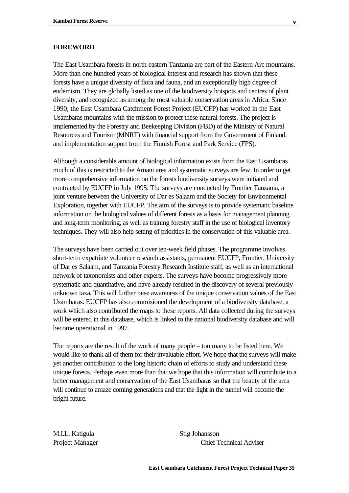#### **FOREWORD**

The East Usambara forests in north-eastern Tanzania are part of the Eastern Arc mountains. More than one hundred years of biological interest and research has shown that these forests have a unique diversity of flora and fauna, and an exceptionally high degree of endemism. They are globally listed as one of the biodiversity hotspots and centres of plant diversity, and recognized as among the most valuable conservation areas in Africa. Since 1990, the East Usambara Catchment Forest Project (EUCFP) has worked in the East Usambaras mountains with the mission to protect these natural forests. The project is implemented by the Forestry and Beekeeping Division (FBD) of the Ministry of Natural Resources and Tourism (MNRT) with financial support from the Government of Finland, and implementation support from the Finnish Forest and Park Service (FPS).

Although a considerable amount of biological information exists from the East Usambaras much of this is restricted to the Amani area and systematic surveys are few. In order to get more comprehensive information on the forests biodiversity surveys were initiated and contracted by EUCFP in July 1995. The surveys are conducted by Frontier Tanzania, a joint venture between the University of Dar es Salaam and the Society for Environmental Exploration, together with EUCFP. The aim of the surveys is to provide systematic baseline information on the biological values of different forests as a basis for management planning and long-term monitoring, as well as training forestry staff in the use of biological inventory techniques. They will also help setting of priorities in the conservation of this valuable area.

The surveys have been carried out over ten-week field phases. The programme involves short-term expatriate volunteer research assistants, permanent EUCFP, Frontier, University of Dar es Salaam, and Tanzania Forestry Research Institute staff, as well as an international network of taxonomists and other experts. The surveys have become progressively more systematic and quantitative, and have already resulted in the discovery of several previously unknown taxa. This will further raise awareness of the unique conservation values of the East Usambaras. EUCFP has also commisioned the development of a biodiversity database, a work which also contributed the maps to these reports. All data collected during the surveys will be entered in this database, which is linked to the national biodiversity database and will become operational in 1997.

The reports are the result of the work of many people – too many to be listed here. We would like to thank all of them for their invaluable effort. We hope that the surveys will make yet another contribution to the long historic chain of efforts to study and understand these unique forests. Perhaps even more than that we hope that this information will contribute to a better management and conservation of the East Usambaras so that the beauty of the area will continue to amaze coming generations and that the light in the tunnel will become the bright future.

M.I.L. Katigula Stig Johansson

Project Manager Chief Technical Adviser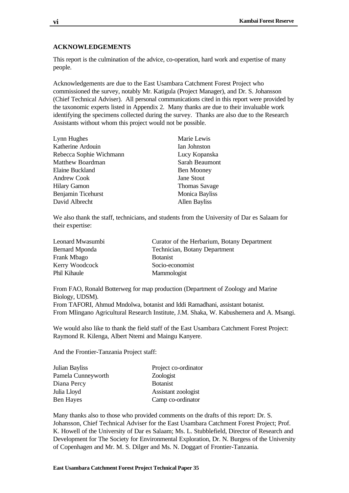#### **ACKNOWLEDGEMENTS**

This report is the culmination of the advice, co-operation, hard work and expertise of many people.

Acknowledgements are due to the East Usambara Catchment Forest Project who commissioned the survey, notably Mr. Katigula (Project Manager), and Dr. S. Johansson (Chief Technical Adviser). All personal communications cited in this report were provided by the taxonomic experts listed in Appendix 2. Many thanks are due to their invaluable work identifying the specimens collected during the survey. Thanks are also due to the Research Assistants without whom this project would not be possible.

| Lynn Hughes             | Marie Lewis           |
|-------------------------|-----------------------|
| Katherine Ardouin       | Ian Johnston          |
| Rebecca Sophie Wichmann | Lucy Kopanska         |
| <b>Matthew Boardman</b> | Sarah Beaumont        |
| <b>Elaine Buckland</b>  | Ben Mooney            |
| <b>Andrew Cook</b>      | <b>Jane Stout</b>     |
| <b>Hilary Gamon</b>     | <b>Thomas Savage</b>  |
| Benjamin Ticehurst      | <b>Monica Bayliss</b> |
| David Albrecht          | <b>Allen Bayliss</b>  |

We also thank the staff, technicians, and students from the University of Dar es Salaam for their expertise:

| Leonard Mwasumbi | Curator of the Herbarium, Botany Department |
|------------------|---------------------------------------------|
| Bernard Mponda   | Technician, Botany Department               |
| Frank Mbago      | <b>B</b> otanist                            |
| Kerry Woodcock   | Socio-economist                             |
| Phil Kihaule     | Mammologist                                 |

From FAO, Ronald Botterweg for map production (Department of Zoology and Marine Biology, UDSM).

From TAFORI, Ahmud Mndolwa, botanist and Iddi Ramadhani, assistant botanist. From Mlingano Agricultural Research Institute, J.M. Shaka, W. Kabushemera and A. Msangi.

We would also like to thank the field staff of the East Usambara Catchment Forest Project: Raymond R. Kilenga, Albert Ntemi and Maingu Kanyere.

And the Frontier-Tanzania Project staff:

| Project co-ordinator |
|----------------------|
| Zoologist            |
| <b>B</b> otanist     |
| Assistant zoologist  |
| Camp co-ordinator    |
|                      |

Many thanks also to those who provided comments on the drafts of this report: Dr. S. Johansson, Chief Technical Adviser for the East Usambara Catchment Forest Project; Prof. K. Howell of the University of Dar es Salaam; Ms. L. Stubblefield, Director of Research and Development for The Society for Environmental Exploration, Dr. N. Burgess of the University of Copenhagen and Mr. M. S. Dilger and Ms. N. Doggart of Frontier-Tanzania.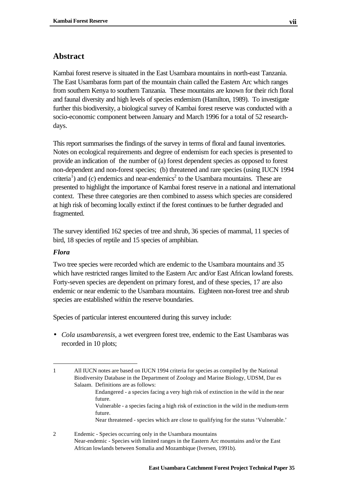## **Abstract**

Kambai forest reserve is situated in the East Usambara mountains in north-east Tanzania. The East Usambaras form part of the mountain chain called the Eastern Arc which ranges from southern Kenya to southern Tanzania. These mountains are known for their rich floral and faunal diversity and high levels of species endemism (Hamilton, 1989). To investigate further this biodiversity, a biological survey of Kambai forest reserve was conducted with a socio-economic component between January and March 1996 for a total of 52 researchdays.

This report summarises the findings of the survey in terms of floral and faunal inventories. Notes on ecological requirements and degree of endemism for each species is presented to provide an indication of the number of (a) forest dependent species as opposed to forest non-dependent and non-forest species; (b) threatened and rare species (using IUCN 1994 criteria<sup>1</sup>) and (c) endemics and near-endemics<sup>2</sup> to the Usambara mountains. These are presented to highlight the importance of Kambai forest reserve in a national and international context. These three categories are then combined to assess which species are considered at high risk of becoming locally extinct if the forest continues to be further degraded and fragmented.

The survey identified 162 species of tree and shrub, 36 species of mammal, 11 species of bird, 18 species of reptile and 15 species of amphibian.

#### *Flora*

l

Two tree species were recorded which are endemic to the Usambara mountains and 35 which have restricted ranges limited to the Eastern Arc and/or East African lowland forests. Forty-seven species are dependent on primary forest, and of these species, 17 are also endemic or near endemic to the Usambara mountains. Eighteen non-forest tree and shrub species are established within the reserve boundaries.

Species of particular interest encountered during this survey include:

• *Cola usambarensis,* a wet evergreen forest tree, endemic to the East Usambaras was recorded in 10 plots;

- Endangered a species facing a very high risk of extinction in the wild in the near future.
- Vulnerable a species facing a high risk of extinction in the wild in the medium-term future.

Near threatened - species which are close to qualifying for the status 'Vulnerable.'

<sup>1</sup> All IUCN notes are based on IUCN 1994 criteria for species as compiled by the National Biodiversity Database in the Department of Zoology and Marine Biology, UDSM, Dar es Salaam. Definitions are as follows:

<sup>2</sup> Endemic - Species occurring only in the Usambara mountains Near-endemic - Species with limited ranges in the Eastern Arc mountains and/or the East African lowlands between Somalia and Mozambique (Iversen, 1991b).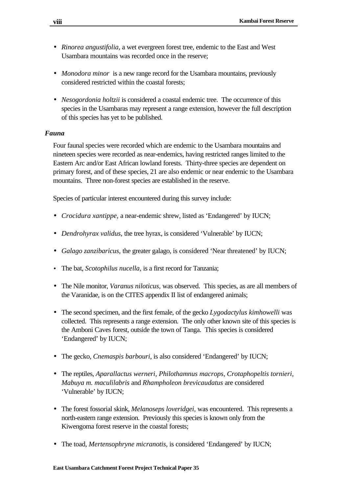- *Rinorea angustifolia,* a wet evergreen forest tree, endemic to the East and West Usambara mountains was recorded once in the reserve;
- *Monodora minor* is a new range record for the Usambara mountains, previously considered restricted within the coastal forests;
- *Nesogordonia holtzii* is considered a coastal endemic tree. The occurrence of this species in the Usambaras may represent a range extension, however the full description of this species has yet to be published.

#### *Fauna*

Four faunal species were recorded which are endemic to the Usambara mountains and nineteen species were recorded as near-endemics, having restricted ranges limited to the Eastern Arc and/or East African lowland forests. Thirty-three species are dependent on primary forest, and of these species, 21 are also endemic or near endemic to the Usambara mountains. Three non-forest species are established in the reserve.

Species of particular interest encountered during this survey include:

- *Crocidura xantippe,* a near-endemic shrew, listed as 'Endangered' by IUCN;
- *Dendrohyrax validus,* the tree hyrax, is considered 'Vulnerable' by IUCN;
- *Galago zanzibaricus,* the greater galago, is considered 'Near threatened' by IUCN;
- The bat, *Scotophilus nucella,* is a first record for Tanzania;
- The Nile monitor, *Varanus niloticus,* was observed. This species, as are all members of the Varanidae, is on the CITES appendix II list of endangered animals;
- The second specimen, and the first female, of the gecko *Lygodactylus kimhowelli* was collected. This represents a range extension. The only other known site of this species is the Amboni Caves forest, outside the town of Tanga. This species is considered 'Endangered' by IUCN;
- The gecko, *Cnemaspis barbouri*, is also considered 'Endangered' by IUCN;
- The reptiles, *Aparallactus werneri, Philothamnus macrops, Crotaphopeltis tornieri, Mabuya m. maculilabris* and *Rhampholeon brevicaudatus* are considered 'Vulnerable' by IUCN;
- The forest fossorial skink, *Melanoseps loveridgei,* was encountered. This represents a north-eastern range extension. Previously this species is known only from the Kiwengoma forest reserve in the coastal forests;
- The toad, *Mertensophryne micranotis,* is considered 'Endangered' by IUCN;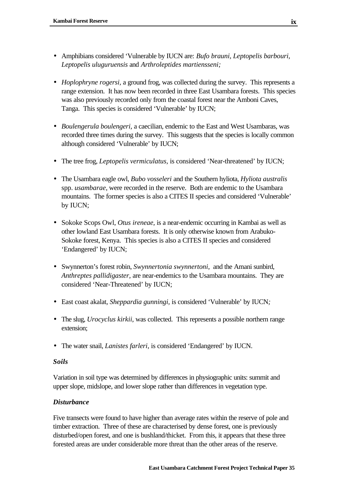- Amphibians considered 'Vulnerable by IUCN are: *Bufo brauni, Leptopelis barbouri, Leptopelis uluguruensis* and *Arthroleptides martiensseni;*
- *Hoplophryne rogersi,* a ground frog, was collected during the survey. This represents a range extension. It has now been recorded in three East Usambara forests. This species was also previously recorded only from the coastal forest near the Amboni Caves, Tanga. This species is considered 'Vulnerable' by IUCN;
- *Boulengerula boulengeri,* a caecilian, endemic to the East and West Usambaras, was recorded three times during the survey. This suggests that the species is locally common although considered 'Vulnerable' by IUCN;
- The tree frog, *Leptopelis vermiculatus,* is considered 'Near-threatened' by IUCN;
- The Usambara eagle owl, *Bubo vosseleri* and the Southern hyliota, *Hyliota australis* spp. *usambarae*, were recorded in the reserve. Both are endemic to the Usambara mountains. The former species is also a CITES II species and considered 'Vulnerable' by IUCN;
- Sokoke Scops Owl, *Otus ireneae,* is a near-endemic occurring in Kambai as well as other lowland East Usambara forests. It is only otherwise known from Arabuko-Sokoke forest, Kenya. This species is also a CITES II species and considered 'Endangered' by IUCN;
- Swynnerton's forest robin, *Swynnertonia swynnertoni*, and the Amani sunbird, *Anthreptes pallidigaster,* are near-endemics to the Usambara mountains. They are considered 'Near-Threatened' by IUCN;
- East coast akalat, *Sheppardia gunningi,* is considered 'Vulnerable' by IUCN*;*
- The slug, *Urocyclus kirkii*, was collected. This represents a possible northern range extension;
- The water snail, *Lanistes farleri,* is considered 'Endangered' by IUCN.

#### *Soils*

Variation in soil type was determined by differences in physiographic units: summit and upper slope, midslope, and lower slope rather than differences in vegetation type.

#### *Disturbance*

Five transects were found to have higher than average rates within the reserve of pole and timber extraction. Three of these are characterised by dense forest, one is previously disturbed/open forest, and one is bushland/thicket. From this, it appears that these three forested areas are under considerable more threat than the other areas of the reserve.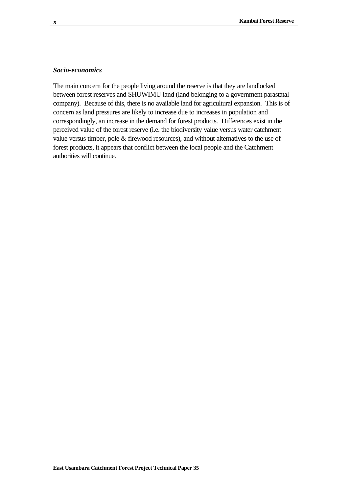#### *Socio-economics*

The main concern for the people living around the reserve is that they are landlocked between forest reserves and SHUWIMU land (land belonging to a government parastatal company). Because of this, there is no available land for agricultural expansion. This is of concern as land pressures are likely to increase due to increases in population and correspondingly, an increase in the demand for forest products. Differences exist in the perceived value of the forest reserve (i.e. the biodiversity value versus water catchment value versus timber, pole & firewood resources), and without alternatives to the use of forest products, it appears that conflict between the local people and the Catchment authorities will continue.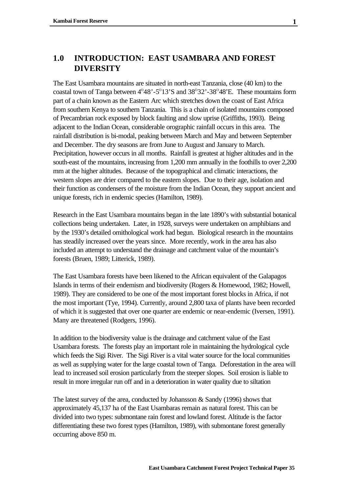## **1.0 INTRODUCTION: EAST USAMBARA AND FOREST DIVERSITY**

The East Usambara mountains are situated in north-east Tanzania, close (40 km) to the coastal town of Tanga between  $4^{\circ}48'$ -5 $^{\circ}13'$ S and  $38^{\circ}32'$ -38 $^{\circ}48'$ E. These mountains form part of a chain known as the Eastern Arc which stretches down the coast of East Africa from southern Kenya to southern Tanzania. This is a chain of isolated mountains composed of Precambrian rock exposed by block faulting and slow uprise (Griffiths, 1993). Being adjacent to the Indian Ocean, considerable orographic rainfall occurs in this area. The rainfall distribution is bi-modal, peaking between March and May and between September and December. The dry seasons are from June to August and January to March. Precipitation, however occurs in all months. Rainfall is greatest at higher altitudes and in the south-east of the mountains, increasing from 1,200 mm annually in the foothills to over 2,200 mm at the higher altitudes. Because of the topographical and climatic interactions, the western slopes are drier compared to the eastern slopes. Due to their age, isolation and their function as condensers of the moisture from the Indian Ocean, they support ancient and unique forests, rich in endemic species (Hamilton, 1989).

Research in the East Usambara mountains began in the late 1890's with substantial botanical collections being undertaken. Later, in 1928, surveys were undertaken on amphibians and by the 1930's detailed ornithological work had begun. Biological research in the mountains has steadily increased over the years since. More recently, work in the area has also included an attempt to understand the drainage and catchment value of the mountain's forests (Bruen, 1989; Litterick, 1989).

The East Usambara forests have been likened to the African equivalent of the Galapagos Islands in terms of their endemism and biodiversity (Rogers & Homewood, 1982; Howell, 1989). They are considered to be one of the most important forest blocks in Africa, if not the most important (Tye, 1994). Currently, around 2,800 taxa of plants have been recorded of which it is suggested that over one quarter are endemic or near-endemic (Iversen, 1991). Many are threatened (Rodgers, 1996).

In addition to the biodiversity value is the drainage and catchment value of the East Usambara forests. The forests play an important role in maintaining the hydrological cycle which feeds the Sigi River. The Sigi River is a vital water source for the local communities as well as supplying water for the large coastal town of Tanga. Deforestation in the area will lead to increased soil erosion particularly from the steeper slopes. Soil erosion is liable to result in more irregular run off and in a deterioration in water quality due to siltation

The latest survey of the area, conducted by Johansson & Sandy (1996) shows that approximately 45,137 ha of the East Usambaras remain as natural forest. This can be divided into two types: submontane rain forest and lowland forest. Altitude is the factor differentiating these two forest types (Hamilton, 1989), with submontane forest generally occurring above 850 m.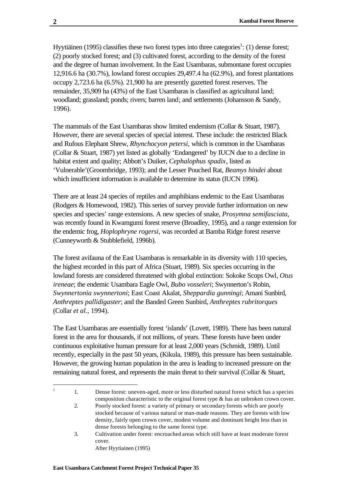Hyytiäinen (1995) classifies these two forest types into three categories<sup>1</sup>: (1) dense forest; (2) poorly stocked forest; and (3) cultivated forest, according to the density of the forest and the degree of human involvement. In the East Usambaras, submontane forest occupies 12,916.6 ha (30.7%), lowland forest occupies 29,497.4 ha (62.9%), and forest plantations occupy 2,723.6 ha (6.5%). 21,900 ha are presently gazetted forest reserves. The remainder, 35,909 ha (43%) of the East Usambaras is classified as agricultural land; woodland; grassland; ponds; rivers; barren land; and settlements (Johansson & Sandy, 1996).

The mammals of the East Usambaras show limited endemism (Collar & Stuart, 1987). However, there are several species of special interest. These include: the restricted Black and Rufous Elephant Shrew, *Rhynchocyon petersi,* which is common in the Usambaras (Collar & Stuart, 1987) yet listed as globally 'Endangered' by IUCN due to a decline in habitat extent and quality; Abbott's Duiker, *Cephalophus spadix*, listed as 'Vulnerable'(Groombridge, 1993); and the Lesser Pouched Rat, *Beamys hindei* about which insufficient information is available to determine its status (IUCN 1996).

There are at least 24 species of reptiles and amphibians endemic to the East Usambaras (Rodgers & Homewood, 1982). This series of survey provide further information on new species and species' range extensions. A new species of snake, *Prosymna semifasciata,* was recently found in Kwamgumi forest reserve (Broadley, 1995), and a range extension for the endemic frog, *Hoplophryne rogersi,* was recorded at Bamba Ridge forest reserve (Cunneyworth & Stubblefield, 1996b).

The forest avifauna of the East Usambaras is remarkable in its diversity with 110 species, the highest recorded in this part of Africa (Stuart, 1989). Six species occurring in the lowland forests are considered threatened with global extinction: Sokoke Scops Owl, *Otus ireneae*; the endemic Usambara Eagle Owl, *Bubo vosseleri*; Swynnerton's Robin, *Swynnertonia swynnertoni*; East Coast Akalat, *Sheppardia gunningi*; Amani Sunbird, *Anthreptes pallidigaster*; and the Banded Green Sunbird, *Anthreptes rubritorques* (Collar *et al.,* 1994).

The East Usambaras are essentially forest 'islands' (Lovett, 1989). There has been natural forest in the area for thousands, if not millions, of years. These forests have been under continuous exploitative human pressure for at least 2,000 years (Schmidt, 1989). Until recently, especially in the past 50 years, (Kikula, 1989), this pressure has been sustainable. However, the growing human population in the area is leading to increased pressure on the remaining natural forest, and represents the main threat to their survival (Collar & Stuart,

 $\frac{1}{1}$ 

<sup>1.</sup> Dense forest: uneven-aged, more or less disturbed natural forest which has a species composition characteristic to the original forest type & has an unbroken crown cover.

<sup>2.</sup> Poorly stocked forest: a variety of primary or secondary forests which are poorly stocked because of various natural or man-made reasons. They are forests with low density, fairly open crown cover, modest volume and dominant height less than in dense forests belonging to the same forest type.

<sup>3.</sup> Cultivation under forest: encroached areas which still have at least moderate forest cover. After Hyytiainen (1995)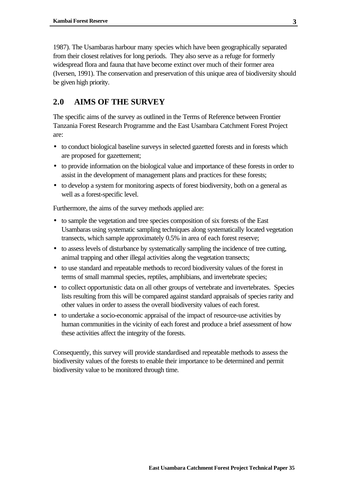1987). The Usambaras harbour many species which have been geographically separated from their closest relatives for long periods. They also serve as a refuge for formerly widespread flora and fauna that have become extinct over much of their former area (Iversen, 1991). The conservation and preservation of this unique area of biodiversity should be given high priority.

## **2.0 AIMS OF THE SURVEY**

The specific aims of the survey as outlined in the Terms of Reference between Frontier Tanzania Forest Research Programme and the East Usambara Catchment Forest Project are:

- to conduct biological baseline surveys in selected gazetted forests and in forests which are proposed for gazettement;
- to provide information on the biological value and importance of these forests in order to assist in the development of management plans and practices for these forests;
- to develop a system for monitoring aspects of forest biodiversity, both on a general as well as a forest-specific level.

Furthermore, the aims of the survey methods applied are:

- to sample the vegetation and tree species composition of six forests of the East Usambaras using systematic sampling techniques along systematically located vegetation transects, which sample approximately 0.5% in area of each forest reserve;
- to assess levels of disturbance by systematically sampling the incidence of tree cutting, animal trapping and other illegal activities along the vegetation transects;
- to use standard and repeatable methods to record biodiversity values of the forest in terms of small mammal species, reptiles, amphibians, and invertebrate species;
- to collect opportunistic data on all other groups of vertebrate and invertebrates. Species lists resulting from this will be compared against standard appraisals of species rarity and other values in order to assess the overall biodiversity values of each forest.
- to undertake a socio-economic appraisal of the impact of resource-use activities by human communities in the vicinity of each forest and produce a brief assessment of how these activities affect the integrity of the forests.

Consequently, this survey will provide standardised and repeatable methods to assess the biodiversity values of the forests to enable their importance to be determined and permit biodiversity value to be monitored through time.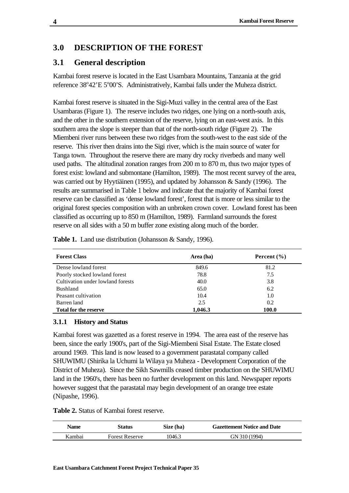## **3.0 DESCRIPTION OF THE FOREST**

## **3.1 General description**

Kambai forest reserve is located in the East Usambara Mountains, Tanzania at the grid reference 38°42'E 5°00'S. Administratively, Kambai falls under the Muheza district.

Kambai forest reserve is situated in the Sigi-Muzi valley in the central area of the East Usambaras (Figure 1). The reserve includes two ridges, one lying on a north-south axis, and the other in the southern extension of the reserve, lying on an east-west axis. In this southern area the slope is steeper than that of the north-south ridge (Figure 2). The Miembeni river runs between these two ridges from the south-west to the east side of the reserve. This river then drains into the Sigi river, which is the main source of water for Tanga town. Throughout the reserve there are many dry rocky riverbeds and many well used paths. The altitudinal zonation ranges from 200 m to 870 m, thus two major types of forest exist: lowland and submontane (Hamilton, 1989). The most recent survey of the area, was carried out by Hyytiäinen (1995), and updated by Johansson & Sandy (1996). The results are summarised in Table 1 below and indicate that the majority of Kambai forest reserve can be classified as 'dense lowland forest', forest that is more or less similar to the original forest species composition with an unbroken crown cover. Lowland forest has been classified as occurring up to 850 m (Hamilton, 1989).Farmland surrounds the forest reserve on all sides with a 50 m buffer zone existing along much of the border.

| <b>Forest Class</b>               | Area (ha) | Percent $(\% )$ |
|-----------------------------------|-----------|-----------------|
| Dense lowland forest              | 849.6     | 81.2            |
| Poorly stocked lowland forest     | 78.8      | 7.5             |
| Cultivation under lowland forests | 40.0      | 3.8             |
| <b>Bushland</b>                   | 65.0      | 6.2             |
| Peasant cultivation               | 10.4      | 1.0             |
| Barren land                       | 2.5       | 0.2             |
| <b>Total for the reserve</b>      | 1,046.3   | 100.0           |

**Table 1.** Land use distribution (Johansson & Sandy, 1996).

#### **3.1.1 History and Status**

Kambai forest was gazetted as a forest reserve in 1994. The area east of the reserve has been, since the early 1900's, part of the Sigi-Miembeni Sisal Estate. The Estate closed around 1969. This land is now leased to a government parastatal company called SHUWIMU (Shirika la Uchumi la Wilaya ya Muheza - Development Corporation of the District of Muheza). Since the Sikh Sawmills ceased timber production on the SHUWIMU land in the 1960's, there has been no further development on this land. Newspaper reports however suggest that the parastatal may begin development of an orange tree estate (Nipashe, 1996).

**Table 2.** Status of Kambai forest reserve.

| Name   | Status                | Size (ha) | <b>Gazettement Notice and Date</b> |  |
|--------|-----------------------|-----------|------------------------------------|--|
| Kambai | <b>Forest Reserve</b> | 1046.3    | GN 310 (1994)                      |  |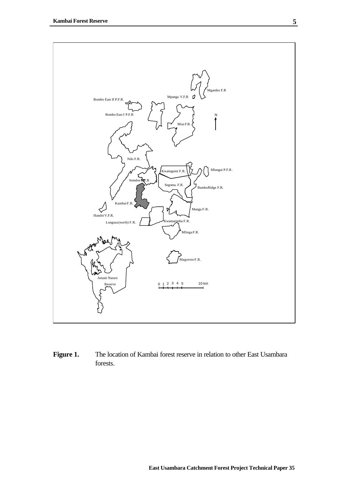

Figure 1. The location of Kambai forest reserve in relation to other East Usambara forests.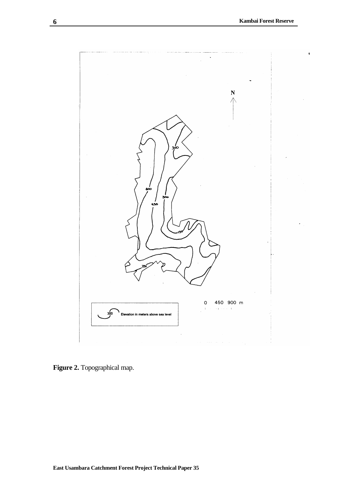$\blacksquare$ 



**Figure 2.** Topographical map.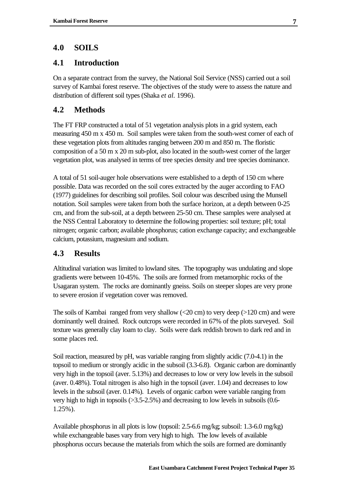## **4.0 SOILS**

## **4.1 Introduction**

On a separate contract from the survey, the National Soil Service (NSS) carried out a soil survey of Kambai forest reserve. The objectives of the study were to assess the nature and distribution of different soil types (Shaka *et al.* 1996).

## **4.2 Methods**

The FT FRP constructed a total of 51 vegetation analysis plots in a grid system, each measuring 450 m x 450 m. Soil samples were taken from the south-west corner of each of these vegetation plots from altitudes ranging between 200 m and 850 m. The floristic composition of a 50 m x 20 m sub-plot, also located in the south-west corner of the larger vegetation plot, was analysed in terms of tree species density and tree species dominance.

A total of 51 soil-auger hole observations were established to a depth of 150 cm where possible. Data was recorded on the soil cores extracted by the auger according to FAO (1977) guidelines for describing soil profiles. Soil colour was described using the Munsell notation. Soil samples were taken from both the surface horizon, at a depth between 0-25 cm, and from the sub-soil, at a depth between 25-50 cm. These samples were analysed at the NSS Central Laboratory to determine the following properties: soil texture; pH; total nitrogen; organic carbon; available phosphorus; cation exchange capacity; and exchangeable calcium, potassium, magnesium and sodium.

## **4.3 Results**

Altitudinal variation was limited to lowland sites. The topography was undulating and slope gradients were between 10-45%. The soils are formed from metamorphic rocks of the Usagaran system. The rocks are dominantly gneiss. Soils on steeper slopes are very prone to severe erosion if vegetation cover was removed.

The soils of Kambai ranged from very shallow  $\langle 20 \text{ cm} \rangle$  to very deep ( $>120 \text{ cm}$ ) and were dominantly well drained. Rock outcrops were recorded in 67% of the plots surveyed. Soil texture was generally clay loam to clay. Soils were dark reddish brown to dark red and in some places red.

Soil reaction, measured by pH, was variable ranging from slightly acidic (7.0-4.1) in the topsoil to medium or strongly acidic in the subsoil (3.3-6.8). Organic carbon are dominantly very high in the topsoil (aver. 5.13%) and decreases to low or very low levels in the subsoil (aver. 0.48%). Total nitrogen is also high in the topsoil (aver. 1.04) and decreases to low levels in the subsoil (aver. 0.14%). Levels of organic carbon were variable ranging from very high to high in topsoils (>3.5-2.5%) and decreasing to low levels in subsoils (0.6- 1.25%).

Available phosphorus in all plots is low (topsoil: 2.5-6.6 mg/kg; subsoil: 1.3-6.0 mg/kg) while exchangeable bases vary from very high to high. The low levels of available phosphorus occurs because the materials from which the soils are formed are dominantly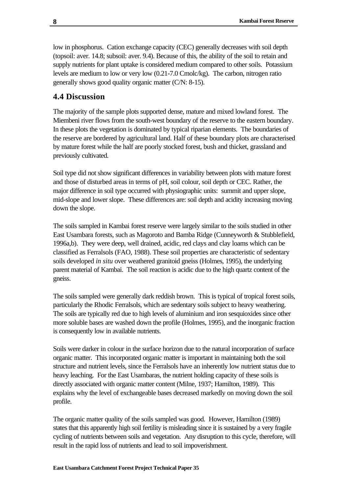low in phosphorus. Cation exchange capacity (CEC) generally decreases with soil depth (topsoil: aver. 14.8; subsoil: aver. 9.4). Because of this, the ability of the soil to retain and supply nutrients for plant uptake is considered medium compared to other soils. Potassium levels are medium to low or very low (0.21-7.0 Cmolc/kg). The carbon, nitrogen ratio generally shows good quality organic matter (C/N: 8-15).

## **4.4 Discussion**

The majority of the sample plots supported dense, mature and mixed lowland forest. The Miembeni river flows from the south-west boundary of the reserve to the eastern boundary. In these plots the vegetation is dominated by typical riparian elements. The boundaries of the reserve are bordered by agricultural land. Half of these boundary plots are characterised by mature forest while the half are poorly stocked forest, bush and thicket, grassland and previously cultivated.

Soil type did not show significant differences in variability between plots with mature forest and those of disturbed areas in terms of pH, soil colour, soil depth or CEC. Rather, the major difference in soil type occurred with physiographic units: summit and upper slope, mid-slope and lower slope. These differences are: soil depth and acidity increasing moving down the slope.

The soils sampled in Kambai forest reserve were largely similar to the soils studied in other East Usambara forests, such as Magoroto and Bamba Ridge (Cunneyworth & Stubblefield, 1996a,b). They were deep, well drained, acidic, red clays and clay loams which can be classified as Ferralsols (FAO, 1988). These soil properties are characteristic of sedentary soils developed *in situ* over weathered granitoid gneiss (Holmes, 1995), the underlying parent material of Kambai. The soil reaction is acidic due to the high quartz content of the gneiss.

The soils sampled were generally dark reddish brown. This is typical of tropical forest soils, particularly the Rhodic Ferralsols, which are sedentary soils subject to heavy weathering. The soils are typically red due to high levels of aluminium and iron sesquioxides since other more soluble bases are washed down the profile (Holmes, 1995), and the inorganic fraction is consequently low in available nutrients.

Soils were darker in colour in the surface horizon due to the natural incorporation of surface organic matter. This incorporated organic matter is important in maintaining both the soil structure and nutrient levels, since the Ferralsols have an inherently low nutrient status due to heavy leaching. For the East Usambaras, the nutrient holding capacity of these soils is directly associated with organic matter content (Milne, 1937; Hamilton, 1989). This explains why the level of exchangeable bases decreased markedly on moving down the soil profile.

The organic matter quality of the soils sampled was good. However, Hamilton (1989) states that this apparently high soil fertility is misleading since it is sustained by a very fragile cycling of nutrients between soils and vegetation. Any disruption to this cycle, therefore, will result in the rapid loss of nutrients and lead to soil impoverishment.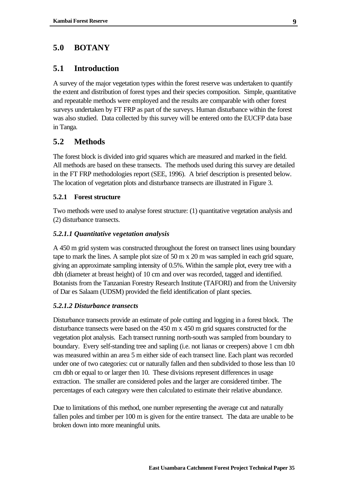## **5.0 BOTANY**

#### **5.1 Introduction**

A survey of the major vegetation types within the forest reserve was undertaken to quantify the extent and distribution of forest types and their species composition. Simple, quantitative and repeatable methods were employed and the results are comparable with other forest surveys undertaken by FT FRP as part of the surveys. Human disturbance within the forest was also studied. Data collected by this survey will be entered onto the EUCFP data base in Tanga.

#### **5.2 Methods**

The forest block is divided into grid squares which are measured and marked in the field. All methods are based on these transects. The methods used during this survey are detailed in the FT FRP methodologies report (SEE, 1996). A brief description is presented below. The location of vegetation plots and disturbance transects are illustrated in Figure 3.

#### **5.2.1 Forest structure**

Two methods were used to analyse forest structure: (1) quantitative vegetation analysis and (2) disturbance transects.

#### *5.2.1.1 Quantitative vegetation analysis*

A 450 m grid system was constructed throughout the forest on transect lines using boundary tape to mark the lines. A sample plot size of 50 m x 20 m was sampled in each grid square, giving an approximate sampling intensity of 0.5%. Within the sample plot, every tree with a dbh (diameter at breast height) of 10 cm and over was recorded, tagged and identified. Botanists from the Tanzanian Forestry Research Institute (TAFORI) and from the University of Dar es Salaam (UDSM) provided the field identification of plant species.

#### *5.2.1.2 Disturbance transects*

Disturbance transects provide an estimate of pole cutting and logging in a forest block. The disturbance transects were based on the 450 m x 450 m grid squares constructed for the vegetation plot analysis. Each transect running north-south was sampled from boundary to boundary. Every self-standing tree and sapling (i.e. not lianas or creepers) above 1 cm dbh was measured within an area 5 m either side of each transect line. Each plant was recorded under one of two categories: cut or naturally fallen and then subdivided to those less than 10 cm dbh or equal to or larger then 10. These divisions represent differences in usage extraction. The smaller are considered poles and the larger are considered timber. The percentages of each category were then calculated to estimate their relative abundance.

Due to limitations of this method, one number representing the average cut and naturally fallen poles and timber per 100 m is given for the entire transect. The data are unable to be broken down into more meaningful units.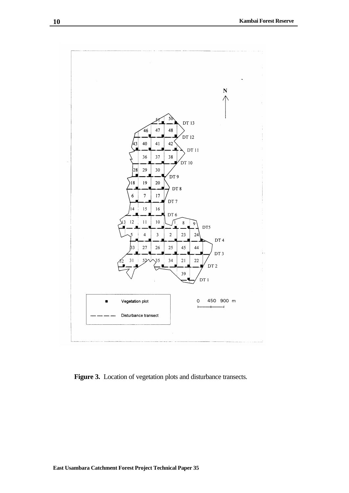

Figure 3. Location of vegetation plots and disturbance transects.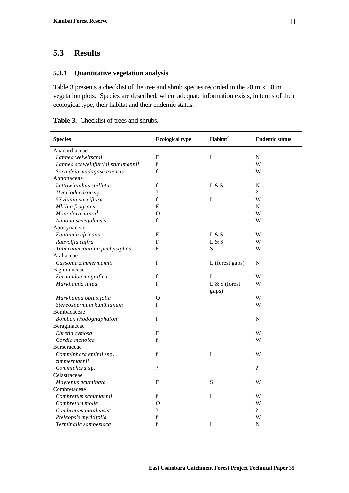## **5.3 Results**

## **5.3.1 Quantitative vegetation analysis**

Table 3 presents a checklist of the tree and shrub species recorded in the 20 m x 50 m vegetation plots. Species are described, where adequate information exists, in terms of their ecological type, their habitat and their endemic status.

| <b>Species</b>                    | <b>Ecological type</b> | Habitat <sup>2</sup> | <b>Endemic status</b> |
|-----------------------------------|------------------------|----------------------|-----------------------|
| Anacardiaceae                     |                        |                      |                       |
| Lannea welwitschii                | F                      | L                    | ${\bf N}$             |
| Lannea schweinfurthii stuhlmannii | $\mathbf f$            |                      | W                     |
| Sorindeia madagascariensis        | $\mathbf f$            |                      | W                     |
| Annonaceae                        |                        |                      |                       |
| Lettowianthus stellatus           | $\mathbf f$            | L & S                | ${\bf N}$             |
| Uvariodendron sp.                 | $\overline{\cdot}$     |                      | $\overline{?}$        |
| 5Xylopia parviflora               | $\mathbf f$            | L                    | W                     |
| Mkilua fragrans                   | $\mathbf{F}$           |                      | N                     |
| Monodora minor <sup>1</sup>       | $\Omega$               |                      | W                     |
| Annona senegalensis               | $\mathbf{f}$           |                      | W                     |
| Apocynaceae                       |                        |                      |                       |
| Funtumia africana                 | F                      | L & S                | W                     |
| Rauvolfia caffra                  | F                      | L & S                | W                     |
| Tabernaemontana pachysiphon       | F                      | S                    | W                     |
| Araliaceae                        |                        |                      |                       |
| Cussonia zimmermannii             | $\mathbf f$            | L (forest gaps)      | $\mathbf N$           |
| Bignoniaceae                      |                        |                      |                       |
| Fernandoa magnifica               | f                      | L                    | W                     |
| Markhamia lutea                   | $\mathbf f$            | $L & S$ (forest      | W                     |
|                                   |                        | gaps)                |                       |
| Markhamia obtusifolia             | $\Omega$               |                      | W                     |
| Stereospermum kunthianum          | $\mathbf{f}$           |                      | W                     |
| Bombacaceae                       |                        |                      |                       |
| Bombax rhodognaphalon             | $\mathbf f$            |                      | ${\bf N}$             |
| Boraginaceae                      |                        |                      |                       |
| Ehretia cymosa                    | F                      |                      | W                     |
| Cordia monoica                    | f                      |                      | W                     |
| Burseraceae                       |                        |                      |                       |
| Commiphora eminii ssp.            | $\mathbf f$            | $\mathbf{L}$         | W                     |
| zimmermannii                      |                        |                      |                       |
| Commiphora sp.                    | $\overline{?}$         |                      | $\overline{?}$        |
| Celastraceae                      |                        |                      |                       |
| Maytenus acuminata                | F                      | S                    | W                     |
| Combretaceae                      |                        |                      |                       |
| Combretum schumannii              | f                      | L                    | W                     |
| Combretum molle                   | $\overline{O}$         |                      | W                     |
| Combretum natalensis $1$          | $\gamma$               |                      | $\gamma$              |
| Pteleopsis myritifolia            | $\mathbf f$            |                      | W                     |
| Terminalia sambesiaca             | $\mathbf f$            | L                    | ${\bf N}$             |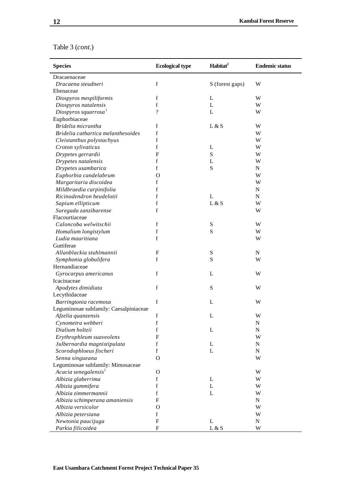| <b>Species</b>                         | <b>Ecological type</b> | Habitat <sup>2</sup> | <b>Endemic status</b> |
|----------------------------------------|------------------------|----------------------|-----------------------|
| Dracaenaceae                           |                        |                      |                       |
| Dracaena steudneri                     | f                      | S (forest gaps)      | W                     |
| Ebenaceae                              |                        |                      |                       |
| Diospyros mespiliformis                | f                      | L                    | W                     |
| Diospyros natalensis                   | $\mathbf f$            | L                    | W                     |
| Diospyros squarrosa                    | $\overline{\cdot}$     | L                    | W                     |
| Euphorbiaceae                          |                        |                      |                       |
| Bridelia micrantha                     | f                      | L & S                | W                     |
| Bridelia cathartica melanthesoides     | $\mathbf f$            |                      | W                     |
| Cleistanthus polystachyus              | $\mathbf f$            |                      | W                     |
| Croton sylivaticus                     | $\mathbf f$            | L                    | W                     |
| Drypetes gerrardii                     | $\mathbf F$            | ${\bf S}$            | W                     |
| Drypetes natalensis                    | $\mathbf f$            | L                    | W                     |
| Drypetes usambarica                    | $\mathbf f$            | ${\bf S}$            | N                     |
| Euphorbia candelabrum                  | O                      |                      | W                     |
| Margaritaria discoidea                 | f                      |                      | W                     |
| Mildbraedia carpinifolia               | f                      |                      | N                     |
| Ricinodendron heudelotii               | $\mathbf f$            | L                    | N                     |
| Sapium ellipticum                      | $\mathbf f$            | L & S                | W                     |
| Suregada zanzibarense                  | $\mathbf f$            |                      | W                     |
| Flacourtiaceae                         |                        |                      |                       |
| Caloncoba welwitschii                  | $\mathbf f$            | ${\mathbf S}$        | W                     |
| Homalium longistylum                   | $\mathbf f$            | S                    | W                     |
| Ludia mauritiana                       | $\mathbf f$            |                      | W                     |
| Guttiferae                             |                        |                      |                       |
| Allanblackia stuhlmannii               | F                      | S                    | N                     |
| Symphonia globulifera                  | f                      | S                    | W                     |
| Hernandiaceae                          |                        |                      |                       |
| Gyrocarpus americanus                  | $\mathbf f$            | L                    | W                     |
| Icacinaceae                            |                        |                      |                       |
| Apodytes dimidiata                     | $\mathbf f$            | S                    | W                     |
| Lecythidaceae                          |                        |                      |                       |
| Barringtonia racemosa                  | $\mathbf f$            | L                    | W                     |
| Leguminosae subfamily: Caesalpiniaceae |                        |                      |                       |
| Afzelia quanzensis                     | f                      | L                    | W                     |
| Cynometra webberi                      | $\mathbf f$            |                      | ${\bf N}$             |
| Dialium holtzii                        | $\mathbf f$            | L                    | ${\bf N}$             |
| Erythrophleum suaveolens               | F                      |                      | W                     |
| Julbernardia magnistipulata            | f                      | L                    | N                     |
| Scorodophloeus fischeri                | f                      | L                    | N                     |
| Senna singueana                        | $\Omega$               |                      | W                     |
| Leguminosae subfamily: Mimosaceae      |                        |                      |                       |
| Acacia senegalensis <sup>1</sup>       | O                      |                      | W                     |
| Albizia glaberrima                     | f                      | L                    | W                     |
| Albizia gummifera                      | f                      | L                    | W                     |
| Albizia zimmermannii                   | f                      | L                    | W                     |
| Albizia schimperana amaniensis         | F                      |                      | N                     |
| Albizia versicolor                     | O                      |                      | W                     |
|                                        | f                      |                      | W                     |
| Albizia petersiana                     | $\mathbf F$            |                      | N                     |
| Newtonia paucijuga                     | ${\bf F}$              | L<br>L & S           | W                     |
| Parkia filicoidea                      |                        |                      |                       |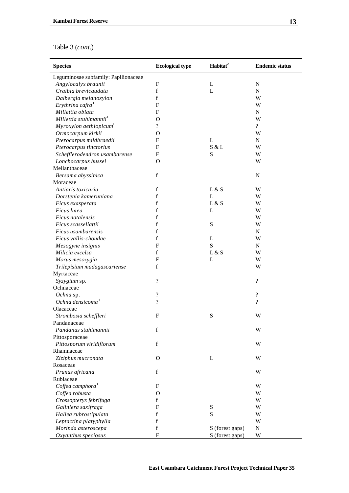| <b>Species</b>                            | <b>Ecological type</b>     | Habitat <sup>2</sup> | <b>Endemic status</b> |
|-------------------------------------------|----------------------------|----------------------|-----------------------|
| Leguminosae subfamily: Papilionaceae      |                            |                      |                       |
| Angylocalyx braunii                       | F                          | L                    | $\mathbf N$           |
| Craibia brevicaudata                      | f                          | L                    | ${\bf N}$             |
| Dalbergia melanoxylon                     | f                          |                      | W                     |
| Erythrina cafra <sup>1</sup>              | F                          |                      | W                     |
| Millettia oblata                          | F                          |                      | ${\bf N}$             |
| Millettia stuhlmannii <sup>1</sup>        | $\Omega$                   |                      | W                     |
| Myroxylon aethiopicum <sup>1</sup>        | $\gamma$                   |                      | $\overline{?}$        |
| Ormocarpum kirkii                         | O                          |                      | W                     |
| Pterocarpus mildbraedii                   | $\mathbf{F}$               | L                    | N                     |
| Pterocarpus tinctorius                    | $\mathbf{F}$               | S & L                | W                     |
| Schefflerodendron usambarense             | $\mathbf{F}$               | S                    | W                     |
| Lonchocarpus bussei                       | $\mathbf O$                |                      | W                     |
| Melianthaceae                             |                            |                      |                       |
| Bersama abyssinica                        | $\mathbf f$                |                      | $\mathbf N$           |
| Moraceae                                  |                            |                      |                       |
| Antiaris toxicaria                        | $\mathbf f$                | L & S                | W                     |
| Dorstenia kameruniana                     | f                          | L                    | W                     |
| Ficus exasperata                          | f                          | L & S                | W                     |
| Ficus lutea                               | f                          | L                    | W                     |
| <i>Ficus natalensis</i>                   | f                          |                      | W                     |
| Ficus scassellattii                       | f                          | S                    | W                     |
| Ficus usambarensis                        | f                          |                      | N                     |
| Ficus vallis-choudae                      | f                          | L                    | W                     |
| Mesogyne insignis                         | $\mathbf F$                | S                    | N                     |
| Milicia excelsa                           | f                          | L & S                | W                     |
|                                           | $\mathbf{F}$               | L                    | W                     |
| Morus mesozygia                           | f                          |                      | W                     |
| Trilepisium madagascariense               |                            |                      |                       |
| Myrtaceae                                 | $\overline{\mathcal{L}}$   |                      | $\overline{\cdot}$    |
| Syzygium sp.<br>Ochnaceae                 |                            |                      |                       |
|                                           | $\boldsymbol{\mathcal{P}}$ |                      | $\overline{\cdot}$    |
| Ochna sp.<br>Ochna densicoma <sup>1</sup> | $\overline{\mathcal{L}}$   |                      | $\overline{\cdot}$    |
| Olacaceae                                 |                            |                      |                       |
|                                           | $\mathbf{F}$               | S                    |                       |
| Strombosia scheffleri<br>Pandanaceae      |                            |                      | W                     |
|                                           |                            |                      |                       |
| Pandanus stuhlmannii                      | f                          |                      | W                     |
| Pittosporaceae                            |                            |                      |                       |
| Pittosporum viridiflorum                  | $\mathbf f$                |                      | W                     |
| Rhamnaceae                                |                            |                      |                       |
| Ziziphus mucronata                        | $\Omega$                   | L                    | W                     |
| Rosaceae                                  |                            |                      |                       |
| Prunus africana                           | $\mathbf f$                |                      | W                     |
| Rubiaceae                                 |                            |                      |                       |
| Coffea camphora $1$                       | $\mathbf{F}$               |                      | W                     |
| Coffea robusta                            | $\Omega$                   |                      | W                     |
| Crossopteryx febrifuga                    | f                          |                      | W                     |
| Galiniera saxifraga                       | $\mathbf{F}$               | S                    | W                     |
| Hallea rubrostipulata                     | f                          | S                    | W                     |
| Leptactina platyphylla                    | f                          |                      | W                     |
| Morinda asteroscepa                       | f                          | S (forest gaps)      | ${\bf N}$             |
| Oxyanthus speciosus                       | $\mathbf F$                | S (forest gaps)      | W                     |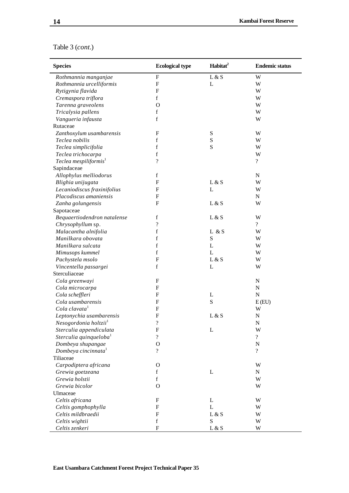| <b>Species</b>                            | <b>Ecological type</b>   | Habitat <sup>2</sup> | <b>Endemic status</b>    |
|-------------------------------------------|--------------------------|----------------------|--------------------------|
| Rothmannia manganjae                      | $\mathbf{F}$             | L & S                | W                        |
| Rothmannia urcelliformis                  | $\mathbf{F}$             | L                    | W                        |
| Rytigynia flavida                         | F                        |                      | W                        |
| Cremaspora triflora                       | $\mathbf f$              |                      | W                        |
| Tarenna graveolens                        | $\Omega$                 |                      | W                        |
| Tricalysia pallens                        | f                        |                      | W                        |
| Vangueria infausta                        | $\mathbf f$              |                      | W                        |
| Rutaceae                                  |                          |                      |                          |
| Zanthoxylum usambarensis                  | $\mathbf{F}$             | ${\bf S}$            | W                        |
| Teclea nobilis                            | $\mathbf f$              | ${\bf S}$            | W                        |
| Teclea simplicifolia                      | $\mathbf f$              | S                    | W                        |
| Teclea trichocarpa                        | $\mathbf f$              |                      | W                        |
| Teclea mespiliformis <sup>1</sup>         | $\gamma$                 |                      | $\overline{\mathcal{L}}$ |
| Sapindaceae                               |                          |                      |                          |
| Allophylus melliodorus                    | $\mathbf f$              |                      | N                        |
| Blighia unijugata                         | F                        | L & S                | W                        |
| Lecaniodiscus fraxinifolius               | F                        | L                    | W                        |
| Placodiscus amaniensis                    | F                        |                      | N                        |
| Zanha golungensis                         | $\mathbf{F}$             | L & S                | W                        |
| Sapotaceae                                |                          |                      |                          |
| Bequaertiodendron natalense               | $\mathbf f$              | L & S                | W                        |
| Chrysophyllum sp.                         | $\overline{\mathcal{L}}$ |                      | $\overline{\mathcal{C}}$ |
| Malacantha alnifolia                      | $\mathbf f$              | L & S                | W                        |
| Manilkara obovata                         | $\mathbf f$              | S                    | W                        |
| Manilkara sulcata                         | $\mathbf f$              | L                    | W                        |
| Mimusops kummel                           | $\mathbf f$              | $\mathbf{L}$         | W                        |
| Pachystela msolo                          | $\mathbf{F}$             | L & S                | W                        |
| Vincentella passargei                     | $\mathbf f$              | L                    | W                        |
| Sterculiaceae                             |                          |                      |                          |
| Cola greenwayi                            | $\mathbf{F}$             |                      | $\mathbf N$              |
| Cola microcarpa                           | F                        |                      | ${\bf N}$                |
| Cola scheffleri                           | F                        | L                    | ${\bf N}$                |
| Cola usambarensis                         | F                        | ${\bf S}$            | E(EU)                    |
| Cola clavata <sup>1</sup>                 | F                        |                      | W                        |
| Leptonychia usambarensis                  | $\mathbf{F}$             | L & S                | N                        |
| Nesogordonia holtzii <sup>1</sup>         | ?                        |                      | N                        |
| Sterculia appendiculata                   | $\mathbf{F}$             | L                    | W                        |
| Sterculia quinqueloba <sup>1</sup>        | $\ddot{?}$               |                      | $\overline{\mathcal{L}}$ |
| Dombeya shupangae                         | $\Omega$                 |                      | ${\bf N}$                |
| Dombeya cincinnata <sup>1</sup>           | $\overline{?}$           |                      | $\overline{?}$           |
| Tiliaceae                                 |                          |                      |                          |
| Carpodiptera africana                     | $\mathbf{O}$             |                      | W                        |
| Grewia goetzeana                          | f                        | L                    | N                        |
| Grewia holstii                            | $\mathbf f$              |                      | W                        |
| Grewia bicolor                            | $\Omega$                 |                      | W                        |
| Ulmaceae                                  |                          |                      |                          |
| Celtis africana                           | $\mathbf{F}$             | L                    | W                        |
|                                           | $\mathbf{F}$             | L                    | W                        |
| Celtis gomphophylla<br>Celtis mildbraedii | $\mathbf{F}$             |                      |                          |
|                                           | $\mathbf f$              | L & S<br>S           | W                        |
| Celtis wightii                            | ${\bf F}$                |                      | W<br>W                   |
| Celtis zenkeri                            |                          | L & S                |                          |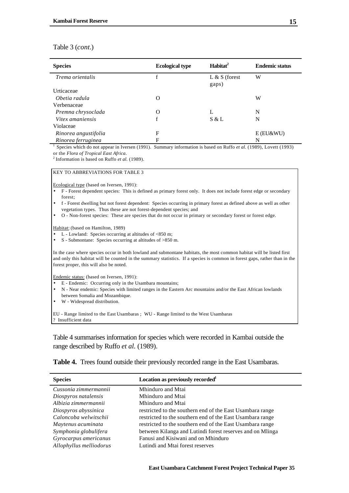| <b>Species</b>       | <b>Ecological type</b> | Habitat <sup>2</sup>     | <b>Endemic status</b> |
|----------------------|------------------------|--------------------------|-----------------------|
| Trema orientalis     |                        | $L & S$ (forest<br>gaps) | W                     |
| Urticaceae           |                        |                          |                       |
| Obetia radula        | O                      |                          | W                     |
| Verbenaceae          |                        |                          |                       |
| Premna chrysoclada   | O                      |                          | N                     |
| Vitex amaniensis     | f                      | S & L                    | N                     |
| Violaceae            |                        |                          |                       |
| Rinorea angustifolia | F                      |                          | $E$ (EU&WU)           |
| Rinorea ferruginea   | F                      |                          | N                     |

<sup>1</sup> Species which do not appear in Iversen (1991). Summary information is based on Ruffo *et al.* (1989), Lovett (1993) or the *Flora of Tropical East Africa*.

 $2$  Information is based on Ruffo *et al.* (1989).

#### KEY TO ABBREVIATIONS FOR TABLE 3

Ecological type (based on Iversen, 1991):

- F Forest dependent species: This is defined as primary forest only. It does not include forest edge or secondary forest;
- f Forest dwelling but not forest dependent: Species occurring in primary forest as defined above as well as other vegetation types. Thus these are not forest-dependent species; and
- O Non-forest species: These are species that do not occur in primary or secondary forest or forest edge.

Habitat: (based on Hamilton, 1989)

- L Lowland: Species occurring at altitudes of <850 m;
- S Submontane: Species occurring at altitudes of >850 m.

In the case where species occur in both lowland and submontane habitats, the most common habitat will be listed first and only this habitat will be counted in the summary statistics. If a species is common in forest gaps, rather than in the forest proper, this will also be noted.

Endemic status: (based on Iversen, 1991):

- E Endemic: Occurring only in the Usambara mountains;
- N Near endemic: Species with limited ranges in the Eastern Arc mountains and/or the East African lowlands between Somalia and Mozambique.
- W Widespread distribution.

EU - Range limited to the East Usambaras ; WU - Range limited to the West Usambaras ? Insufficient data

Table 4 summarises information for species which were recorded in Kambai outside the range described by Ruffo *et al.* (1989).

| <b>Species</b>          | Location as previously recorded <sup>1</sup>              |
|-------------------------|-----------------------------------------------------------|
| Cussonia zimmermannii   | Mhinduro and Mtai                                         |
| Diospyros natalensis    | Mhinduro and Mtai                                         |
| Albizia zimmermannii    | Mhinduro and Mtai                                         |
| Diospyros abyssinica    | restricted to the southern end of the East Usambara range |
| Caloncoba welwitschii   | restricted to the southern end of the East Usambara range |
| Maytenus acuminata      | restricted to the southern end of the East Usambara range |
| Symphonia globulifera   | between Kilanga and Lutindi forest reserves and on Mlinga |
| Gyrocarpus americanus   | Fanusi and Kisiwani and on Mhinduro                       |
| Allophyllus melliodorus | Lutindi and Mtai forest reserves                          |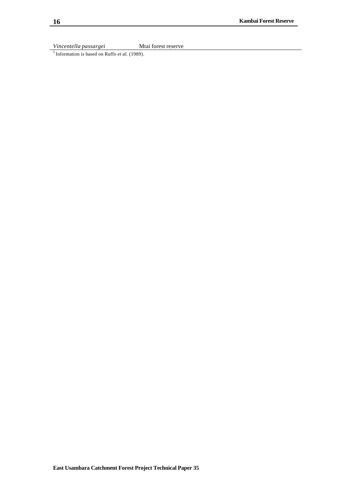*Vincentella passargei* Mtai forest reserve

<sup>1</sup> Information is based on Ruffo *et al.* (1989).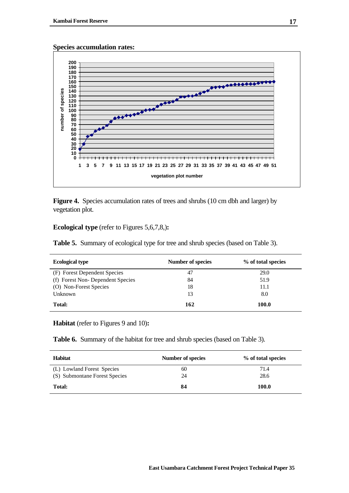**Species accumulation rates:**



Figure 4. Species accumulation rates of trees and shrubs (10 cm dbh and larger) by vegetation plot.

#### **Ecological type** (refer to Figures 5,6,7,8,)**:**

**Table 5.** Summary of ecological type for tree and shrub species (based on Table 3).

| <b>Ecological type</b>           | Number of species | % of total species |
|----------------------------------|-------------------|--------------------|
| (F) Forest Dependent Species     | 47                | 29.0               |
| (f) Forest Non-Dependent Species | 84                | 51.9               |
| (O) Non-Forest Species           | 18                | 11.1               |
| Unknown                          | 13                | 8.0                |
| Total:                           | 162               | 100.0              |

**Habitat** (refer to Figures 9 and 10)**:**

**Table 6.** Summary of the habitat for tree and shrub species (based on Table 3).

| <b>Habitat</b>                | Number of species | % of total species |
|-------------------------------|-------------------|--------------------|
| (L) Lowland Forest Species    | 60                | 71.4               |
| (S) Submontane Forest Species | 24                | 28.6               |
| Total:                        | 84                | 100.0              |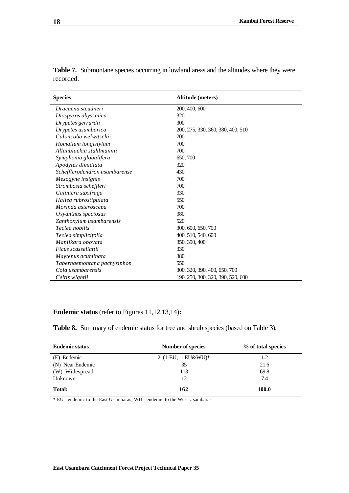| <b>Species</b>                | Altitude (meters)                 |  |
|-------------------------------|-----------------------------------|--|
| Dracaena steudneri            | 200, 400, 600                     |  |
| Diospyros abyssinica          | 320                               |  |
| Drypetes gerrardii            | 300                               |  |
| Drypetes usambarica           | 200, 275, 330, 360, 380, 400, 510 |  |
| Caloncoba welwitschii         | 700                               |  |
| Homalium longistylum          | 700                               |  |
| Allanblackia stuhlmannii      | 700                               |  |
| Symphonia globulifera         | 650, 700                          |  |
| Apodytes dimidiata            | 320                               |  |
| Schefflerodendron usambarense | 430                               |  |
| Mesogyne insignis             | 700                               |  |
| Strombosia scheffleri         | 700                               |  |
| Galiniera saxifraga           | 330                               |  |
| Hallea rubrostipulata         | 550                               |  |
| Morinda asteroscepa           | 700                               |  |
| Oxyanthus speciosus           | 380                               |  |
| Zanthoxylum usambarensis      | 520                               |  |
| Teclea nobilis                | 300, 600, 650, 700                |  |
| Teclea simplicifolia          | 400, 510, 540, 600                |  |
| Manilkara obovata             | 350, 390, 400                     |  |
| Ficus scassellattii           | 330                               |  |
| Maytenus acuminata            | 380                               |  |
| Tabernaemontana pachysiphon   | 550                               |  |
| Cola usambarensis             | 300, 320, 390, 400, 650, 700      |  |
| Celtis wightii                | 190, 250, 300, 320, 390, 520, 600 |  |

**Table 7.** Submontane species occurring in lowland areas and the altitudes where they were recorded.

## **Endemic status** (refer to Figures 11,12,13,14)**:**

**Table 8.** Summary of endemic status for tree and shrub species (based on Table 3).

| <b>Endemic status</b> | <b>Number of species</b> | % of total species |
|-----------------------|--------------------------|--------------------|
| (E) Endemic           | 2 (1-EU; $1$ EU&WU)*     | 1.2                |
| (N) Near Endemic      | 35                       | 21.6               |
| (W) Widespread        | 113                      | 69.8               |
| Unknown               | 12                       | 7.4                |
| <b>Total:</b>         | 162                      | 100.0              |

\* EU - endemic to the East Usambaras; WU - endemic to the West Usambaras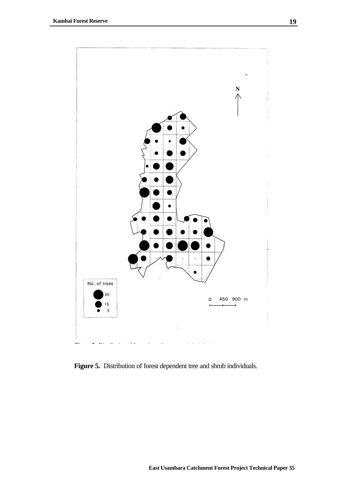

Figure 5. Distribution of forest dependent tree and shrub individuals.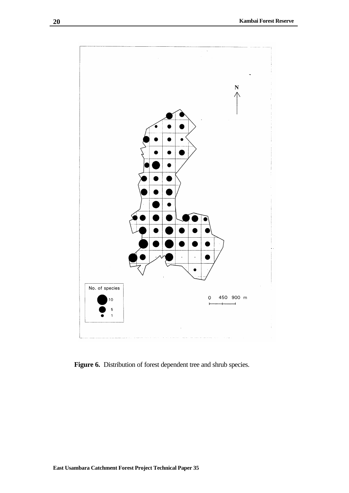

Figure 6. Distribution of forest dependent tree and shrub species.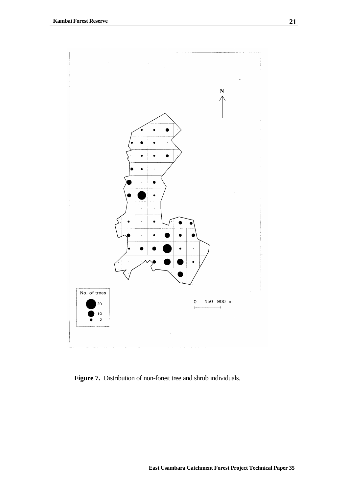

**Figure 7.** Distribution of non-forest tree and shrub individuals.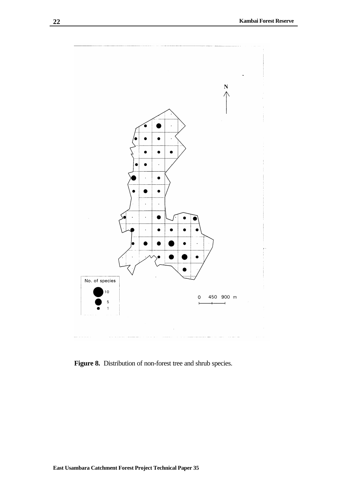

Figure 8. Distribution of non-forest tree and shrub species.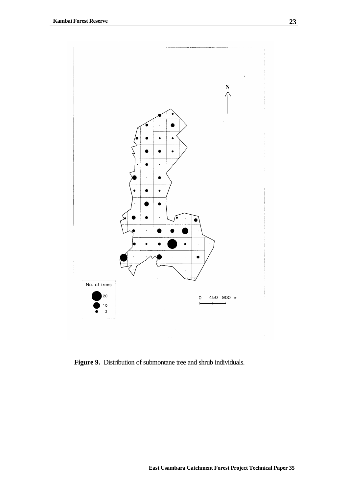

**Figure 9.** Distribution of submontane tree and shrub individuals.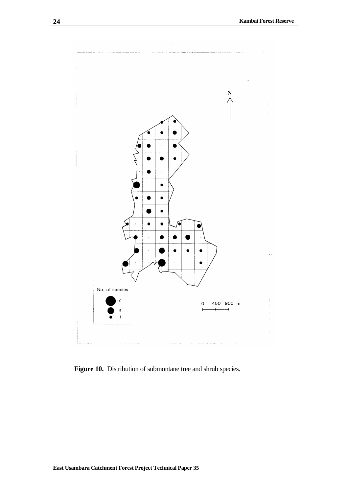

Figure 10. Distribution of submontane tree and shrub species.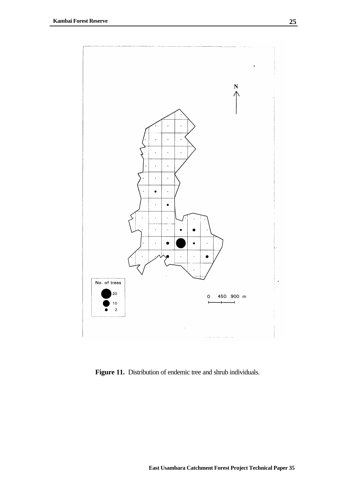

**Figure 11.** Distribution of endemic tree and shrub individuals.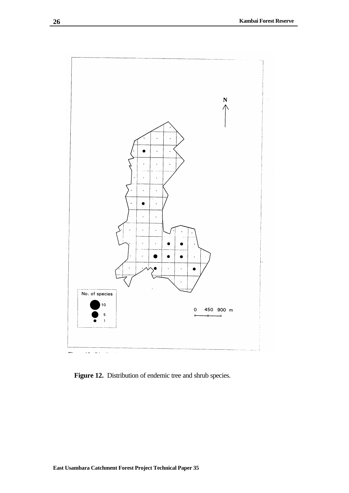

Figure 12. Distribution of endemic tree and shrub species.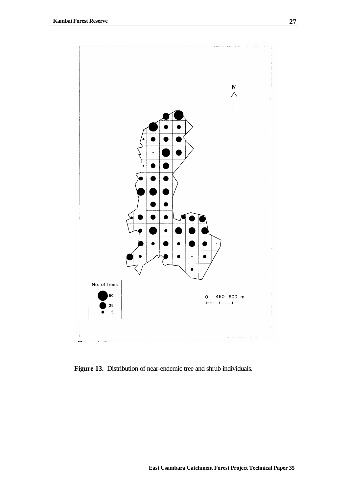

**Figure 13.** Distribution of near-endemic tree and shrub individuals.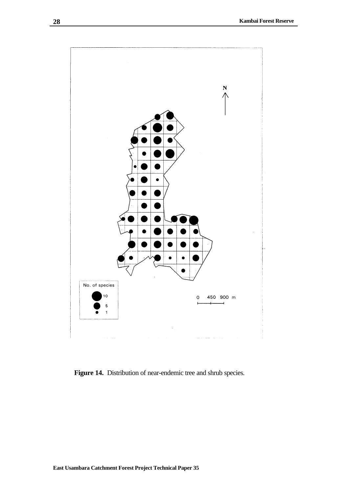

**Figure 14.** Distribution of near-endemic tree and shrub species.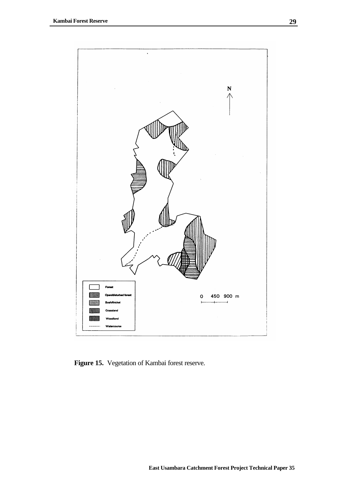

**Figure 15.** Vegetation of Kambai forest reserve.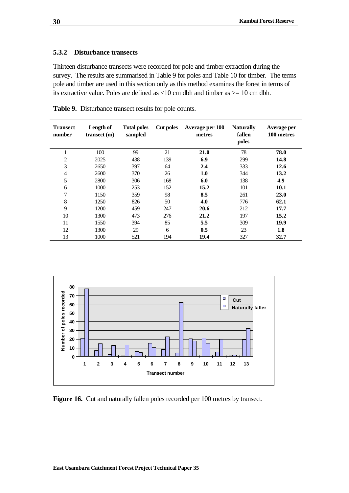## **5.3.2 Disturbance transects**

Thirteen disturbance transects were recorded for pole and timber extraction during the survey. The results are summarised in Table 9 for poles and Table 10 for timber. The terms pole and timber are used in this section only as this method examines the forest in terms of its extractive value. Poles are defined as <10 cm dbh and timber as >= 10 cm dbh.

| <b>Transect</b><br>number | Length of<br>transect(m) | <b>Total poles</b><br>sampled | <b>Cut poles</b> | Average per 100<br>metres | <b>Naturally</b><br>fallen<br>poles | Average per<br>100 metres |
|---------------------------|--------------------------|-------------------------------|------------------|---------------------------|-------------------------------------|---------------------------|
| 1                         | 100                      | 99                            | 21               | 21.0                      | 78                                  | 78.0                      |
| 2                         | 2025                     | 438                           | 139              | 6.9                       | 299                                 | 14.8                      |
| 3                         | 2650                     | 397                           | 64               | 2.4                       | 333                                 | 12.6                      |
| $\overline{4}$            | 2600                     | 370                           | 26               | 1.0                       | 344                                 | 13.2                      |
| 5                         | 2800                     | 306                           | 168              | 6.0                       | 138                                 | 4.9                       |
| 6                         | 1000                     | 253                           | 152              | 15.2                      | 101                                 | 10.1                      |
| 7                         | 1150                     | 359                           | 98               | 8.5                       | 261                                 | 23.0                      |
| 8                         | 1250                     | 826                           | 50               | 4.0                       | 776                                 | 62.1                      |
| 9                         | 1200                     | 459                           | 247              | 20.6                      | 212                                 | 17.7                      |
| 10                        | 1300                     | 473                           | 276              | 21.2                      | 197                                 | 15.2                      |
| 11                        | 1550                     | 394                           | 85               | 5.5                       | 309                                 | 19.9                      |
| 12                        | 1300                     | 29                            | 6                | 0.5                       | 23                                  | 1.8                       |
| 13                        | 1000                     | 521                           | 194              | 19.4                      | 327                                 | 32.7                      |

**Table 9.** Disturbance transect results for pole counts.



Figure 16. Cut and naturally fallen poles recorded per 100 metres by transect.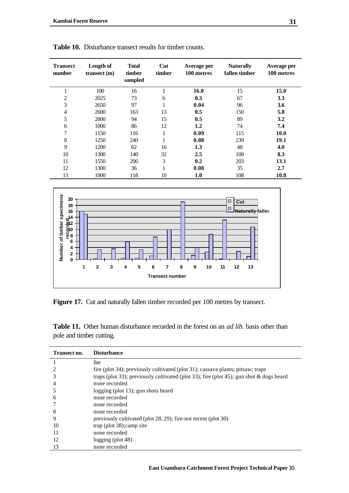| <b>Transect</b><br>number | Length of<br>transect(m) | <b>Total</b><br>timber<br>sampled | Cut<br>timber | Average per<br>100 metres | <b>Naturally</b><br>fallen timber | Average per<br>100 metres |
|---------------------------|--------------------------|-----------------------------------|---------------|---------------------------|-----------------------------------|---------------------------|
| 1                         | 100                      | 16                                |               | 16.0                      | 15                                | 15.0                      |
| $\overline{c}$            | 2025                     | 73                                | 6             | 0.3                       | 67                                | 3.3                       |
| 3                         | 2650                     | 97                                | 1             | 0.04                      | 96                                | 3.6                       |
| 4                         | 2600                     | 163                               | 13            | 0.5                       | 150                               | 5.8                       |
| 5                         | 2800                     | 94                                | 15            | 0.5                       | 89                                | 3.2                       |
| 6                         | 1000                     | 86                                | 12            | 1.2                       | 74                                | 7.4                       |
| 7                         | 1150                     | 116                               | 1             | 0.09                      | 115                               | <b>10.0</b>               |
| 8                         | 1250                     | 240                               | $\mathbf 1$   | 0.08                      | 239                               | 19.1                      |
| 9                         | 1200                     | 62                                | 16            | 1.3                       | 48                                | 4.0                       |
| 10                        | 1300                     | 140                               | 32            | 2.5                       | 108                               | 8.3                       |
| 11                        | 1550                     | 206                               | 3             | 0.2                       | 203                               | 13.1                      |
| 12                        | 1300                     | 36                                |               | 0.08                      | 35                                | 2.7                       |
| 13                        | 1000                     | 118                               | 10            | 1.0                       | 108                               | 10.8                      |

**Table 10.** Disturbance transect results for timber counts.



Figure 17. Cut and naturally fallen timber recorded per 100 metres by transect.

**Table 11.** Other human disturbance recorded in the forest on an *ad lib.* basis other than pole and timber cutting.

| Transect no. | <b>Disturbance</b>                                                                      |
|--------------|-----------------------------------------------------------------------------------------|
|              | fire                                                                                    |
|              | fire (plot 34); previously cultivated (plot 31); cassava plants; pitsaw; traps          |
| 3            | traps (plot 33); previously cultivated (plot 33); fire (plot 45); gun shot & dogs heard |
| 4            | none recorded                                                                           |
|              | logging (plot 13); gun shots heard                                                      |
| h            | none recorded                                                                           |
|              | none recorded                                                                           |
| 8            | none recorded                                                                           |
| 9            | previously cultivated (plot 28, 29); fire-not recent (plot 30)                          |
| 10           | trap (plot 38); camp site                                                               |
| 11           | none recorded                                                                           |
| 12           | $\log$ ging (plot 48)                                                                   |
| 13           | none recorded                                                                           |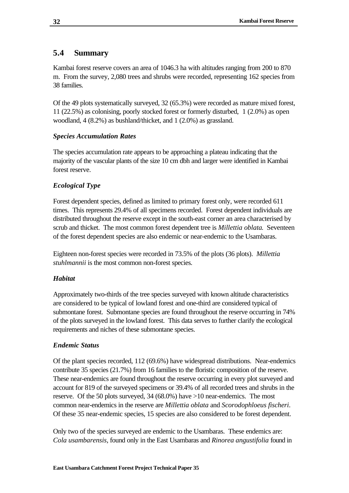# **5.4 Summary**

Kambai forest reserve covers an area of 1046.3 ha with altitudes ranging from 200 to 870 m. From the survey, 2,080 trees and shrubs were recorded, representing 162 species from 38 families.

Of the 49 plots systematically surveyed, 32 (65.3%) were recorded as mature mixed forest, 11 (22.5%) as colonising, poorly stocked forest or formerly disturbed, 1 (2.0%) as open woodland, 4 (8.2%) as bushland/thicket, and 1 (2.0%) as grassland.

## *Species Accumulation Rates*

The species accumulation rate appears to be approaching a plateau indicating that the majority of the vascular plants of the size 10 cm dbh and larger were identified in Kambai forest reserve.

## *Ecological Type*

Forest dependent species, defined as limited to primary forest only, were recorded 611 times. This represents 29.4% of all specimens recorded. Forest dependent individuals are distributed throughout the reserve except in the south-east corner an area characterised by scrub and thicket. The most common forest dependent tree is *Millettia oblata*. Seventeen of the forest dependent species are also endemic or near-endemic to the Usambaras.

Eighteen non-forest species were recorded in 73.5% of the plots (36 plots). *Millettia stuhlmannii* is the most common non-forest species.

# *Habitat*

Approximately two-thirds of the tree species surveyed with known altitude characteristics are considered to be typical of lowland forest and one-third are considered typical of submontane forest. Submontane species are found throughout the reserve occurring in 74% of the plots surveyed in the lowland forest. This data serves to further clarify the ecological requirements and niches of these submontane species.

## *Endemic Status*

Of the plant species recorded, 112 (69.6%) have widespread distributions. Near-endemics contribute 35 species (21.7%) from 16 families to the floristic composition of the reserve. These near-endemics are found throughout the reserve occurring in every plot surveyed and account for 819 of the surveyed specimens or 39.4% of all recorded trees and shrubs in the reserve. Of the 50 plots surveyed, 34 (68.0%) have >10 near-endemics. The most common near-endemics in the reserve are *Millettia oblata* and *Scorodophloeus fischeri*. Of these 35 near-endemic species, 15 species are also considered to be forest dependent.

Only two of the species surveyed are endemic to the Usambaras. These endemics are: *Cola usambarensis*, found only in the East Usambaras and *Rinorea angustifolia* found in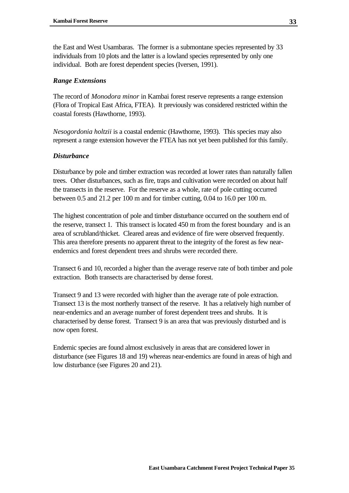the East and West Usambaras. The former is a submontane species represented by 33 individuals from 10 plots and the latter is a lowland species represented by only one individual. Both are forest dependent species (Iversen, 1991).

## *Range Extensions*

The record of *Monodora minor* in Kambai forest reserve represents a range extension (Flora of Tropical East Africa, FTEA). It previously was considered restricted within the coastal forests (Hawthorne, 1993).

*Nesogordonia holtzii* is a coastal endemic (Hawthorne, 1993). This species may also represent a range extension however the FTEA has not yet been published for this family.

## *Disturbance*

Disturbance by pole and timber extraction was recorded at lower rates than naturally fallen trees. Other disturbances, such as fire, traps and cultivation were recorded on about half the transects in the reserve. For the reserve as a whole, rate of pole cutting occurred between 0.5 and 21.2 per 100 m and for timber cutting, 0.04 to 16.0 per 100 m.

The highest concentration of pole and timber disturbance occurred on the southern end of the reserve, transect 1. This transect is located 450 m from the forest boundary and is an area of scrubland/thicket. Cleared areas and evidence of fire were observed frequently. This area therefore presents no apparent threat to the integrity of the forest as few nearendemics and forest dependent trees and shrubs were recorded there.

Transect 6 and 10, recorded a higher than the average reserve rate of both timber and pole extraction. Both transects are characterised by dense forest.

Transect 9 and 13 were recorded with higher than the average rate of pole extraction. Transect 13 is the most northerly transect of the reserve. It has a relatively high number of near-endemics and an average number of forest dependent trees and shrubs. It is characterised by dense forest. Transect 9 is an area that was previously disturbed and is now open forest.

Endemic species are found almost exclusively in areas that are considered lower in disturbance (see Figures 18 and 19) whereas near-endemics are found in areas of high and low disturbance (see Figures 20 and 21).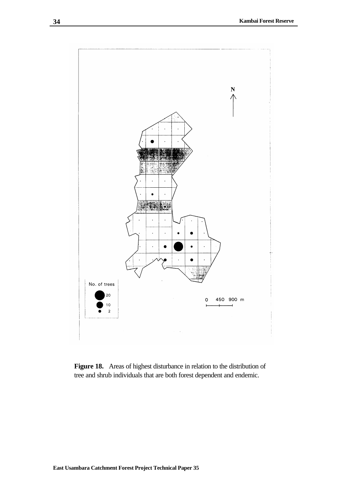

**Figure 18.** Areas of highest disturbance in relation to the distribution of tree and shrub individuals that are both forest dependent and endemic.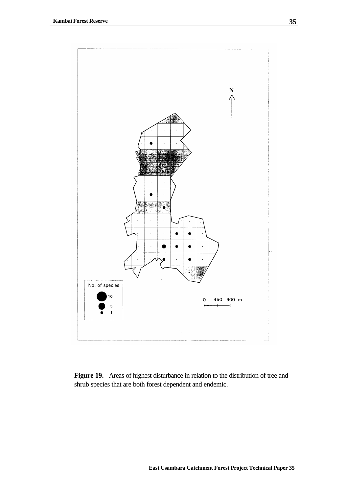

Figure 19. Areas of highest disturbance in relation to the distribution of tree and shrub species that are both forest dependent and endemic.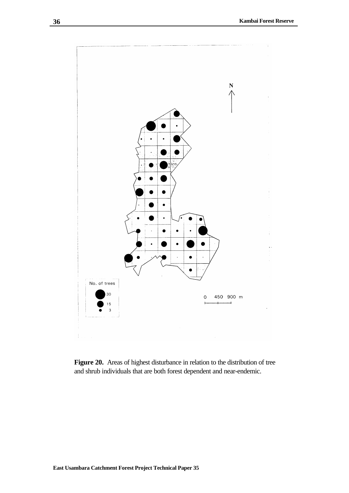

Figure 20. Areas of highest disturbance in relation to the distribution of tree and shrub individuals that are both forest dependent and near-endemic.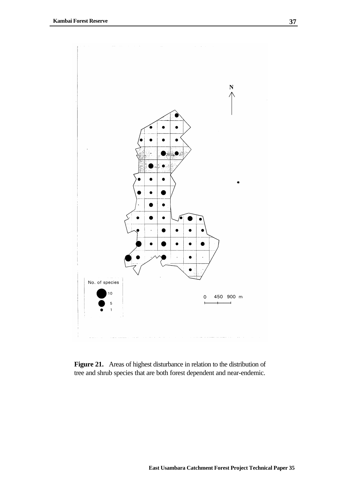

**Figure 21.** Areas of highest disturbance in relation to the distribution of tree and shrub species that are both forest dependent and near-endemic.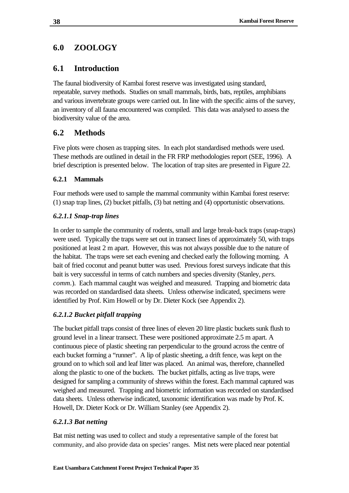# **6.0 ZOOLOGY**

# **6.1 Introduction**

The faunal biodiversity of Kambai forest reserve was investigated using standard, repeatable, survey methods. Studies on small mammals, birds, bats, reptiles, amphibians and various invertebrate groups were carried out. In line with the specific aims of the survey, an inventory of all fauna encountered was compiled. This data was analysed to assess the biodiversity value of the area.

# **6.2 Methods**

Five plots were chosen as trapping sites. In each plot standardised methods were used. These methods are outlined in detail in the FR FRP methodologies report (SEE, 1996). A brief description is presented below. The location of trap sites are presented in Figure 22.

# **6.2.1 Mammals**

Four methods were used to sample the mammal community within Kambai forest reserve: (1) snap trap lines, (2) bucket pitfalls, (3) bat netting and (4) opportunistic observations.

# *6.2.1.1 Snap-trap lines*

In order to sample the community of rodents, small and large break-back traps (snap-traps) were used. Typically the traps were set out in transect lines of approximately 50, with traps positioned at least 2 m apart. However, this was not always possible due to the nature of the habitat. The traps were set each evening and checked early the following morning. A bait of fried coconut and peanut butter was used. Previous forest surveys indicate that this bait is very successful in terms of catch numbers and species diversity (Stanley, *pers. comm.*). Each mammal caught was weighed and measured. Trapping and biometric data was recorded on standardised data sheets. Unless otherwise indicated, specimens were identified by Prof. Kim Howell or by Dr. Dieter Kock (see Appendix 2).

# *6.2.1.2 Bucket pitfall trapping*

The bucket pitfall traps consist of three lines of eleven 20 litre plastic buckets sunk flush to ground level in a linear transect. These were positioned approximate 2.5 m apart. A continuous piece of plastic sheeting ran perpendicular to the ground across the centre of each bucket forming a "runner". A lip of plastic sheeting, a drift fence, was kept on the ground on to which soil and leaf litter was placed. An animal was, therefore, channelled along the plastic to one of the buckets. The bucket pitfalls, acting as live traps, were designed for sampling a community of shrews within the forest. Each mammal captured was weighed and measured. Trapping and biometric information was recorded on standardised data sheets. Unless otherwise indicated, taxonomic identification was made by Prof. K. Howell, Dr. Dieter Kock or Dr. William Stanley (see Appendix 2).

# *6.2.1.3 Bat netting*

Bat mist netting was used to collect and study a representative sample of the forest bat community, and also provide data on species' ranges. Mist nets were placed near potential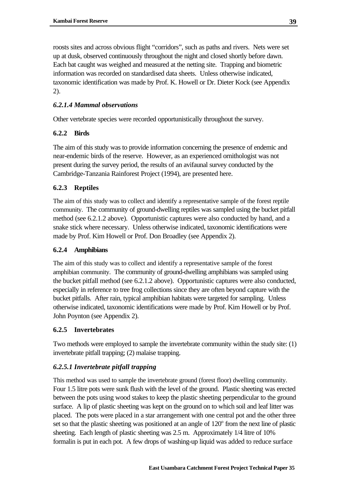roosts sites and across obvious flight "corridors", such as paths and rivers. Nets were set up at dusk, observed continuously throughout the night and closed shortly before dawn. Each bat caught was weighed and measured at the netting site. Trapping and biometric information was recorded on standardised data sheets. Unless otherwise indicated, taxonomic identification was made by Prof. K. Howell or Dr. Dieter Kock (see Appendix 2).

# *6.2.1.4 Mammal observations*

Other vertebrate species were recorded opportunistically throughout the survey.

# **6.2.2 Birds**

The aim of this study was to provide information concerning the presence of endemic and near-endemic birds of the reserve. However, as an experienced ornithologist was not present during the survey period, the results of an avifaunal survey conducted by the Cambridge-Tanzania Rainforest Project (1994), are presented here.

# **6.2.3 Reptiles**

The aim of this study was to collect and identify a representative sample of the forest reptile community. The community of ground-dwelling reptiles was sampled using the bucket pitfall method (see 6.2.1.2 above). Opportunistic captures were also conducted by hand, and a snake stick where necessary. Unless otherwise indicated, taxonomic identifications were made by Prof. Kim Howell or Prof. Don Broadley (see Appendix 2).

## **6.2.4 Amphibians**

The aim of this study was to collect and identify a representative sample of the forest amphibian community. The community of ground-dwelling amphibians was sampled using the bucket pitfall method (see 6.2.1.2 above). Opportunistic captures were also conducted, especially in reference to tree frog collections since they are often beyond capture with the bucket pitfalls. After rain, typical amphibian habitats were targeted for sampling. Unless otherwise indicated, taxonomic identifications were made by Prof. Kim Howell or by Prof. John Poynton (see Appendix 2).

# **6.2.5 Invertebrates**

Two methods were employed to sample the invertebrate community within the study site: (1) invertebrate pitfall trapping; (2) malaise trapping.

# *6.2.5.1 Invertebrate pitfall trapping*

This method was used to sample the invertebrate ground (forest floor) dwelling community. Four 1.5 litre pots were sunk flush with the level of the ground. Plastic sheeting was erected between the pots using wood stakes to keep the plastic sheeting perpendicular to the ground surface. A lip of plastic sheeting was kept on the ground on to which soil and leaf litter was placed. The pots were placed in a star arrangement with one central pot and the other three set so that the plastic sheeting was positioned at an angle of  $120^{\circ}$  from the next line of plastic sheeting. Each length of plastic sheeting was 2.5 m. Approximately 1/4 litre of 10% formalin is put in each pot. A few drops of washing-up liquid was added to reduce surface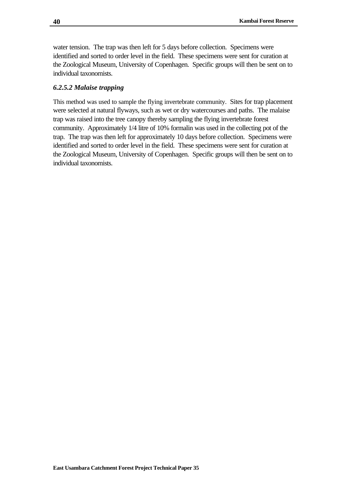water tension. The trap was then left for 5 days before collection. Specimens were identified and sorted to order level in the field. These specimens were sent for curation at the Zoological Museum, University of Copenhagen. Specific groups will then be sent on to individual taxonomists.

## *6.2.5.2 Malaise trapping*

This method was used to sample the flying invertebrate community. Sites for trap placement were selected at natural flyways, such as wet or dry watercourses and paths. The malaise trap was raised into the tree canopy thereby sampling the flying invertebrate forest community. Approximately 1/4 litre of 10% formalin was used in the collecting pot of the trap. The trap was then left for approximately 10 days before collection. Specimens were identified and sorted to order level in the field. These specimens were sent for curation at the Zoological Museum, University of Copenhagen. Specific groups will then be sent on to individual taxonomists.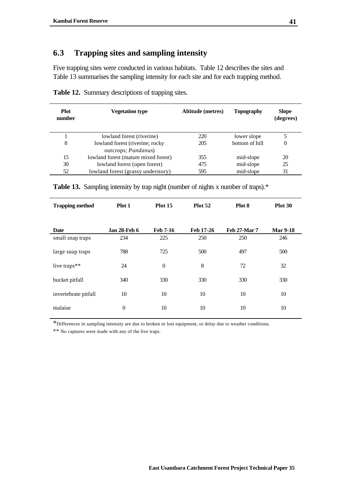# **6.3 Trapping sites and sampling intensity**

Five trapping sites were conducted in various habitats. Table 12 describes the sites and Table 13 summarises the sampling intensity for each site and for each trapping method.

| <b>Plot</b><br>number | <b>Vegetation type</b>                                         | Altitude (metres) | Topography     | <b>Slope</b><br>(degrees) |
|-----------------------|----------------------------------------------------------------|-------------------|----------------|---------------------------|
|                       | lowland forest (riverine)                                      | 220               | lower slope    | 5                         |
| 8                     | lowland forest (riverine; rocky<br>outcrops; <i>Pandanus</i> ) | 205               | bottom of hill | $\Omega$                  |
| 15                    | lowland forest (mature mixed forest)                           | 355               | mid-slope      | 20                        |
| 30                    | lowland forest (open forest)                                   | 475               | mid-slope      | 25                        |
| 52                    | lowland forest (grassy understory)                             | 595               | mid-slope      | 31                        |

**Table 12.** Summary descriptions of trapping sites.

| <b>Trapping method</b> | Plot 1              | Plot 15          | Plot 52   | Plot 8              | <b>Plot 30</b>  |
|------------------------|---------------------|------------------|-----------|---------------------|-----------------|
| <b>Date</b>            | <b>Jan 28-Feb 6</b> | <b>Feb 7-16</b>  | Feb 17-26 | <b>Feb 27-Mar 7</b> | <b>Mar 9-18</b> |
| small snap traps       | 234                 | 225              | 250       | 250                 | 246             |
| large snap traps       | 788                 | 725              | 500       | 497                 | 500             |
| live traps**           | 24                  | $\boldsymbol{0}$ | 8         | 72                  | 32              |
| bucket pitfall         | 340                 | 330              | 330       | 330                 | 330             |
| invertebrate pitfall   | 10                  | 10               | 10        | 10                  | 10              |
| malaise                | $\theta$            | 10               | 10        | 10                  | 10              |

**Table 13.** Sampling intensity by trap night (number of nights x number of traps).\*

\*Differences in sampling intensity are due to broken or lost equipment, or delay due to weather conditions.

\*\* No captures were made with any of the live traps.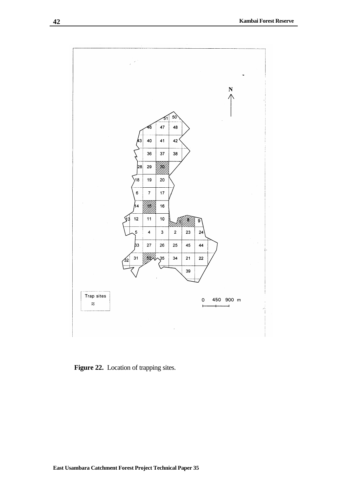

Figure 22. Location of trapping sites.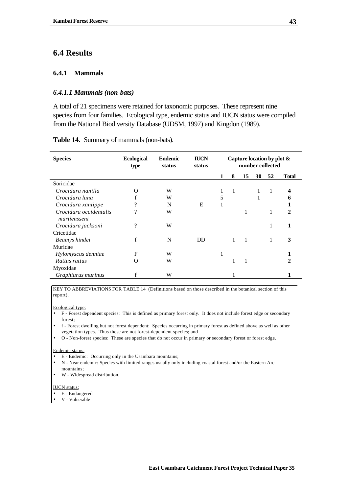# **6.4 Results**

## **6.4.1 Mammals**

## *6.4.1.1 Mammals (non-bats)*

A total of 21 specimens were retained for taxonomic purposes. These represent nine species from four families. Ecological type, endemic status and IUCN status were compiled from the National Biodiversity Database (UDSM, 1997) and Kingdon (1989).

| <b>Species</b>                         | <b>Ecological</b><br>type | <b>Endemic</b><br>status | <b>IUCN</b><br>status | Capture location by plot &<br>number collected |                |              |    |    |              |
|----------------------------------------|---------------------------|--------------------------|-----------------------|------------------------------------------------|----------------|--------------|----|----|--------------|
|                                        |                           |                          |                       |                                                | 8              | 15           | 30 | 52 | <b>Total</b> |
| Soricidae                              |                           |                          |                       |                                                |                |              |    |    |              |
| Crocidura nanilla                      | $\left( \right)$          | W                        |                       |                                                | $\overline{1}$ |              | 1  | 1  | 4            |
| Crocidura luna                         |                           | W                        |                       | 5                                              |                |              | 1  |    | 6            |
| Crocidura xantippe                     | າ                         | N                        | E                     | 1                                              |                |              |    |    |              |
| Crocidura occidentalis<br>martiensseni | ?                         | W                        |                       |                                                |                | 1            |    | 1  | $\mathbf{2}$ |
| Crocidura jacksoni                     | ?                         | W                        |                       |                                                |                |              |    | 1  | 1            |
| Cricetidae                             |                           |                          |                       |                                                |                |              |    |    |              |
| Beamys hindei                          | f                         | N                        | <b>DD</b>             |                                                | $\mathbf{1}$   | $\mathbf{1}$ |    | 1  | 3            |
| Muridae                                |                           |                          |                       |                                                |                |              |    |    |              |
| Hylomyscus denniae                     | F                         | W                        |                       | 1                                              |                |              |    |    |              |
| Rattus rattus                          | $\Omega$                  | W                        |                       |                                                | 1              | 1            |    |    | 2            |
| Myoxidae                               |                           |                          |                       |                                                |                |              |    |    |              |
| Graphiurus murinus                     |                           | W                        |                       |                                                |                |              |    |    |              |

**Table 14.** Summary of mammals (non-bats).

KEY TO ABBREVIATIONS FOR TABLE 14 (Definitions based on those described in the botanical section of this report).

#### Ecological type:

- F Forest dependent species: This is defined as primary forest only. It does not include forest edge or secondary forest;
- f Forest dwelling but not forest dependent: Species occurring in primary forest as defined above as well as other vegetation types. Thus these are not forest-dependent species; and
- O Non-forest species: These are species that do not occur in primary or secondary forest or forest edge.

#### Endemic status:

- E Endemic: Occurring only in the Usambara mountains;
- N Near endemic: Species with limited ranges usually only including coastal forest and/or the Eastern Arc mountains;
- W Widespread distribution.

#### IUCN status:

- E Endangered
- V Vulnerable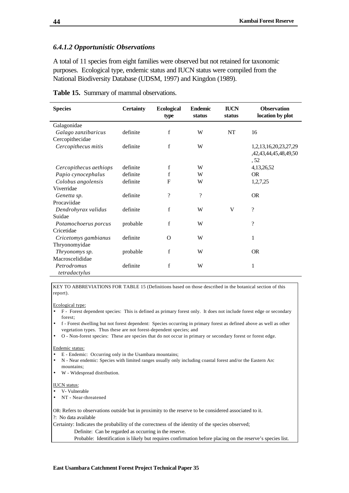### *6.4.1.2 Opportunistic Observations*

A total of 11 species from eight families were observed but not retained for taxonomic purposes. Ecological type, endemic status and IUCN status were compiled from the National Biodiversity Database (UDSM, 1997) and Kingdon (1989).

| <b>Species</b>         | <b>Certainty</b> | <b>Ecological</b> | <b>Endemic</b> | <b>IUCN</b> | <b>Observation</b>    |
|------------------------|------------------|-------------------|----------------|-------------|-----------------------|
|                        |                  | type              | status         | status      | location by plot      |
| Galagonidae            |                  |                   |                |             |                       |
| Galago zanzibaricus    | definite         | f                 | W              | NT          | 16                    |
| Cercopithecidae        |                  |                   |                |             |                       |
| Cercopithecus mitis    | definite         | f                 | W              |             | 1,2,13,16,20,23,27,29 |
|                        |                  |                   |                |             | ,42,43,44,45,48,49,50 |
|                        |                  |                   |                |             | , 52                  |
| Cercopithecus aethiops | definite         | f                 | W              |             | 4,13,26,52            |
| Papio cynocephalus     | definite         | f                 | W              |             | <b>OR</b>             |
| Colobus angolensis     | definite         | F                 | W              |             | 1,2,7,25              |
| Viverridae             |                  |                   |                |             |                       |
| Genetta sp.            | definite         | $\gamma$          | $\gamma$       |             | <b>OR</b>             |
| Procaviidae            |                  |                   |                |             |                       |
| Dendrohyrax validus    | definite         | $\mathbf f$       | W              | V           | $\gamma$              |
| Suidae                 |                  |                   |                |             |                       |
| Potamochoerus porcus   | probable         | f                 | W              |             | $\gamma$              |
| Cricetidae             |                  |                   |                |             |                       |
| Cricetomys gambianus   | definite         | $\Omega$          | W              |             | 1                     |
| Thryonomyidae          |                  |                   |                |             |                       |
| Thryonomys sp.         | probable         | f                 | W              |             | <b>OR</b>             |
| Macroscelididae        |                  |                   |                |             |                       |
| Petrodromus            | definite         | f                 | W              |             | 1                     |
| tetradactylus          |                  |                   |                |             |                       |

**Table 15.** Summary of mammal observations.

KEY TO ABBREVIATIONS FOR TABLE 15 (Definitions based on those described in the botanical section of this report).

#### Ecological type:

- F Forest dependent species: This is defined as primary forest only. It does not include forest edge or secondary forest;
- f Forest dwelling but not forest dependent: Species occurring in primary forest as defined above as well as other vegetation types. Thus these are not forest-dependent species; and
- O Non-forest species: These are species that do not occur in primary or secondary forest or forest edge.

#### Endemic status:

- E Endemic: Occurring only in the Usambara mountains;
- N Near endemic: Species with limited ranges usually only including coastal forest and/or the Eastern Arc mountains;
- W Widespread distribution.

#### IUCN status:

- V- Vulnerable
- NT Near-threatened

OR: Refers to observations outside but in proximity to the reserve to be considered associated to it.

?: No data available

Certainty: Indicates the probability of the correctness of the identity of the species observed;

Definite: Can be regarded as occurring in the reserve.

Probable: Identification is likely but requires confirmation before placing on the reserve's species list.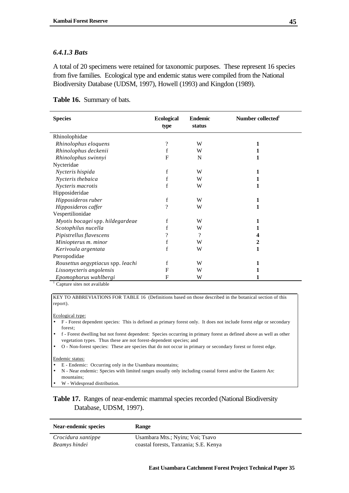## *6.4.1.3 Bats*

A total of 20 specimens were retained for taxonomic purposes. These represent 16 species from five families. Ecological type and endemic status were compiled from the National Biodiversity Database (UDSM, 1997), Howell (1993) and Kingdon (1989).

| type                     | <b>Endemic</b><br>status | Number collected <sup>1</sup> |
|--------------------------|--------------------------|-------------------------------|
|                          |                          |                               |
| $\gamma$                 | W                        | 1                             |
| f                        | W                        | 1                             |
| F                        | N                        | 1                             |
|                          |                          |                               |
| f                        | W                        | 1                             |
| f                        | W                        | 1                             |
| $\mathbf f$              | W                        | 1                             |
|                          |                          |                               |
| f                        | W                        | 1                             |
| ?                        | W                        | 1                             |
|                          |                          |                               |
| f                        | W                        | 1                             |
| f                        | W                        | 1                             |
| $\overline{\mathcal{L}}$ | $\gamma$                 |                               |
| f                        | W                        | 2                             |
| f                        | W                        | 1                             |
|                          |                          |                               |
| f                        | W                        | 1                             |
| F                        | W                        |                               |
| F                        | W                        | 1                             |
|                          | <b>Ecological</b>        |                               |

Capture sites not available

KEY TO ABBREVIATIONS FOR TABLE 16 (Definitions based on those described in the botanical section of this report).

#### Ecological type:

- F Forest dependent species: This is defined as primary forest only. It does not include forest edge or secondary forest;
- f Forest dwelling but not forest dependent: Species occurring in primary forest as defined above as well as other vegetation types. Thus these are not forest-dependent species; and
- O Non-forest species: These are species that do not occur in primary or secondary forest or forest edge.

#### Endemic status:

- E Endemic: Occurring only in the Usambara mountains;
- N Near endemic: Species with limited ranges usually only including coastal forest and/or the Eastern Arc mountains;

• W - Widespread distribution.

## **Table 17.** Ranges of near-endemic mammal species recorded (National Biodiversity Database, UDSM, 1997).

| Near-endemic species | <b>Range</b>                          |
|----------------------|---------------------------------------|
| Crocidura xantippe   | Usambara Mts.; Nyiru; Voi; Tsavo      |
| Beamys hindei        | coastal forests, Tanzania; S.E. Kenya |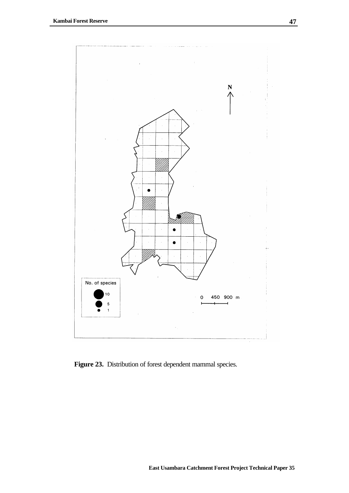

Figure 23. Distribution of forest dependent mammal species.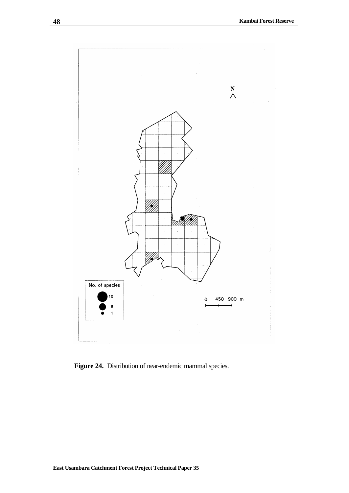

Figure 24. Distribution of near-endemic mammal species.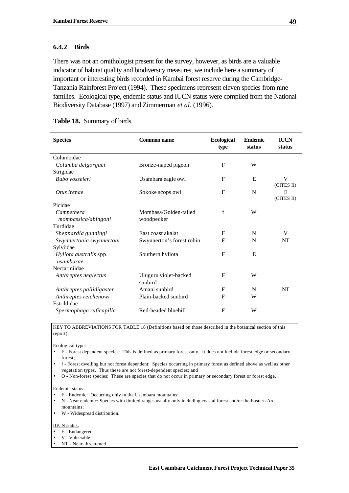### **6.4.2 Birds**

There was not an ornithologist present for the survey, however, as birds are a valuable indicator of habitat quality and biodiversity measures, we include here a summary of important or interesting birds recorded in Kambai forest reserve during the Cambridge-Tanzania Rainforest Project (1994). These specimens represent eleven species from nine families. Ecological type, endemic status and IUCN status were compiled from the National Biodiversity Database (1997) and Zimmerman *et al.* (1996).

| Table 18. Summary of birds. |  |  |  |
|-----------------------------|--|--|--|
|-----------------------------|--|--|--|

| <b>Species</b>           | <b>Common name</b>        | <b>Ecological</b><br>type | <b>Endemic</b><br>status | <b>IUCN</b><br>status |
|--------------------------|---------------------------|---------------------------|--------------------------|-----------------------|
| Columbidae               |                           |                           |                          |                       |
| Columba delgorguei       | Bronze-naped pigeon       | F                         | W                        |                       |
| Strigidae                |                           |                           |                          |                       |
| Bubo vosseleri           | Usambara eagle owl        | F                         | E                        | V                     |
|                          |                           |                           |                          | (CITES II)            |
| Otus irenae              | Sokoke scops owl          | $\mathbf{F}$              | N                        | E                     |
|                          |                           |                           |                          | (CITES II)            |
| Picidae                  |                           |                           |                          |                       |
| Campethera               | Mombasa/Golden-tailed     | $\mathbf f$               | W                        |                       |
| mombassica/abingoni      | woodpecker                |                           |                          |                       |
| Turdidae                 |                           |                           |                          |                       |
| Sheppardia gunningi      | East coast akalat         | F                         | N                        | V                     |
| Swynnertonia swynnertoni | Swynnerton's forest robin | $\mathbf{F}$              | N                        | <b>NT</b>             |
| Sylviidae                |                           |                           |                          |                       |
| Hyliota australis spp.   | Southern hyliota          | $\mathbf{F}$              | E                        |                       |
| usambarae                |                           |                           |                          |                       |
| Nectariniidae            |                           |                           |                          |                       |
| Anthreptes neglectus     | Uluguru violet-backed     | F                         | W                        |                       |
|                          | sunbird                   |                           |                          |                       |
| Anthreptes pallidigaster | Amani sunbird             | F                         | N                        | <b>NT</b>             |
| Anthreptes reichenowi    | Plain-backed sunbird      | F                         | W                        |                       |
| Estrildidae              |                           |                           |                          |                       |
| Spermophaga ruficapilla  | Red-headed bluebill       | $\mathbf{F}$              | W                        |                       |

KEY TO ABBREVIATIONS FOR TABLE 18 (Definitions based on those described in the botanical section of this report).

Ecological type:

- F Forest dependent species: This is defined as primary forest only. It does not include forest edge or secondary forest;
- f Forest dwelling but not forest dependent: Species occurring in primary forest as defined above as well as other vegetation types. Thus these are not forest-dependent species; and
- O Non-forest species: These are species that do not occur in primary or secondary forest or forest edge.

#### Endemic status:

- E Endemic: Occurring only in the Usambara mountains;
- N Near endemic: Species with limited ranges usually only including coastal forest and/or the Eastern Arc mountains;
- W Widespread distribution.

#### IUCN status:

- E Endangered
- V Vulnerable
- NT Near-threatened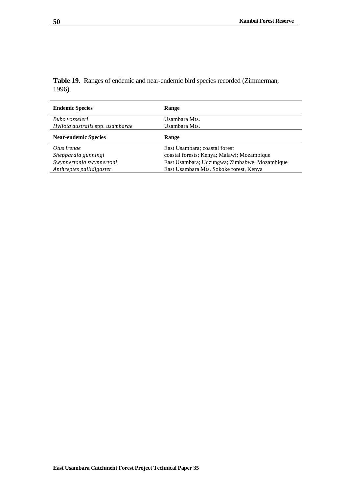**Table 19.** Ranges of endemic and near-endemic bird species recorded (Zimmerman,

| <b>Endemic Species</b>           | <b>Kange</b>                                  |
|----------------------------------|-----------------------------------------------|
| Bubo vosseleri                   | Usambara Mts.                                 |
| Hyliota australis spp. usambarae | Usambara Mts.                                 |
| <b>Near-endemic Species</b>      | Range                                         |
| Otus irenae                      | East Usambara; coastal forest                 |
| Sheppardia gunningi              | coastal forests; Kenya; Malawi; Mozambique    |
| Swynnertonia swynnertoni         | East Usambara; Udzungwa; Zimbabwe; Mozambique |
| Anthreptes pallidigaster         | East Usambara Mts. Sokoke forest, Kenya       |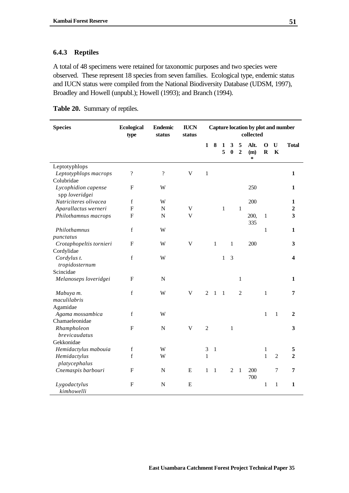## **6.4.3 Reptiles**

A total of 48 specimens were retained for taxonomic purposes and two species were observed. These represent 18 species from seven families. Ecological type, endemic status and IUCN status were compiled from the National Biodiversity Database (UDSM, 1997), Broadley and Howell (unpubl.); Howell (1993); and Branch (1994).

| Table 20. Summary of reptiles. |  |  |
|--------------------------------|--|--|
|--------------------------------|--|--|

| <b>Species</b>                        | <b>Ecological</b><br>type  | <b>Endemic</b><br>status | <b>IUCN</b><br>status     | Capture location by plot and number<br>collected |              |              |                |                     |                       |                |                  |                |
|---------------------------------------|----------------------------|--------------------------|---------------------------|--------------------------------------------------|--------------|--------------|----------------|---------------------|-----------------------|----------------|------------------|----------------|
|                                       |                            |                          |                           | $\mathbf{1}$                                     | 8            | 1<br>5       | 3<br>$\bf{0}$  | 5<br>$\overline{2}$ | Alt.<br>(m)<br>$\ast$ | 0<br>${\bf R}$ | U<br>$\mathbf K$ | <b>Total</b>   |
| Leptotyphlops                         |                            |                          |                           |                                                  |              |              |                |                     |                       |                |                  |                |
| Leptotyphlops macrops                 | $\boldsymbol{\mathcal{C}}$ | $\overline{\mathcal{L}}$ | $\ensuremath{\mathsf{V}}$ | $\mathbf{1}$                                     |              |              |                |                     |                       |                |                  | $\mathbf{1}$   |
| Colubridae                            |                            |                          |                           |                                                  |              |              |                |                     |                       |                |                  |                |
| Lycophidion capense<br>spp loveridgei | $\mathbf{F}$               | W                        |                           |                                                  |              |              |                |                     | 250                   |                |                  | $\mathbf{1}$   |
| Natriciteres olivacea                 | $\mathbf f$                | W                        |                           |                                                  |              |              |                |                     | 200                   |                |                  | 1              |
| Aparallactus werneri                  | ${\bf F}$                  | ${\bf N}$                | V                         |                                                  |              | $\mathbf{1}$ |                | $\mathbf{1}$        |                       |                |                  | $\overline{2}$ |
| Philothamnus macrops                  | ${\bf F}$                  | N                        | $\overline{V}$            |                                                  |              |              |                |                     | 200,                  | $\mathbf{1}$   |                  | 3              |
|                                       |                            |                          |                           |                                                  |              |              |                |                     | 335                   |                |                  |                |
| Philothamnus                          | $\mathbf f$                | W                        |                           |                                                  |              |              |                |                     |                       | $\mathbf{1}$   |                  | $\mathbf{1}$   |
| punctatus                             |                            |                          |                           |                                                  |              |              |                |                     |                       |                |                  |                |
| Crotaphopeltis tornieri               | ${\bf F}$                  | W                        | $\mathbf V$               |                                                  | $\mathbf{1}$ |              | 1              |                     | 200                   |                |                  | 3              |
| Cordylidae                            |                            |                          |                           |                                                  |              |              |                |                     |                       |                |                  |                |
| Cordylus t.<br>tropidosternum         | $\mathbf f$                | W                        |                           |                                                  |              | $\mathbf{1}$ | $\overline{3}$ |                     |                       |                |                  | 4              |
| Scincidae                             |                            |                          |                           |                                                  |              |              |                |                     |                       |                |                  |                |
| Melanoseps loveridgei                 | $\mathbf{F}$               | ${\bf N}$                |                           |                                                  |              |              |                | 1                   |                       |                |                  | 1              |
| Mabuya m.                             | $\mathbf f$                | W                        | V                         | $\overline{2}$                                   | 1            | $\mathbf{1}$ |                | $\overline{2}$      |                       | $\mathbf{1}$   |                  | 7              |
| maculilabris                          |                            |                          |                           |                                                  |              |              |                |                     |                       |                |                  |                |
| Agamidae                              | $\mathbf f$                | W                        |                           |                                                  |              |              |                |                     |                       |                | $\mathbf{1}$     | 2              |
| Agama mossambica<br>Chamaeleonidae    |                            |                          |                           |                                                  |              |              |                |                     |                       | 1              |                  |                |
| Rhampholeon                           | ${\bf F}$                  | ${\bf N}$                | $\mathbf V$               | $\overline{c}$                                   |              |              | $\mathbf{1}$   |                     |                       |                |                  | 3              |
| brevicaudatus                         |                            |                          |                           |                                                  |              |              |                |                     |                       |                |                  |                |
| Gekkonidae                            |                            |                          |                           |                                                  |              |              |                |                     |                       |                |                  |                |
| Hemidactylus mabouia                  | $\mathbf f$                | W                        |                           | $\mathfrak{Z}$                                   | $\mathbf{1}$ |              |                |                     |                       | $\mathbf{1}$   |                  | 5              |
| Hemidactylus                          | $\mathbf f$                | W                        |                           | $\mathbf{1}$                                     |              |              |                |                     |                       | $\mathbf{1}$   | $\overline{2}$   | $\overline{2}$ |
| platycephalus                         |                            |                          |                           |                                                  |              |              |                |                     |                       |                |                  |                |
| Cnemaspis barbouri                    | F                          | ${\bf N}$                | E                         | 1                                                | $\mathbf{1}$ |              | $\mathbf{2}$   | $\mathbf{1}$        | 200<br>700            |                | 7                | 7              |
| Lygodactylus<br>kimhowelli            | $\mathbf F$                | $\mathbf N$              | E                         |                                                  |              |              |                |                     |                       | $\mathbf{1}$   | $\mathbf{1}$     | $\mathbf{1}$   |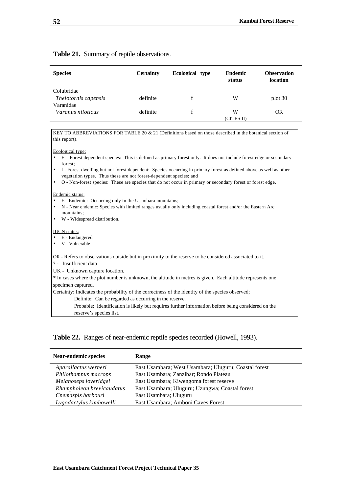#### **Table 21.** Summary of reptile observations.

| <b>Species</b>                     | <b>Certainty</b> | Ecological type | <b>Endemic</b><br>status | <b>Observation</b><br>location |
|------------------------------------|------------------|-----------------|--------------------------|--------------------------------|
| Colubridae<br>Thelotornis capensis | definite         |                 | W                        | plot 30                        |
| Varanidae<br>Varanus niloticus     | definite         |                 | W<br>(CITES II)          | <b>OR</b>                      |

KEY TO ABBREVIATIONS FOR TABLE 20 & 21 (Definitions based on those described in the botanical section of this report).

Ecological type:

- F Forest dependent species: This is defined as primary forest only. It does not include forest edge or secondary forest;
- f Forest dwelling but not forest dependent: Species occurring in primary forest as defined above as well as other vegetation types. Thus these are not forest-dependent species; and
- O Non-forest species: These are species that do not occur in primary or secondary forest or forest edge.

#### Endemic status:

- E Endemic: Occurring only in the Usambara mountains;
- N Near endemic: Species with limited ranges usually only including coastal forest and/or the Eastern Arc mountains;
- W Widespread distribution.

#### IUCN status:

- E Endangered
- V Vulnerable

OR - Refers to observations outside but in proximity to the reserve to be considered associated to it.

? - Insufficient data

UK - Unknown capture location.

\* In cases where the plot number is unknown, the altitude in metres is given. Each altitude represents one specimen captured.

Certainty: Indicates the probability of the correctness of the identity of the species observed;

Definite: Can be regarded as occurring in the reserve.

Probable: Identification is likely but requires further information before being considered on the reserve's species list.

### **Table 22.** Ranges of near-endemic reptile species recorded (Howell, 1993).

| <b>Near-endemic species</b> | Range                                                 |
|-----------------------------|-------------------------------------------------------|
| Aparallactus werneri        | East Usambara; West Usambara; Uluguru; Coastal forest |
| Philothamnus macrops        | East Usambara; Zanzibar; Rondo Plateau                |
| Melanoseps loveridgei       | East Usambara; Kiwengoma forest reserve               |
| Rhampholeon brevicaudatus   | East Usambara; Uluguru; Uzungwa; Coastal forest       |
| Cnemaspis barbouri          | East Usambara; Uluguru                                |
| Lygodactylus kimhowelli     | East Usambara; Amboni Caves Forest                    |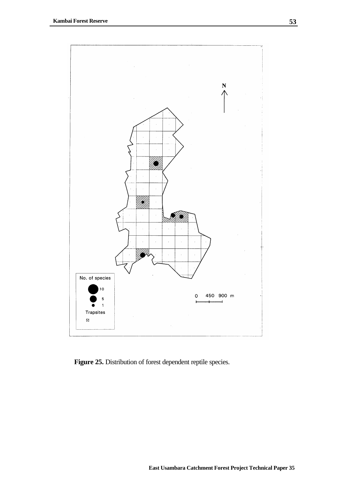

Figure 25. Distribution of forest dependent reptile species.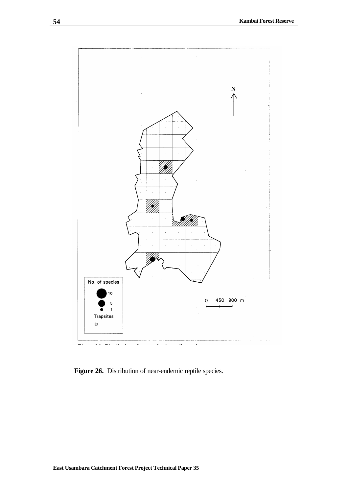

Figure 26. Distribution of near-endemic reptile species.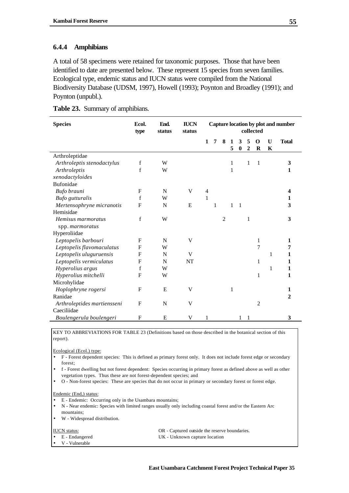### **6.4.4 Amphibians**

A total of 58 specimens were retained for taxonomic purposes. Those that have been identified to date are presented below. These represent 15 species from seven families. Ecological type, endemic status and IUCN status were compiled from the National Biodiversity Database (UDSM, 1997), Howell (1993); Poynton and Broadley (1991); and Poynton (unpubl.).

|  |  | Table 23. Summary of amphibians. |
|--|--|----------------------------------|
|--|--|----------------------------------|

| <b>Species</b>              | Ecol.<br>type | End.<br>status | <b>IUCN</b><br>status | Capture location by plot and number<br>collected |   |                |        |                       |                       |                |        |              |
|-----------------------------|---------------|----------------|-----------------------|--------------------------------------------------|---|----------------|--------|-----------------------|-----------------------|----------------|--------|--------------|
|                             |               |                |                       | $\mathbf{1}$                                     | 7 | 8              | 1<br>5 | 3<br>$\boldsymbol{0}$ | 5<br>$\boldsymbol{2}$ | O<br>$\bf R$   | U<br>K | <b>Total</b> |
| Arthroleptidae              |               |                |                       |                                                  |   |                |        |                       |                       |                |        |              |
| Arthroleptis stenodactylus  | $\mathbf f$   | W              |                       |                                                  |   |                | 1      |                       | 1                     | $\mathbf{1}$   |        | 3            |
| Arthroleptis                | $\mathbf f$   | W              |                       |                                                  |   |                | 1      |                       |                       |                |        | 1            |
| xenodactyloides             |               |                |                       |                                                  |   |                |        |                       |                       |                |        |              |
| Bufonidae                   |               |                |                       |                                                  |   |                |        |                       |                       |                |        |              |
| Bufo brauni                 | $\mathbf{F}$  | N              | V                     | $\overline{4}$                                   |   |                |        |                       |                       |                |        | 4            |
| Bufo gutturalis             | f             | W              |                       | $\mathbf{1}$                                     |   |                |        |                       |                       |                |        | 1            |
| Mertensophryne micranotis   | F             | N              | E                     |                                                  | 1 |                | 1      | $\mathbf{1}$          |                       |                |        | 3            |
| Hemisidae                   |               |                |                       |                                                  |   |                |        |                       |                       |                |        |              |
| Hemisus marmoratus          | f             | W              |                       |                                                  |   | $\overline{c}$ |        |                       | 1                     |                |        | 3            |
| spp. marmoratus             |               |                |                       |                                                  |   |                |        |                       |                       |                |        |              |
| Hyperoliidae                |               |                |                       |                                                  |   |                |        |                       |                       |                |        |              |
| Leptopelis barbouri         | $\mathbf{F}$  | N              | V                     |                                                  |   |                |        |                       |                       | 1              |        | 1            |
| Leptopelis flavomaculatus   | F             | W              |                       |                                                  |   |                |        |                       |                       | $\overline{7}$ |        | 7            |
| Leptopelis uluguruensis     | $\mathbf{F}$  | N              | V                     |                                                  |   |                |        |                       |                       |                | 1      | 1            |
| Leptopelis vermiculatus     | F             | N              | NT                    |                                                  |   |                |        |                       |                       | 1              |        | 1            |
| Hyperolius argus            | f             | W              |                       |                                                  |   |                |        |                       |                       |                | 1      | 1            |
| Hyperolius mitchelli        | $\mathbf{F}$  | W              |                       |                                                  |   |                |        |                       |                       | 1              |        | 1            |
| Microhylidae                |               |                |                       |                                                  |   |                |        |                       |                       |                |        |              |
| Hoplophryne rogersi         | $\mathbf{F}$  | E              | V                     |                                                  |   |                | 1      |                       |                       |                |        | 1            |
| Ranidae                     |               |                |                       |                                                  |   |                |        |                       |                       |                |        | $\mathbf{2}$ |
| Arthroleptides martiensseni | $\mathbf{F}$  | N              | V                     |                                                  |   |                |        |                       |                       | 2              |        |              |
| Caeciliidae                 |               |                |                       |                                                  |   |                |        |                       |                       |                |        |              |
| Boulengerula boulengeri     | $\mathbf{F}$  | E              | V                     |                                                  |   |                |        |                       |                       |                |        | 3            |

KEY TO ABBREVIATIONS FOR TABLE 23 (Definitions based on those described in the botanical section of this report).

Ecological (Ecol.) type:

- F Forest dependent species: This is defined as primary forest only. It does not include forest edge or secondary forest;
- f Forest dwelling but not forest dependent: Species occurring in primary forest as defined above as well as other vegetation types. Thus these are not forest-dependent species; and

• O - Non-forest species: These are species that do not occur in primary or secondary forest or forest edge.

Endemic (End,) status:

- E Endemic: Occurring only in the Usambara mountains;
- N Near endemic: Species with limited ranges usually only including coastal forest and/or the Eastern Arc mountains;
- W Widespread distribution.

IUCN status: OR - Captured outside the reserve boundaries. • E - Endangered UK - Unknown capture location • V - Vulnerable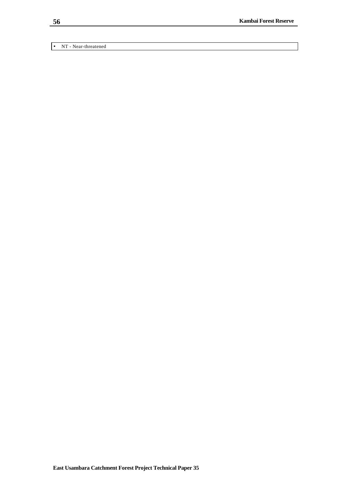• NT - Near-threatened

**56**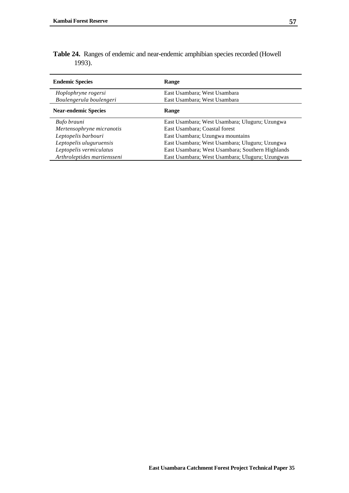| Table 24. Ranges of endemic and near-endemic amphibian species recorded (Howell |  |
|---------------------------------------------------------------------------------|--|
| 1993).                                                                          |  |

| <b>Endemic Species</b>      | Range                                            |
|-----------------------------|--------------------------------------------------|
| Hoplophryne rogersi         | East Usambara; West Usambara                     |
| Boulengerula boulengeri     | East Usambara: West Usambara                     |
| <b>Near-endemic Species</b> | <b>Range</b>                                     |
| Bufo brauni                 | East Usambara; West Usambara; Uluguru; Uzungwa   |
| Mertensophryne micranotis   | East Usambara; Coastal forest                    |
| Leptopelis barbouri         | East Usambara; Uzungwa mountains                 |
| Leptopelis uluguruensis     | East Usambara; West Usambara; Uluguru; Uzungwa   |
| Leptopelis vermiculatus     | East Usambara; West Usambara; Southern Highlands |
| Arthroleptides martiensseni | East Usambara; West Usambara; Uluguru; Uzungwas  |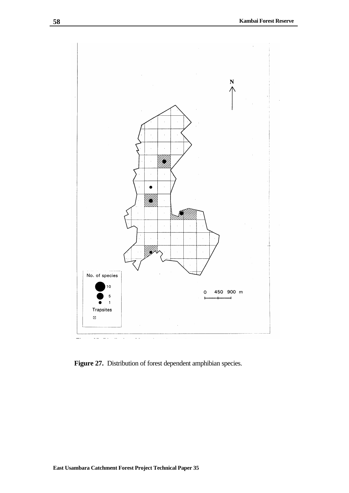

Figure 27. Distribution of forest dependent amphibian species.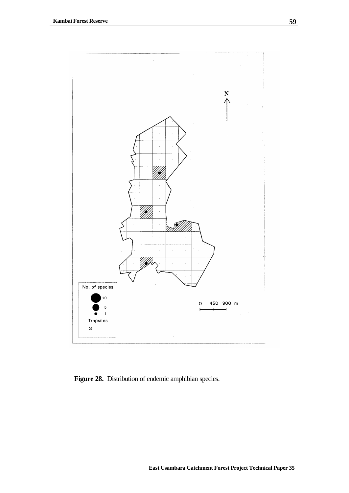

Figure 28. Distribution of endemic amphibian species.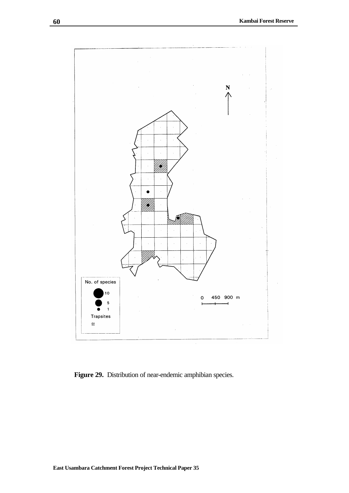

Figure 29. Distribution of near-endemic amphibian species.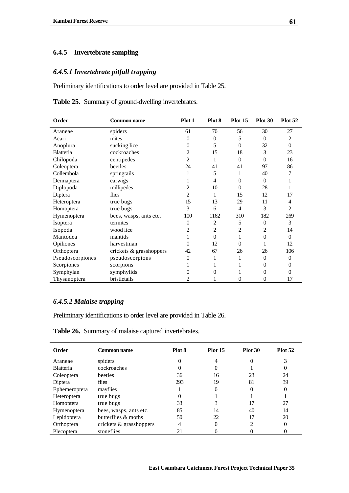# **6.4.5 Invertebrate sampling**

# *6.4.5.1 Invertebrate pitfall trapping*

Preliminary identifications to order level are provided in Table 25.

| Order            | <b>Common name</b>      | Plot 1         | Plot 8   | Plot 15        | Plot 30  | <b>Plot 52</b> |
|------------------|-------------------------|----------------|----------|----------------|----------|----------------|
| Araneae          | spiders                 | 61             | 70       | 56             | 30       | 27             |
| Acari            | mites                   | $\theta$       | $\theta$ | 5              | $\Omega$ | $\overline{c}$ |
| Anoplura         | sucking lice            | $\theta$       | 5        | $\overline{0}$ | 32       | $\Omega$       |
| Blatteria        | cockroaches             | 2              | 15       | 18             | 3        | 23             |
| Chilopoda        | centipedes              | 2              | 1        | $\mathbf{0}$   | $\theta$ | 16             |
| Coleoptera       | beetles                 | 24             | 41       | 41             | 97       | 86             |
| Collembola       | springtails             | 1              | 5        | 1              | 40       | 7              |
| Dermaptera       | earwigs                 | 1              | 4        | 0              | $\Omega$ | 1              |
| Diplopoda        | millipedes              | 2              | 10       | $\mathbf{0}$   | 28       |                |
| Diptera          | flies                   | 2              | 1        | 15             | 12       | 17             |
| Heteroptera      | true bugs               | 15             | 13       | 29             | 11       | 4              |
| Homoptera        | true bugs               | 3              | 6        | 4              | 3        | 2              |
| Hymenoptera      | bees, wasps, ants etc.  | 100            | 1162     | 310            | 182      | 269            |
| Isoptera         | termites                | $\theta$       | 2        | 5              | $\theta$ | 3              |
| Isopoda          | wood lice               | 2              | 2        | 2              | 2        | 14             |
| Mantodea         | mantids                 | 1              | $\theta$ | 1              | $\theta$ | $\Omega$       |
| Opiliones        | harvestman              | 0              | 12       | 0              | 1        | 12             |
| Orthoptera       | crickets & grasshoppers | 42             | 67       | 26             | 26       | 106            |
| Pseudoscorpiones | pseudoscorpions         | $\theta$       | 1        | 1              | $\theta$ | $\theta$       |
| Scorpiones       | scorpions               |                |          | 1              | $\Omega$ | 0              |
| Symphylan        | symphylids              | 0              | 0        |                | $\Omega$ | $\Omega$       |
| Thysanoptera     | bristletails            | $\overline{c}$ |          | 0              | $\theta$ | 17             |

**Table 25.** Summary of ground-dwelling invertebrates.

## *6.4.5.2 Malaise trapping*

Preliminary identifications to order level are provided in Table 26.

**Table 26.** Summary of malaise captured invertebrates.

| Order            | Common name             | Plot 8   | <b>Plot 15</b> | Plot 30  | <b>Plot 52</b> |
|------------------|-------------------------|----------|----------------|----------|----------------|
| Araneae          | spiders                 | 0        |                |          | 3              |
| <b>Blatteria</b> | cockroaches             | $\theta$ |                |          | 0              |
| Coleoptera       | beetles                 | 36       | 16             | 23       | 24             |
| Diptera          | flies                   | 293      | 19             | 81       | 39             |
| Ephemeroptera    | mayflies                |          |                | $\theta$ | $\theta$       |
| Heteroptera      | true bugs               | 0        |                |          |                |
| Homoptera        | true bugs               | 33       | 3              | 17       | 27             |
| Hymenoptera      | bees, wasps, ants etc.  | 85       | 14             | 40       | 14             |
| Lepidoptera      | butterflies & moths     | 50       | 22             | 17       | 20             |
| Orthoptera       | crickets & grasshoppers | 4        | 0              | 2        | $\Omega$       |
| Plecoptera       | stoneflies              | 21       |                |          |                |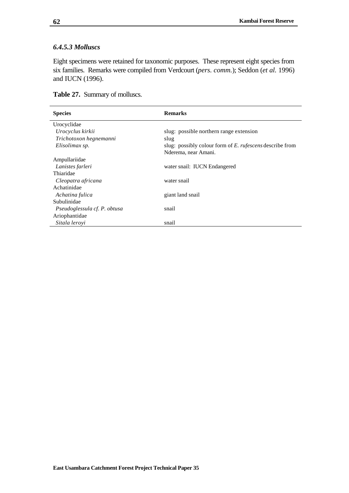### *6.4.5.3 Molluscs*

Eight specimens were retained for taxonomic purposes. These represent eight species from six families. Remarks were compiled from Verdcourt (*pers. comm.*); Seddon (*et al.* 1996) and IUCN (1996).

|  |  | Table 27. Summary of molluscs. |
|--|--|--------------------------------|
|--|--|--------------------------------|

| <b>Species</b>               | <b>Remarks</b>                                           |
|------------------------------|----------------------------------------------------------|
| Urocyclidae                  |                                                          |
| Urocyclus kirkii             | slug: possible northern range extension                  |
| Trichotoxon hegnemanni       | slug                                                     |
| Elisolimax sp.               | slug: possibly colour form of E. rufescens describe from |
|                              | Nderema, near Amani.                                     |
| Ampullariidae                |                                                          |
| Lanistes farleri             | water snail: IUCN Endangered                             |
| Thiaridae                    |                                                          |
| Cleopatra africana           | water snail                                              |
| Achatinidae                  |                                                          |
| Achatina fulica              | giant land snail                                         |
| Subulinidae                  |                                                          |
| Pseudoglessula cf. P. obtusa | snail                                                    |
| Ariophantidae                |                                                          |
| Sitala leroyi                | snail                                                    |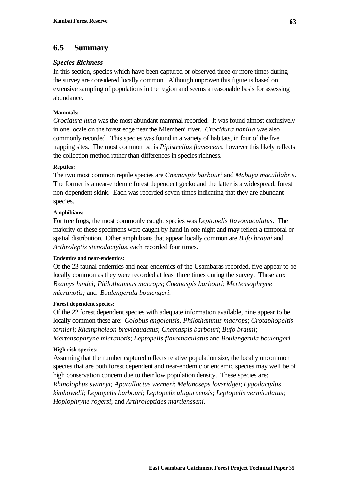# **6.5 Summary**

### *Species Richness*

In this section, species which have been captured or observed three or more times during the survey are considered locally common. Although unproven this figure is based on extensive sampling of populations in the region and seems a reasonable basis for assessing abundance.

## **Mammals:**

*Crocidura luna* was the most abundant mammal recorded. It was found almost exclusively in one locale on the forest edge near the Miembeni river. *Crocidura nanilla* was also commonly recorded. This species was found in a variety of habitats, in four of the five trapping sites. The most common bat is *Pipistrellus flavescens*, however this likely reflects the collection method rather than differences in species richness.

#### **Reptiles:**

The two most common reptile species are *Cnemaspis barbouri* and *Mabuya maculilabris*. The former is a near-endemic forest dependent gecko and the latter is a widespread, forest non-dependent skink. Each was recorded seven times indicating that they are abundant species.

#### **Amphibians:**

For tree frogs, the most commonly caught species was *Leptopelis flavomaculatus*. The majority of these specimens were caught by hand in one night and may reflect a temporal or spatial distribution. Other amphibians that appear locally common are *Bufo brauni* and *Arthroleptis stenodactylus*, each recorded four times.

#### **Endemics and near-endemics:**

Of the 23 faunal endemics and near-endemics of the Usambaras recorded, five appear to be locally common as they were recorded at least three times during the survey. These are: *Beamys hindei; Philothamnus macrops*; *Cnemaspis barbouri*; *Mertensophryne micranotis;* and *Boulengerula boulengeri*.

#### **Forest dependent species:**

Of the 22 forest dependent species with adequate information available, nine appear to be locally common these are: *Colobus angolensis, Philothamnus macrops*; *Crotaphopeltis tornieri*; *Rhampholeon brevicaudatus*; *Cnemaspis barbouri*; *Bufo brauni*; *Mertensophryne micranotis*; *Leptopelis flavomaculatus* and *Boulengerula boulengeri*.

#### **High risk species:**

Assuming that the number captured reflects relative population size, the locally uncommon species that are both forest dependent and near-endemic or endemic species may well be of high conservation concern due to their low population density. These species are: *Rhinolophus swinnyi; Aparallactus werneri*; *Melanoseps loveridgei*; *Lygodactylus kimhowelli*; *Leptopelis barbouri*; *Leptopelis uluguruensis*; *Leptopelis vermiculatus*; *Hoplophryne rogersi*; and *Arthroleptides martiensseni*.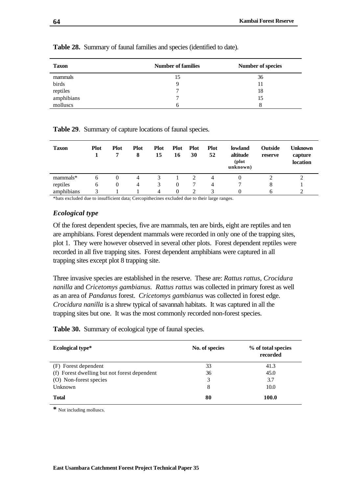| <b>Taxon</b> | <b>Number of families</b> | <b>Number of species</b> |
|--------------|---------------------------|--------------------------|
| mammals      | 15                        | 36                       |
| birds        |                           | 11                       |
| reptiles     |                           | 18                       |
| amphibians   |                           | 15                       |
| molluscs     |                           |                          |

**Table 28.** Summary of faunal families and species (identified to date).

**Table 29**. Summary of capture locations of faunal species.

| <b>Taxon</b> | <b>Plot</b> | <b>Plot</b><br>7 | <b>Plot</b><br>8 | <b>Plot</b><br>15 | <b>Plot</b><br>16 | <b>Plot</b><br>30 | <b>Plot</b><br>52 | lowland<br>altitude<br>(plot<br>unknown) | <b>Outside</b><br>reserve | Unknown<br>capture<br><b>location</b> |
|--------------|-------------|------------------|------------------|-------------------|-------------------|-------------------|-------------------|------------------------------------------|---------------------------|---------------------------------------|
| mammals*     | O           | $\theta$         | 4                | 3                 |                   | 2                 |                   |                                          |                           |                                       |
| reptiles     | 6           | $\theta$         | 4                | 3                 | 0                 | 7                 | 4                 |                                          | 8                         |                                       |
| amphibians   |             |                  |                  | 4                 | $\Omega$          | 2                 |                   |                                          | h                         | っ                                     |

\*bats excluded due to insufficient data; Cercopithecines excluded due to their large ranges.

### *Ecological type*

Of the forest dependent species, five are mammals, ten are birds, eight are reptiles and ten are amphibians. Forest dependent mammals were recorded in only one of the trapping sites, plot 1. They were however observed in several other plots. Forest dependent reptiles were recorded in all five trapping sites. Forest dependent amphibians were captured in all trapping sites except plot 8 trapping site.

Three invasive species are established in the reserve. These are: *Rattus rattus, Crocidura nanilla* and *Cricetomys gambianus. Rattus rattus* was collected in primary forest as well as an area of *Pandanus* forest. *Cricetomys gambianus* was collected in forest edge. *Crocidura nanilla* is a shrew typical of savannah habitats. It was captured in all the trapping sites but one. It was the most commonly recorded non-forest species.

**Table 30.** Summary of ecological type of faunal species.

| <b>Ecological type*</b>                      | No. of species | % of total species<br>recorded |
|----------------------------------------------|----------------|--------------------------------|
| (F) Forest dependent                         | 33             | 41.3                           |
| (f) Forest dwelling but not forest dependent | 36             | 45.0                           |
| (O) Non-forest species                       | 3              | 3.7                            |
| Unknown                                      | 8              | 10.0                           |
| <b>Total</b>                                 | 80             | 100.0                          |

**\*** Not including molluscs.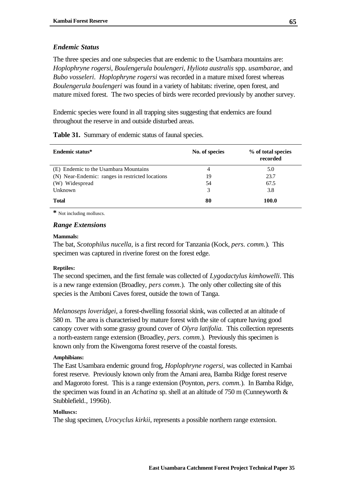### *Endemic Status*

The three species and one subspecies that are endemic to the Usambara mountains are: *Hoplophryne rogersi*, *Boulengerula boulengeri, Hyliota australis* spp. *usambarae,* and *Bubo vosseleri*. *Hoplophryne rogersi* was recorded in a mature mixed forest whereas *Boulengerula boulengeri* was found in a variety of habitats: riverine, open forest, and mature mixed forest. The two species of birds were recorded previously by another survey.

Endemic species were found in all trapping sites suggesting that endemics are found throughout the reserve in and outside disturbed areas.

|  |  |  |  | <b>Table 31.</b> Summary of endemic status of faunal species. |
|--|--|--|--|---------------------------------------------------------------|
|--|--|--|--|---------------------------------------------------------------|

| Endemic status*                                  | No. of species | % of total species<br>recorded |
|--------------------------------------------------|----------------|--------------------------------|
| (E) Endemic to the Usambara Mountains            | 4              | 5.0                            |
| (N) Near-Endemic: ranges in restricted locations | 19             | 23.7                           |
| (W) Widespread                                   | 54             | 67.5                           |
| Unknown                                          | 3              | 3.8                            |
| <b>Total</b>                                     | 80             | 100.0                          |

**\*** Not including molluscs.

#### *Range Extensions*

#### **Mammals:**

The bat, *Scotophilus nucella,* is a first record for Tanzania (Kock, *pers. comm.*). This specimen was captured in riverine forest on the forest edge.

#### **Reptiles:**

The second specimen, and the first female was collected of *Lygodactylus kimhowelli*. This is a new range extension (Broadley, *pers comm.*). The only other collecting site of this species is the Amboni Caves forest, outside the town of Tanga.

*Melanoseps loveridgei,* a forest-dwelling fossorial skink, was collected at an altitude of 580 m. The area is characterised by mature forest with the site of capture having good canopy cover with some grassy ground cover of *Olyra latifolia.* This collection represents a north-eastern range extension (Broadley, *pers. comm.*). Previously this specimen is known only from the Kiwengoma forest reserve of the coastal forests.

#### **Amphibians:**

The East Usambara endemic ground frog, *Hoplophryne rogersi,* was collected in Kambai forest reserve. Previously known only from the Amani area, Bamba Ridge forest reserve and Magoroto forest. This is a range extension (Poynton, *pers. comm.*). In Bamba Ridge, the specimen was found in an *Achatina* sp. shell at an altitude of 750 m (Cunneyworth & Stubblefield*.,* 1996b).

#### **Molluscs:**

The slug specimen, *Urocyclus kirkii*, represents a possible northern range extension.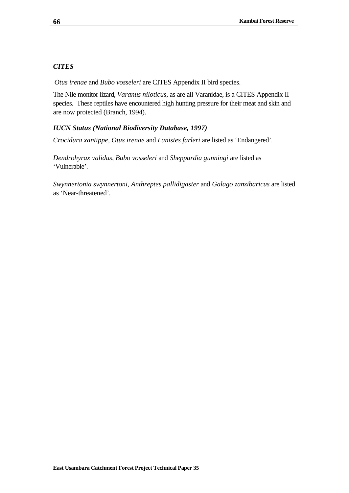# *CITES*

*Otus irenae* and *Bubo vosseleri* are CITES Appendix II bird species.

The Nile monitor lizard, *Varanus niloticus*, as are all Varanidae, is a CITES Appendix II species. These reptiles have encountered high hunting pressure for their meat and skin and are now protected (Branch, 1994).

## *IUCN Status (National Biodiversity Database, 1997)*

*Crocidura xantippe, Otus irenae* and *Lanistes farleri* are listed as 'Endangered'.

*Dendrohyrax validus, Bubo vosseleri* and *Sheppardia gunningi* are listed as 'Vulnerable'.

*Swynnertonia swynnertoni, Anthreptes pallidigaster* and *Galago zanzibaricus* are listed as 'Near-threatened'.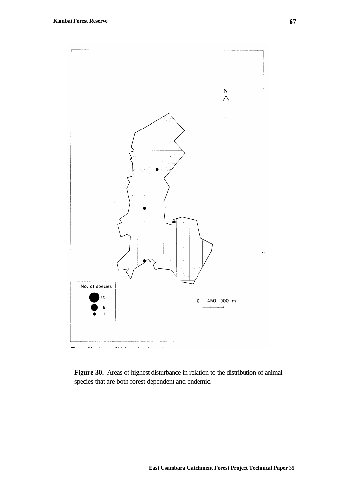

**Figure 30.** Areas of highest disturbance in relation to the distribution of animal species that are both forest dependent and endemic.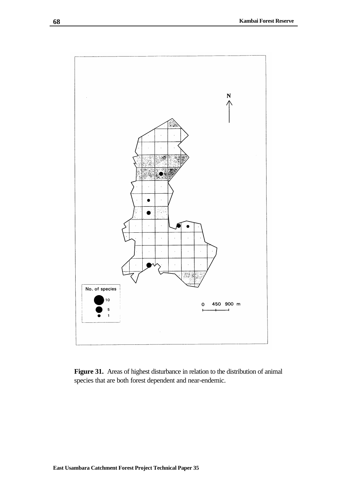

**Figure 31.** Areas of highest disturbance in relation to the distribution of animal species that are both forest dependent and near-endemic.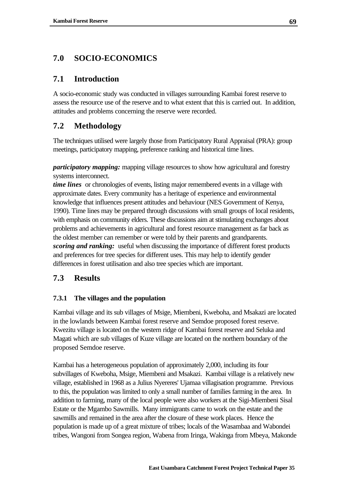# **7.0 SOCIO-ECONOMICS**

# **7.1 Introduction**

A socio-economic study was conducted in villages surrounding Kambai forest reserve to assess the resource use of the reserve and to what extent that this is carried out. In addition, attitudes and problems concerning the reserve were recorded.

# **7.2 Methodology**

The techniques utilised were largely those from Participatory Rural Appraisal (PRA): group meetings, participatory mapping, preference ranking and historical time lines.

*participatory mapping:* mapping village resources to show how agricultural and forestry systems interconnect.

*time lines* or chronologies of events, listing major remembered events in a village with approximate dates. Every community has a heritage of experience and environmental knowledge that influences present attitudes and behaviour (NES Government of Kenya, 1990). Time lines may be prepared through discussions with small groups of local residents, with emphasis on community elders. These discussions aim at stimulating exchanges about problems and achievements in agricultural and forest resource management as far back as the oldest member can remember or were told by their parents and grandparents. *scoring and ranking:* useful when discussing the importance of different forest products and preferences for tree species for different uses. This may help to identify gender differences in forest utilisation and also tree species which are important.

# **7.3 Results**

## **7.3.1 The villages and the population**

Kambai village and its sub villages of Msige, Miembeni, Kweboha, and Msakazi are located in the lowlands between Kambai forest reserve and Semdoe proposed forest reserve. Kwezitu village is located on the western ridge of Kambai forest reserve and Seluka and Magati which are sub villages of Kuze village are located on the northern boundary of the proposed Semdoe reserve.

Kambai has a heterogeneous population of approximately 2,000, including its four subvillages of Kweboha, Msige, Miembeni and Msakazi. Kambai village is a relatively new village, established in 1968 as a Julius Nyereres' Ujamaa villagisation programme. Previous to this, the population was limited to only a small number of families farming in the area. In addition to farming, many of the local people were also workers at the Sigi-Miembeni Sisal Estate or the Mgambo Sawmills. Many immigrants came to work on the estate and the sawmills and remained in the area after the closure of these work places. Hence the population is made up of a great mixture of tribes; locals of the Wasambaa and Wabondei tribes, Wangoni from Songea region, Wabena from Iringa, Wakinga from Mbeya, Makonde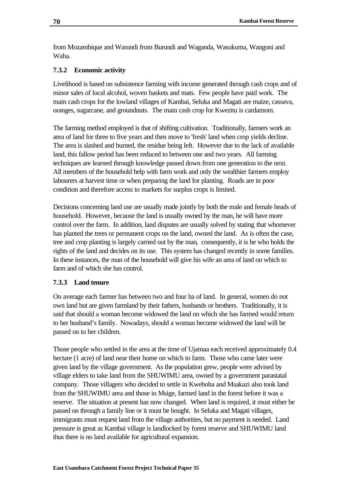from Mozambique and Warundi from Burundi and Waganda, Wasukuma, Wangoni and Waha.

## **7.3.2 Economic activity**

Livelihood is based on subsistence farming with income generated through cash crops and of minor sales of local alcohol, woven baskets and mats. Few people have paid work. The main cash crops for the lowland villages of Kambai, Seluka and Magati are maize, cassava, oranges, sugarcane, and groundnuts. The main cash crop for Kwezitu is cardamom.

The farming method employed is that of shifting cultivation. Traditionally, farmers work an area of land for three to five years and then move to 'fresh' land when crop yields decline. The area is slashed and burned, the residue being left. However due to the lack of available land, this fallow period has been reduced to between one and two years. All farming techniques are learned through knowledge passed down from one generation to the next. All members of the household help with farm work and only the wealthier farmers employ labourers at harvest time or when preparing the land for planting. Roads are in poor condition and therefore access to markets for surplus crops is limited.

Decisions concerning land use are usually made jointly by both the male and female heads of household. However, because the land is usually owned by the man, he will have more control over the farm. In addition, land disputes are usually solved by stating that whomever has planted the trees or permanent crops on the land, owned the land. As is often the case, tree and crop planting is largely carried out by the man, consequently, it is he who holds the rights of the land and decides on its use. This system has changed recently in some families. In these instances, the man of the household will give his wife an area of land on which to farm and of which she has control.

## **7.3.3 Land tenure**

On average each farmer has between two and four ha of land. In general, women do not own land but are given farmland by their fathers, husbands or brothers. Traditionally, it is said that should a woman become widowed the land on which she has farmed would return to her husband's family. Nowadays, should a woman become widowed the land will be passed on to her children.

Those people who settled in the area at the time of Ujamaa each received approximately 0.4 hectare (1 acre) of land near their home on which to farm. Those who came later were given land by the village government. As the population grew, people were advised by village elders to take land from the SHUWIMU area, owned by a government parastatal company. Those villagers who decided to settle in Kweboha and Msakazi also took land from the SHUWIMU area and those in Msige, farmed land in the forest before it was a reserve. The situation at present has now changed. When land is required, it must either be passed on through a family line or it must be bought. In Seluka and Magati villages, immigrants must request land from the village authorities, but no payment is needed. Land pressure is great as Kambai village is landlocked by forest reserve and SHUWIMU land thus there is no land available for agricultural expansion.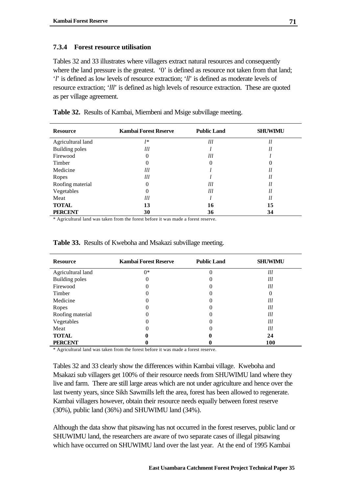## **7.3.4 Forest resource utilisation**

Tables 32 and 33 illustrates where villagers extract natural resources and consequently where the land pressure is the greatest. '0' is defined as resource not taken from that land; '*l*' is defined as low levels of resource extraction; '*ll*' is defined as moderate levels of resource extraction; '*lll*' is defined as high levels of resource extraction. These are quoted as per village agreement.

| <b>Resource</b>       | <b>Kambai Forest Reserve</b> | <b>Public Land</b> | <b>SHUWIMU</b> |
|-----------------------|------------------------------|--------------------|----------------|
| Agricultural land     | l*                           | Ш                  | ll             |
| <b>Building poles</b> | $_{lll}$                     |                    | ll             |
| Firewood              | 0                            | Ш                  |                |
| Timber                | 0                            |                    |                |
| Medicine              | $_{lll}$                     |                    | ll             |
| Ropes                 | $_{lll}$                     |                    | ll             |
| Roofing material      | 0                            | Ш                  | ll             |
| Vegetables            | 0                            | Ш                  | ll             |
| Meat                  | $_{lll}$                     |                    | 11             |
| <b>TOTAL</b>          | 13                           | 16                 | 15             |
| <b>PERCENT</b>        | 30                           | 36                 | 34             |

**Table 32.** Results of Kambai, Miembeni and Msige subvillage meeting.

\* Agricultural land was taken from the forest before it was made a forest reserve.

| <b>Resource</b>   | <b>Kambai Forest Reserve</b> | <b>Public Land</b> | <b>SHUWIMU</b> |
|-------------------|------------------------------|--------------------|----------------|
| Agricultural land | $0*$                         |                    | Ш              |
| Building poles    | 0                            |                    | Ш              |
| Firewood          |                              |                    | Ш              |
| Timber            |                              |                    |                |
| Medicine          |                              |                    | 111            |
| Ropes             |                              | O                  | Ш              |
| Roofing material  |                              |                    | lll            |
| Vegetables        | 0                            |                    | Ш              |
| Meat              |                              |                    | Ш              |
| <b>TOTAL</b>      |                              |                    | 24             |
| <b>PERCENT</b>    |                              |                    | 100            |

**Table 33.** Results of Kweboha and Msakazi subvillage meeting.

\* Agricultural land was taken from the forest before it was made a forest reserve.

Tables 32 and 33 clearly show the differences within Kambai village. Kweboha and Msakazi sub villagers get 100% of their resource needs from SHUWIMU land where they live and farm. There are still large areas which are not under agriculture and hence over the last twenty years, since Sikh Sawmills left the area, forest has been allowed to regenerate. Kambai villagers however, obtain their resource needs equally between forest reserve (30%), public land (36%) and SHUWIMU land (34%).

Although the data show that pitsawing has not occurred in the forest reserves, public land or SHUWIMU land, the researchers are aware of two separate cases of illegal pitsawing which have occurred on SHUWIMU land over the last year. At the end of 1995 Kambai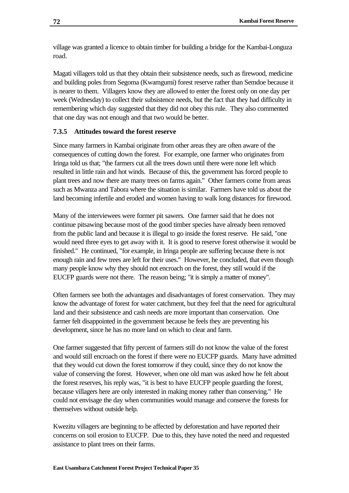village was granted a licence to obtain timber for building a bridge for the Kambai-Longuza road.

Magati villagers told us that they obtain their subsistence needs, such as firewood, medicine and building poles from Segoma (Kwamgumi) forest reserve rather than Semdoe because it is nearer to them. Villagers know they are allowed to enter the forest only on one day per week (Wednesday) to collect their subsistence needs, but the fact that they had difficulty in remembering which day suggested that they did not obey this rule. They also commented that one day was not enough and that two would be better.

## **7.3.5 Attitudes toward the forest reserve**

Since many farmers in Kambai originate from other areas they are often aware of the consequences of cutting down the forest. For example, one farmer who originates from Iringa told us that; "the farmers cut all the trees down until there were none left which resulted in little rain and hot winds. Because of this, the government has forced people to plant trees and now there are many trees on farms again." Other farmers come from areas such as Mwanza and Tabora where the situation is similar. Farmers have told us about the land becoming infertile and eroded and women having to walk long distances for firewood.

Many of the interviewees were former pit sawers. One farmer said that he does not continue pitsawing because most of the good timber species have already been removed from the public land and because it is illegal to go inside the forest reserve. He said, "one would need three eyes to get away with it. It is good to reserve forest otherwise it would be finished." He continued, "for example, in Iringa people are suffering because there is not enough rain and few trees are left for their uses." However, he concluded, that even though many people know why they should not encroach on the forest, they still would if the EUCFP guards were not there. The reason being; "it is simply a matter of money".

Often farmers see both the advantages and disadvantages of forest conservation. They may know the advantage of forest for water catchment, but they feel that the need for agricultural land and their subsistence and cash needs are more important than conservation. One farmer felt disappointed in the government because he feels they are preventing his development, since he has no more land on which to clear and farm.

One farmer suggested that fifty percent of farmers still do not know the value of the forest and would still encroach on the forest if there were no EUCFP guards. Many have admitted that they would cut down the forest tomorrow if they could, since they do not know the value of conserving the forest. However, when one old man was asked how he felt about the forest reserves, his reply was, "it is best to have EUCFP people guarding the forest, because villagers here are only interested in making money rather than conserving." He could not envisage the day when communities would manage and conserve the forests for themselves without outside help.

Kwezitu villagers are beginning to be affected by deforestation and have reported their concerns on soil erosion to EUCFP. Due to this, they have noted the need and requested assistance to plant trees on their farms.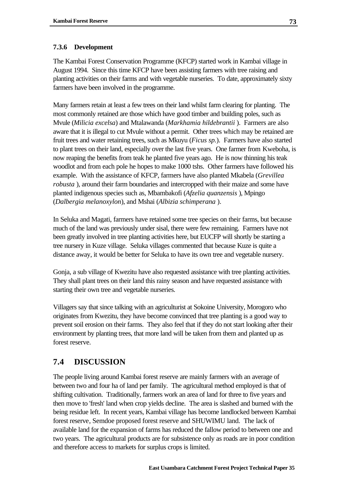# **7.3.6 Development**

The Kambai Forest Conservation Programme (KFCP) started work in Kambai village in August 1994. Since this time KFCP have been assisting farmers with tree raising and planting activities on their farms and with vegetable nurseries. To date, approximately sixty farmers have been involved in the programme.

Many farmers retain at least a few trees on their land whilst farm clearing for planting. The most commonly retained are those which have good timber and building poles, such as Mvule (*Milicia excelsa*) and Mtalawanda (*Markhamia hildebrantii* ). Farmers are also aware that it is illegal to cut Mvule without a permit. Other trees which may be retained are fruit trees and water retaining trees, such as Mkuyu (*Ficus sp.*). Farmers have also started to plant trees on their land, especially over the last five years. One farmer from Kweboha, is now reaping the benefits from teak he planted five years ago. He is now thinning his teak woodlot and from each pole he hopes to make 1000 tshs. Other farmers have followed his example. With the assistance of KFCP, farmers have also planted Mkabela (*Grevillea robusta* ), around their farm boundaries and intercropped with their maize and some have planted indigenous species such as, Mbambakofi (*Afzelia quanzensis* ), Mpingo (*Dalbergia melanoxylon*), and Mshai (*Albizia schimperana* ).

In Seluka and Magati, farmers have retained some tree species on their farms, but because much of the land was previously under sisal, there were few remaining. Farmers have not been greatly involved in tree planting activities here, but EUCFP will shortly be starting a tree nursery in Kuze village. Seluka villages commented that because Kuze is quite a distance away, it would be better for Seluka to have its own tree and vegetable nursery.

Gonja, a sub village of Kwezitu have also requested assistance with tree planting activities. They shall plant trees on their land this rainy season and have requested assistance with starting their own tree and vegetable nurseries.

Villagers say that since talking with an agriculturist at Sokoine University, Morogoro who originates from Kwezitu, they have become convinced that tree planting is a good way to prevent soil erosion on their farms. They also feel that if they do not start looking after their environment by planting trees, that more land will be taken from them and planted up as forest reserve.

# **7.4 DISCUSSION**

The people living around Kambai forest reserve are mainly farmers with an average of between two and four ha of land per family. The agricultural method employed is that of shifting cultivation. Traditionally, farmers work an area of land for three to five years and then move to 'fresh' land when crop yields decline. The area is slashed and burned with the being residue left. In recent years, Kambai village has become landlocked between Kambai forest reserve, Semdoe proposed forest reserve and SHUWIMU land. The lack of available land for the expansion of farms has reduced the fallow period to between one and two years. The agricultural products are for subsistence only as roads are in poor condition and therefore access to markets for surplus crops is limited.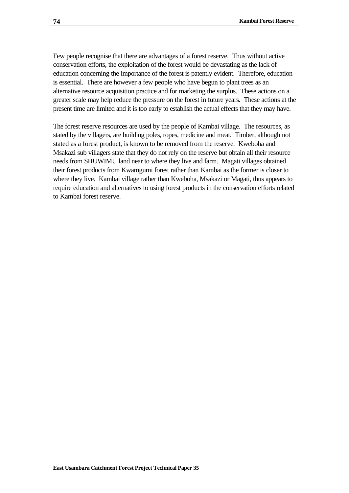Few people recognise that there are advantages of a forest reserve. Thus without active conservation efforts, the exploitation of the forest would be devastating as the lack of education concerning the importance of the forest is patently evident. Therefore, education is essential. There are however a few people who have begun to plant trees as an alternative resource acquisition practice and for marketing the surplus. These actions on a greater scale may help reduce the pressure on the forest in future years. These actions at the present time are limited and it is too early to establish the actual effects that they may have.

The forest reserve resources are used by the people of Kambai village. The resources, as stated by the villagers, are building poles, ropes, medicine and meat. Timber, although not stated as a forest product, is known to be removed from the reserve. Kweboha and Msakazi sub villagers state that they do not rely on the reserve but obtain all their resource needs from SHUWIMU land near to where they live and farm. Magati villages obtained their forest products from Kwamgumi forest rather than Kambai as the former is closer to where they live. Kambai village rather than Kweboha, Msakazi or Magati, thus appears to require education and alternatives to using forest products in the conservation efforts related to Kambai forest reserve.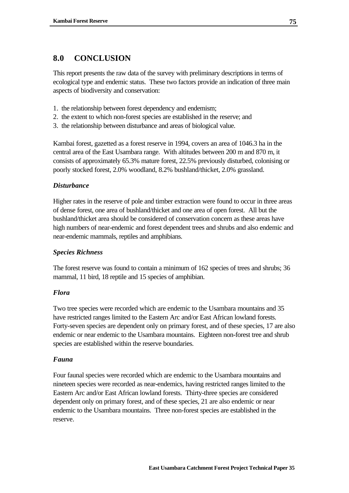# **8.0 CONCLUSION**

This report presents the raw data of the survey with preliminary descriptions in terms of ecological type and endemic status. These two factors provide an indication of three main aspects of biodiversity and conservation:

- 1. the relationship between forest dependency and endemism;
- 2. the extent to which non-forest species are established in the reserve; and
- 3. the relationship between disturbance and areas of biological value.

Kambai forest, gazetted as a forest reserve in 1994, covers an area of 1046.3 ha in the central area of the East Usambara range. With altitudes between 200 m and 870 m, it consists of approximately 65.3% mature forest, 22.5% previously disturbed, colonising or poorly stocked forest, 2.0% woodland, 8.2% bushland/thicket, 2.0% grassland.

## *Disturbance*

Higher rates in the reserve of pole and timber extraction were found to occur in three areas of dense forest, one area of bushland/thicket and one area of open forest. All but the bushland/thicket area should be considered of conservation concern as these areas have high numbers of near-endemic and forest dependent trees and shrubs and also endemic and near-endemic mammals, reptiles and amphibians.

## *Species Richness*

The forest reserve was found to contain a minimum of 162 species of trees and shrubs; 36 mammal, 11 bird, 18 reptile and 15 species of amphibian.

## *Flora*

Two tree species were recorded which are endemic to the Usambara mountains and 35 have restricted ranges limited to the Eastern Arc and/or East African lowland forests. Forty-seven species are dependent only on primary forest, and of these species, 17 are also endemic or near endemic to the Usambara mountains. Eighteen non-forest tree and shrub species are established within the reserve boundaries.

## *Fauna*

Four faunal species were recorded which are endemic to the Usambara mountains and nineteen species were recorded as near-endemics, having restricted ranges limited to the Eastern Arc and/or East African lowland forests. Thirty-three species are considered dependent only on primary forest, and of these species, 21 are also endemic or near endemic to the Usambara mountains. Three non-forest species are established in the reserve.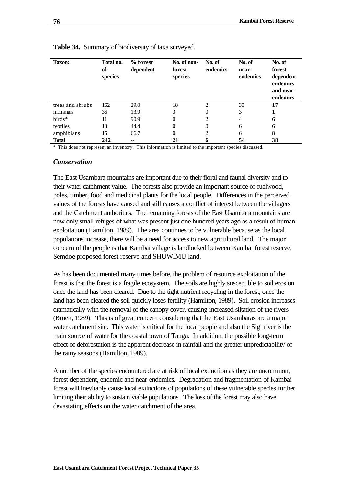| <b>Taxon:</b>    | Total no.<br>of<br>species | % forest<br>dependent | No. of non-<br>forest<br>species | No. of<br>endemics | No. of<br>near-<br>endemics | No. of<br>forest<br>dependent<br>endemics<br>and near-<br>endemics |
|------------------|----------------------------|-----------------------|----------------------------------|--------------------|-----------------------------|--------------------------------------------------------------------|
| trees and shrubs | 162                        | <b>29.0</b>           | 18                               | $\mathfrak{D}$     | 35                          | 17                                                                 |
| mammals          | 36                         | 13.9                  | 3                                | 0                  | 3                           |                                                                    |
| birds*           | 11                         | 90.9                  | 0                                | $\overline{c}$     | 4                           | 6                                                                  |
| reptiles         | 18                         | 44.4                  | 0                                | 0                  | 6                           | 6                                                                  |
| amphibians       | 15                         | 66.7                  | $\theta$                         | 2                  | 6                           | 8                                                                  |
| <b>Total</b>     | 242                        | --                    |                                  | 6                  | 54                          | 38                                                                 |

**Table 34.** Summary of biodiversity of taxa surveyed.

\* This does not represent an inventory. This information is limited to the important species discussed.

#### *Conservation*

The East Usambara mountains are important due to their floral and faunal diversity and to their water catchment value. The forests also provide an important source of fuelwood, poles, timber, food and medicinal plants for the local people. Differences in the perceived values of the forests have caused and still causes a conflict of interest between the villagers and the Catchment authorities. The remaining forests of the East Usambara mountains are now only small refuges of what was present just one hundred years ago as a result of human exploitation (Hamilton, 1989). The area continues to be vulnerable because as the local populations increase, there will be a need for access to new agricultural land. The major concern of the people is that Kambai village is landlocked between Kambai forest reserve, Semdoe proposed forest reserve and SHUWIMU land.

As has been documented many times before, the problem of resource exploitation of the forest is that the forest is a fragile ecosystem. The soils are highly susceptible to soil erosion once the land has been cleared. Due to the tight nutrient recycling in the forest, once the land has been cleared the soil quickly loses fertility (Hamilton, 1989). Soil erosion increases dramatically with the removal of the canopy cover, causing increased siltation of the rivers (Bruen, 1989). This is of great concern considering that the East Usambaras are a major water catchment site. This water is critical for the local people and also the Sigi river is the main source of water for the coastal town of Tanga. In addition, the possible long-term effect of deforestation is the apparent decrease in rainfall and the greater unpredictability of the rainy seasons (Hamilton, 1989).

A number of the species encountered are at risk of local extinction as they are uncommon, forest dependent, endemic and near-endemics. Degradation and fragmentation of Kambai forest will inevitably cause local extinctions of populations of these vulnerable species further limiting their ability to sustain viable populations. The loss of the forest may also have devastating effects on the water catchment of the area.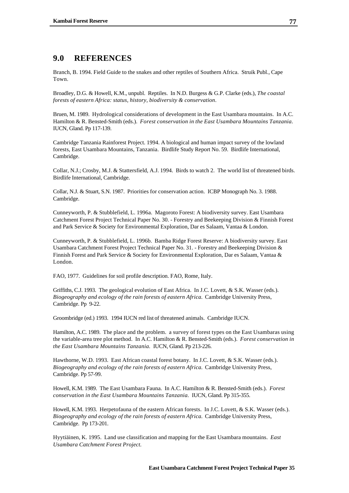# **9.0 REFERENCES**

Branch, B. 1994. Field Guide to the snakes and other reptiles of Southern Africa. Struik Publ., Cape Town.

Broadley, D.G. & Howell, K.M., unpubl. Reptiles. In N.D. Burgess & G.P. Clarke (eds.), *The coastal forests of eastern Africa: status, history, biodiversity & conservation*.

Bruen, M. 1989. Hydrological considerations of development in the East Usambara mountains. In A.C. Hamilton & R. Bensted-Smith (eds.). *Forest conservation in the East Usambara Mountains Tanzania.* IUCN, Gland. Pp 117-139.

Cambridge Tanzania Rainforest Project. 1994. A biological and human impact survey of the lowland forests, East Usambara Mountains, Tanzania. Birdlife Study Report No. 59. Birdlife International, Cambridge.

Collar, N.J.; Crosby, M.J. & Stattersfield, A.J. 1994. Birds to watch 2. The world list of threatened birds. Birdlife International, Cambridge.

Collar, N.J. & Stuart, S.N. 1987. Priorities for conservation action. ICBP Monograph No. 3. 1988. Cambridge.

Cunneyworth, P. & Stubblefield, L. 1996a. Magoroto Forest: A biodiversity survey. East Usambara Catchment Forest Project Technical Paper No. 30. - Forestry and Beekeeping Division & Finnish Forest and Park Service & Society for Environmental Exploration, Dar es Salaam, Vantaa & London.

Cunneyworth, P. & Stubblefield, L. 1996b. Bamba Ridge Forest Reserve: A biodiversity survey. East Usambara Catchment Forest Project Technical Paper No. 31. - Forestry and Beekeeping Division & Finnish Forest and Park Service & Society for Environmental Exploration, Dar es Salaam, Vantaa & London.

FAO, 1977. Guidelines for soil profile description. FAO, Rome, Italy.

Griffiths, C.J. 1993. The geological evolution of East Africa. In J.C. Lovett, & S.K. Wasser (eds.). *Biogeography and ecology of the rain forests of eastern Africa.* Cambridge University Press, Cambridge. Pp 9-22.

Groombridge (ed.) 1993. 1994 IUCN red list of threatened animals. Cambridge IUCN.

Hamilton, A.C. 1989. The place and the problem. a survey of forest types on the East Usambaras using the variable-area tree plot method. In A.C. Hamilton & R. Bensted-Smith (eds.). *Forest conservation in the East Usambara Mountains Tanzania.* IUCN, Gland. Pp 213-226.

Hawthorne, W.D. 1993. East African coastal forest botany. In J.C. Lovett, & S.K. Wasser (eds.). *Biogeography and ecology of the rain forests of eastern Africa.* Cambridge University Press, Cambridge. Pp 57-99.

Howell, K.M. 1989. The East Usambara Fauna*.* In A.C. Hamilton & R. Bensted-Smith (eds.). *Forest conservation in the East Usambara Mountains Tanzania.* IUCN, Gland. Pp 315-355.

Howell, K.M. 1993. Herpetofauna of the eastern African forests. In J.C. Lovett, & S.K. Wasser (eds.). *Biogeography and ecology of the rain forests of eastern Africa.* Cambridge University Press, Cambridge. Pp 173-201.

Hyytiäinen, K. 1995. Land use classification and mapping for the East Usambara mountains. *East Usambara Catchment Forest Project.*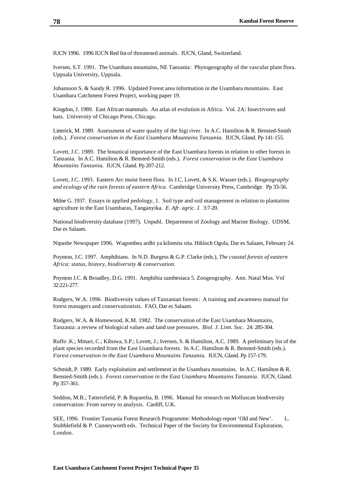IUCN 1996. 1996 IUCN Red list of threatened animals. IUCN, Gland, Switzerland.

Iversen, S.T. 1991. The Usambara mountains, NE Tanzania: Phytogeography of the vascular plant flora. Uppsala University, Uppsala.

Johansson S. & Sandy R. 1996. Updated Forest area information in the Usambara mountains. East Usambara Catchment Forest Project, working paper 19.

Kingdon, J. 1989. East African mammals. An atlas of evolution in Africa. Vol. 2A: Insectivores and bats. University of Chicago Press, Chicago.

Litterick, M. 1989. Assessment of water quality of the Sigi river. In A.C. Hamilton & R. Bensted-Smith (eds.). *Forest conservation in the East Usambara Mountains Tanzania.* IUCN, Gland. Pp 141-155.

Lovett, J.C. 1989. The botanical importance of the East Usambara forests in relation to other forests in Tanzania. In A.C. Hamilton & R. Bensted-Smith (eds.). *Forest conservation in the East Usambara Mountains Tanzania.* IUCN, Gland. Pp 207-212.

Lovett, J.C. 1993. Eastern Arc moist forest flora. In J.C. Lovett, & S.K. Wasser (eds.). *Biogeography and ecology of the rain forests of eastern Africa.* Cambridge University Press, Cambridge. Pp 33-56.

Milne G. 1937. Essays in applied pedology, 1. Soil type and soil management in relation to plantation agriculture in the East Usambaras, Tanganyika. *E. Afr. agric. J.* 3:7-20.

National biodiversity database (1997). Unpubl. Department of Zoology and Marine Biology. UDSM, Dar es Salaam.

Nipashe Newspaper 1996. Wagombea ardhi ya kilomita sita*.* Hikloch Ogola, Dar es Salaam, February 24.

Poynton, J.C. 1997. Amphibians. In N.D. Burgess & G.P. Clarke (eds.), *The coastal forests of eastern Africa: status, history, biodiversity & conservation.*

Poynton J.C. & Broadley, D.G. 1991. Amphibia zambesiaca 5. Zoogeography. Ann. Natal Mus. Vol 32:221-277.

Rodgers, W.A. 1996. Biodiversity values of Tanzanian forests: A training and awareness manual for forest managers and conservationists. FAO, Dar es Salaam.

Rodgers, W.A. & Homewood, K.M. 1982. The conservation of the East Usambara Mountains, Tanzania: a review of biological values and land use pressures*. Biol. J. Linn. Soc.* 24: 285-304.

Ruffo .K.; Mmari, C.; Kibuwa, S.P.; Lovett, J.; Iversen, S. & Hamilton, A.C. 1989. A preliminary list of the plant species recorded from the East Usambara forests. In A.C. Hamilton & R. Bensted-Smith (eds.). *Forest conservation in the East Usambara Mountains Tanzania.* IUCN, Gland. Pp 157-179.

Schmidt, P. 1989. Early exploitation and settlement in the Usambara mountains. In A.C. Hamilton & R. Bensted-Smith (eds.). *Forest conservation in the East Usambara Mountains Tanzania.* IUCN, Gland. Pp 357-361.

Seddon, M.B.; Tattersfield, P. & Ruparelia, B. 1996. Manual for research on Molluscan biodiversity conservation: From survey to analysis. Cardiff, U.K.

SEE, 1996. Frontier Tanzania Forest Research Programme: Methodology report 'Old and New'. L. Stubblefield & P. Cunneyworth eds. Technical Paper of the Society for Environmental Exploration, London.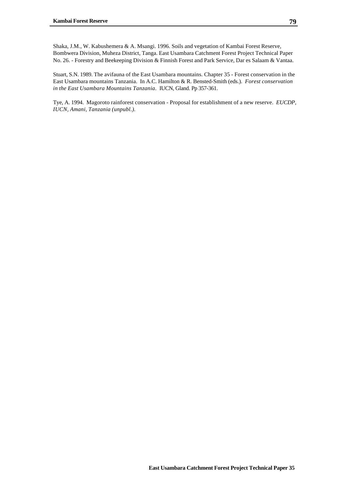Shaka, J.M., W. Kabushemera & A. Msangi. 1996. Soils and vegetation of Kambai Forest Reserve, Bombwera Division, Muheza District, Tanga. East Usambara Catchment Forest Project Technical Paper No. 26. - Forestry and Beekeeping Division & Finnish Forest and Park Service, Dar es Salaam & Vantaa.

Stuart, S.N. 1989. The avifauna of the East Usambara mountains. Chapter 35 - Forest conservation in the East Usambara mountains Tanzania. In A.C. Hamilton & R. Bensted-Smith (eds.). *Forest conservation in the East Usambara Mountains Tanzania.* IUCN, Gland. Pp 357-361.

Tye, A. 1994. Magoroto rainforest conservation - Proposal for establishment of a new reserve. *EUCDP, IUCN, Amani, Tanzania (unpubl.).*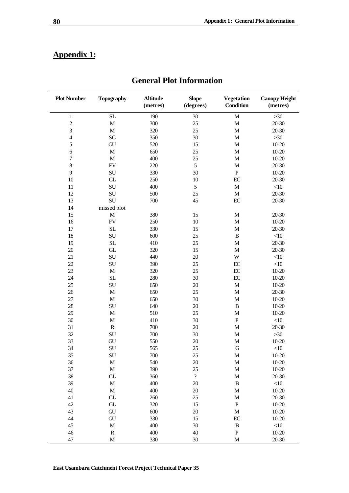# **Appendix 1:**

| <b>Plot Number</b>      | <b>Topography</b>                            | <b>Altitude</b><br>(metres) | <b>Slope</b><br>(degrees)  | <b>Vegetation</b><br><b>Condition</b> | <b>Canopy Height</b><br>(metres) |
|-------------------------|----------------------------------------------|-----------------------------|----------------------------|---------------------------------------|----------------------------------|
| $\mathbf{1}$            | SL                                           | 190                         | 30                         | $\mathbf{M}$                          | $>30$                            |
| $\overline{c}$          | $\mathbf M$                                  | 300                         | 25                         | $\mathbf M$                           | $20 - 30$                        |
| 3                       | $\mathbf M$                                  | 320                         | 25                         | $\mathbf M$                           | 20-30                            |
| $\overline{\mathbf{4}}$ | $\mathbf{S}\mathbf{G}$                       | 350                         | 30                         | $\mathbf M$                           | $>30$                            |
| 5                       | ${\rm GU}$                                   | 520                         | 15                         | $\mathbf M$                           | $10 - 20$                        |
| $\sqrt{6}$              | $\mathbf M$                                  | 650                         | 25                         | $\mathbf M$                           | $10 - 20$                        |
| $\boldsymbol{7}$        | $\mathbf M$                                  | 400                         | 25                         | $\mathbf{M}$                          | $10 - 20$                        |
| $\,8\,$                 | ${\rm FV}$                                   | 220                         | 5                          | $\mathbf{M}$                          | $20 - 30$                        |
| 9                       | ${\bf SU}$                                   | 330                         | 30                         | $\mathbf P$                           | $10 - 20$                        |
| 10                      | ${\ensuremath{\textup{\textbf{GL}}}}\xspace$ | 250                         | 10                         | $\operatorname{EC}$                   | 20-30                            |
| 11                      | ${\bf SU}$                                   | 400                         | 5                          | $\mathbf M$                           | <10                              |
| 12                      | ${\bf SU}$                                   | 500                         | 25                         | $\mathbf M$                           | $20 - 30$                        |
| 13                      | SU                                           | 700                         | 45                         | EC                                    | $20 - 30$                        |
| 14                      | missed plot                                  |                             |                            |                                       |                                  |
| 15                      | $\mathbf M$                                  | 380                         | 15                         | $\mathbf M$                           | $20 - 30$                        |
| 16                      | ${\rm FV}$                                   | 250                         | $10\,$                     | $\mathbf M$                           | $10 - 20$                        |
| 17                      | $\rm SL$                                     | 330                         | 15                         | $\mathbf{M}$                          | 20-30                            |
| 18                      | ${\bf SU}$                                   | 600                         | 25                         | $\, {\bf B}$                          | <10                              |
| 19                      | $\rm SL$                                     | 410                         | 25                         | $\mathbf M$                           | $20 - 30$                        |
| $20\,$                  | ${\ensuremath{\textup{\textbf{GL}}}}\xspace$ | 320                         | 15                         | $\mathbf{M}$                          | 20-30                            |
| 21                      | ${\bf SU}$                                   | 440                         | $20\,$                     | W                                     | <10                              |
|                         |                                              |                             |                            |                                       |                                  |
| 22                      | ${\bf SU}$                                   | 390                         | 25                         | $\operatorname{EC}$                   | $<\!\!10$                        |
| 23                      | $\mathbf M$                                  | 320                         | 25                         | $\operatorname{EC}$                   | $10 - 20$                        |
| 24                      | $\rm SL$                                     | 280                         | 30                         | EC                                    | $10 - 20$                        |
| 25                      | SU                                           | 650                         | $20\,$                     | $\mathbf M$                           | $10 - 20$                        |
| 26                      | $\mathbf M$                                  | 650                         | 25                         | $\mathbf{M}$                          | $20 - 30$                        |
| 27                      | $\mathbf M$                                  | 650                         | 30                         | $\mathbf{M}$                          | $10 - 20$                        |
| 28                      | SU                                           | 640                         | $20\,$                     | $\, {\bf B}$                          | $10 - 20$                        |
| 29                      | $\mathbf M$                                  | 510                         | 25                         | M                                     | $10 - 20$                        |
| 30                      | $\mathbf M$                                  | 410                         | 30                         | ${\bf P}$                             | $<\!\!10$                        |
| 31                      | ${\bf R}$                                    | 700                         | $20\,$                     | M                                     | 20-30                            |
| 32                      | ${\bf SU}$                                   | 700                         | 30                         | $\mathbf{M}$                          | $>30$                            |
| 33                      | ${\rm GU}$                                   | 550                         | $20\,$                     | $\mathbf{M}$                          | $10 - 20$                        |
| 34                      | SU                                           | 565                         | 25                         | $\mathbf G$                           | <10                              |
| 35                      | ${\rm SU}$                                   | $700\,$                     | 25                         | $\mathbf M$                           | $10 - 20$                        |
| 36                      | M                                            | 540                         | $20\,$                     | M                                     | $10-20$                          |
| 37                      | $\mathbf M$                                  | 390                         | 25                         | $\mathbf M$                           | $10 - 20$                        |
| 38                      | ${\ensuremath{\textup{\textbf{GL}}}}\xspace$ | 360                         | $\boldsymbol{\mathcal{C}}$ | $\mathbf M$                           | $20 - 30$                        |
| 39                      | $\mathbf M$                                  | 400                         | $20\,$                     | $\, {\bf B}$                          | $<\!\!10$                        |
| $40\,$                  | $\mathbf M$                                  | 400                         | $20\,$                     | $\mathbf{M}$                          | $10 - 20$                        |
| $41\,$                  | ${\ensuremath{\textup{\textbf{GL}}}}\xspace$ | 260                         | $25\,$                     | $\mathbf{M}$                          | $20 - 30$                        |
| $42\,$                  | ${\ensuremath{\textup{\textbf{GL}}}}\xspace$ | 320                         | 15                         | ${\bf P}$                             | $10 - 20$                        |
| 43                      | ${\rm GU}$                                   | 600                         | $20\,$                     | $\mathbf M$                           | $10 - 20$                        |
| 44                      | ${\rm GU}$                                   | 330                         | 15                         | EC                                    | $10 - 20$                        |
| $45\,$                  | $\mathbf M$                                  | 400                         | $30\,$                     | $\, {\bf B}$                          | $<\!\!10$                        |
| $46\,$                  | ${\bf R}$                                    | 400                         | $40\,$                     | $\, {\bf P}$                          | $10 - 20$                        |
| 47                      | $\mathbf M$                                  | 330                         | 30                         | M                                     | $20 - 30$                        |

# **General Plot Information**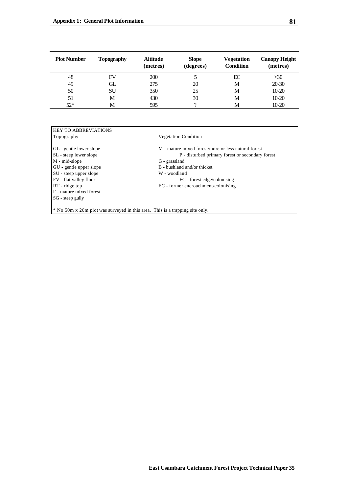| <b>Plot Number</b> | <b>Topography</b> | <b>Altitude</b><br>(metres) | <b>Slope</b><br>(degrees) | <b>Vegetation</b><br><b>Condition</b> | <b>Canopy Height</b><br>(metres) |
|--------------------|-------------------|-----------------------------|---------------------------|---------------------------------------|----------------------------------|
| 48                 | FV                | 200                         |                           | EC                                    | >30                              |
| 49                 | GL.               | 275                         | 20                        | M                                     | 20-30                            |
| 50                 | SU                | 350                         | 25                        | М                                     | $10-20$                          |
| 51                 | M                 | 430                         | 30                        | M                                     | $10-20$                          |
| $52*$              | M                 | 595                         | റ                         | M                                     | $10-20$                          |

| Topography              | <b>Vegetation Condition</b>                         |
|-------------------------|-----------------------------------------------------|
| GL - gentle lower slope | M - mature mixed forest/more or less natural forest |
| SL - steep lower slope  | P - disturbed primary forest or secondary forest    |
| M - mid-slope           | G - grassland                                       |
| GU - gentle upper slope | B - bushland and/or thicket                         |
| SU - steep upper slope  | W - woodland                                        |
| FV - flat valley floor  | FC - forest edge/colonising                         |
| $RT$ - ridge top        | EC - former encroachment/colonising                 |
| F - mature mixed forest |                                                     |
| SG - steep gully        |                                                     |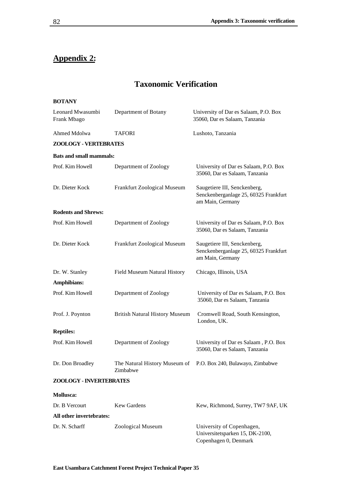# **Appendix 2:**

# **Taxonomic Verification**

| <b>BOTANY</b>                   |                                       |                                                                                           |
|---------------------------------|---------------------------------------|-------------------------------------------------------------------------------------------|
| Leonard Mwasumbi<br>Frank Mbago | Department of Botany                  | University of Dar es Salaam, P.O. Box<br>35060, Dar es Salaam, Tanzania                   |
| Ahmed Mdolwa                    | TAFORI                                | Lushoto, Tanzania                                                                         |
| ZOOLOGY - VERTEBRATES           |                                       |                                                                                           |
| <b>Bats and small mammals:</b>  |                                       |                                                                                           |
| Prof. Kim Howell                | Department of Zoology                 | University of Dar es Salaam, P.O. Box<br>35060, Dar es Salaam, Tanzania                   |
| Dr. Dieter Kock                 | Frankfurt Zoological Museum           | Saugetiere III, Senckenberg,<br>Senckenberganlage 25, 60325 Frankfurt<br>am Main, Germany |
| <b>Rodents and Shrews:</b>      |                                       |                                                                                           |
| Prof. Kim Howell                | Department of Zoology                 | University of Dar es Salaam, P.O. Box<br>35060, Dar es Salaam, Tanzania                   |
| Dr. Dieter Kock                 | Frankfurt Zoological Museum           | Saugetiere III, Senckenberg,<br>Senckenberganlage 25, 60325 Frankfurt<br>am Main, Germany |
| Dr. W. Stanley                  | Field Museum Natural History          | Chicago, Illinois, USA                                                                    |
| Amphibians:                     |                                       |                                                                                           |
| Prof. Kim Howell                | Department of Zoology                 | University of Dar es Salaam, P.O. Box<br>35060, Dar es Salaam, Tanzania                   |
| Prof. J. Poynton                | <b>British Natural History Museum</b> | Cromwell Road, South Kensington,<br>London, UK.                                           |
| <b>Reptiles:</b>                |                                       |                                                                                           |
| Prof. Kim Howell                | Department of Zoology                 | University of Dar es Salaam, P.O. Box<br>35060, Dar es Salaam, Tanzania                   |
| Dr. Don Broadley                | Zimbabwe                              | The Natural History Museum of P.O. Box 240, Bulawayo, Zimbabwe                            |
| ZOOLOGY - INVERTEBRATES         |                                       |                                                                                           |
| Mollusca:                       |                                       |                                                                                           |
| Dr. B Vercourt                  | <b>Kew Gardens</b>                    | Kew, Richmond, Surrey, TW7 9AF, UK                                                        |
| All other invertebrates:        |                                       |                                                                                           |
| Dr. N. Scharff                  | Zoological Museum                     | University of Copenhagen,<br>Universitetsparken 15, DK-2100,<br>Copenhagen 0, Denmark     |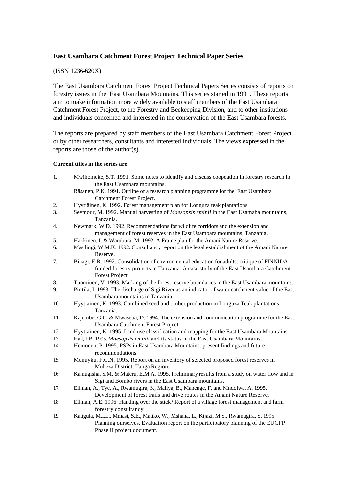## **East Usambara Catchment Forest Project Technical Paper Series**

#### (ISSN 1236-620X)

The East Usambara Catchment Forest Project Technical Papers Series consists of reports on forestry issues in the East Usambara Mountains. This series started in 1991. These reports aim to make information more widely available to staff members of the East Usambara Catchment Forest Project, to the Forestry and Beekeeping Division, and to other institutions and individuals concerned and interested in the conservation of the East Usambara forests.

The reports are prepared by staff members of the East Usambara Catchment Forest Project or by other researchers, consultants and interested individuals. The views expressed in the reports are those of the author(s).

#### **Current titles in the series are:**

| 1.  | Mwihomeke, S.T. 1991. Some notes to identify and discuss coopeation in forestry research in<br>the East Usambara mountains.                |
|-----|--------------------------------------------------------------------------------------------------------------------------------------------|
|     | Räsänen, P.K. 1991. Outline of a research planning programme for the East Usambara                                                         |
|     | Catchment Forest Project.                                                                                                                  |
| 2.  | Hyytiäinen, K. 1992. Forest management plan for Longuza teak plantations.                                                                  |
| 3.  | Seymour, M. 1992. Manual harvesting of <i>Maesopsis eminii</i> in the East Usamaba mountains,                                              |
|     | Tanzania.                                                                                                                                  |
| 4.  | Newmark, W.D. 1992. Recommendations for wildlife corridors and the extension and                                                           |
|     | management of forest reserves in the East Usambara mountains, Tanzania.                                                                    |
| 5.  | Häkkinen, I. & Wambura, M. 1992. A Frame plan for the Amani Nature Reserve.                                                                |
| 6.  | Masilingi, W.M.K. 1992. Consultancy report on the legal establishment of the Amani Nature                                                  |
|     | Reserve.                                                                                                                                   |
| 7.  | Binagi, E.R. 1992. Consolidation of environmental education for adults: critique of FINNIDA-                                               |
|     | funded forestry projects in Tanzania. A case study of the East Usambara Catchment                                                          |
|     | Forest Project.                                                                                                                            |
| 8.  | Tuominen, V. 1993. Marking of the forest reserve boundaries in the East Usambara mountains.                                                |
| 9.  | Pirttilä, I. 1993. The discharge of Sigi River as an indicator of water catchment value of the East                                        |
|     | Usambara mountains in Tanzania.                                                                                                            |
| 10. | Hyytiäinen, K. 1993. Combined seed and timber production in Longuza Teak plantations,                                                      |
|     | Tanzania.                                                                                                                                  |
| 11. | Kajembe, G.C. & Mwaseba, D. 1994. The extension and communication programme for the East                                                   |
|     | Usambara Catchment Forest Project.                                                                                                         |
| 12. | Hyytiäinen, K. 1995. Land use classification and mapping for the East Usambara Mountains.                                                  |
| 13. | Hall, J.B. 1995. Maesopsis eminii and its status in the East Usambara Mountains.                                                           |
| 14. | Heinonen, P. 1995. PSPs in East Usambara Mountains: present findings and future                                                            |
|     | recommendations.                                                                                                                           |
| 15. | Munuyku, F.C.N. 1995. Report on an inventory of selected proposed forest reserves in                                                       |
|     | Muheza District, Tanga Region.                                                                                                             |
| 16. | Kamugisha, S.M. & Materu, E.M.A. 1995. Preliminary results from a study on water flow and in                                               |
| 17. | Sigi and Bombo rivers in the East Usambara mountains.<br>Ellman, A., Tye, A., Rwamugira, S., Mallya, B., Mahenge, F. and Mndolwa, A. 1995. |
|     | Development of forest trails and drive routes in the Amani Nature Reserve.                                                                 |
| 18. | Ellman, A.E. 1996. Handing over the stick? Report of a village forest management and farm                                                  |
|     | forestry consultancy                                                                                                                       |
| 19. | Katigula, M.I.L., Mmasi, S.E., Matiko, W., Mshana, L., Kijazi, M.S., Rwamugira, S. 1995.                                                   |
|     | Planning ourselves. Evaluation report on the participatory planning of the EUCFP                                                           |
|     | Phase II project document.                                                                                                                 |
|     |                                                                                                                                            |